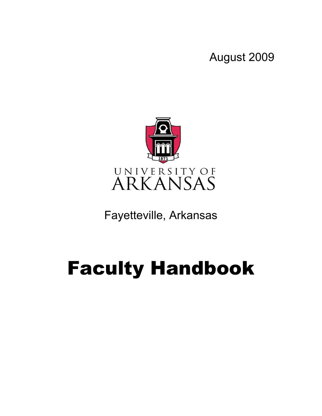August 2009



Fayetteville, Arkansas

# Faculty Handbook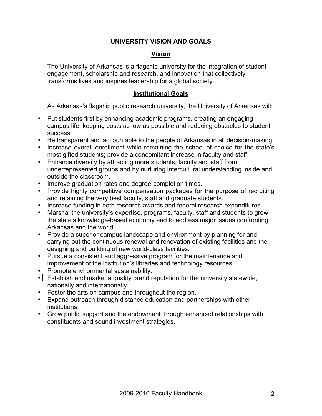#### **UNIVERSITY VISION AND GOALS**

#### **Vision**

The University of Arkansas is a flagship university for the integration of student engagement, scholarship and research, and innovation that collectively transforms lives and inspires leadership for a global society.

#### **Institutional Goals**

As Arkansas's flagship public research university, the University of Arkansas will:

- Put students first by enhancing academic programs, creating an engaging campus life, keeping costs as low as possible and reducing obstacles to student success.
- Be transparent and accountable to the people of Arkansas in all decision-making.
- Increase overall enrollment while remaining the school of choice for the state's most gifted students; provide a concomitant increase in faculty and staff.
- Enhance diversity by attracting more students, faculty and staff from underrepresented groups and by nurturing intercultural understanding inside and outside the classroom.
- Improve graduation rates and degree-completion times.
- Provide highly competitive compensation packages for the purpose of recruiting and retaining the very best faculty, staff and graduate students.
- Increase funding in both research awards and federal research expenditures.
- Marshal the university's expertise, programs, faculty, staff and students to grow the state's knowledge-based economy and to address major issues confronting Arkansas and the world.
- Provide a superior campus landscape and environment by planning for and carrying out the continuous renewal and renovation of existing facilities and the designing and building of new world-class facilities.
- Pursue a consistent and aggressive program for the maintenance and improvement of the institution's libraries and technology resources.
- Promote environmental sustainability.
- Establish and market a quality brand reputation for the university statewide, nationally and internationally.
- Foster the arts on campus and throughout the region.
- Expand outreach through distance education and partnerships with other institutions.
- Grow public support and the endowment through enhanced relationships with constituents and sound investment strategies.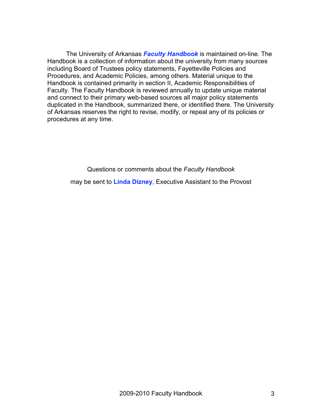The University of Arkansas *Faculty Handbook* is maintained on-line. The Handbook is a collection of information about the university from many sources including Board of Trustees policy statements, Fayetteville Policies and Procedures, and Academic Policies, among others. Material unique to the Handbook is contained primarily in section II, Academic Responsibilities of Faculty. The Faculty Handbook is reviewed annually to update unique material and connect to their primary web-based sources all major policy statements duplicated in the Handbook, summarized there, or identified there. The University of Arkansas reserves the right to revise, modify, or repeal any of its policies or procedures at any time.

Questions or comments about the *Faculty Handbook*

may be sent to **Linda Dizney**, Executive Assistant to the Provost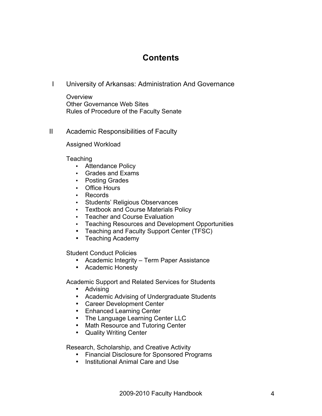# **Contents**

I University of Arkansas: Administration And Governance

**Overview** Other Governance Web Sites Rules of Procedure of the Faculty Senate

#### II Academic Responsibilities of Faculty

Assigned Workload

**Teaching** 

- Attendance Policy
- Grades and Exams
- Posting Grades
- Office Hours
- Records
- Students' Religious Observances
- Textbook and Course Materials Policy
- Teacher and Course Evaluation
- Teaching Resources and Development Opportunities
- Teaching and Faculty Support Center (TFSC)
- Teaching Academy

Student Conduct Policies

- Academic Integrity Term Paper Assistance
- Academic Honesty

Academic Support and Related Services for Students

- Advising
- Academic Advising of Undergraduate Students
- Career Development Center
- Enhanced Learning Center
- The Language Learning Center LLC
- Math Resource and Tutoring Center
- Quality Writing Center

Research, Scholarship, and Creative Activity

- Financial Disclosure for Sponsored Programs
- Institutional Animal Care and Use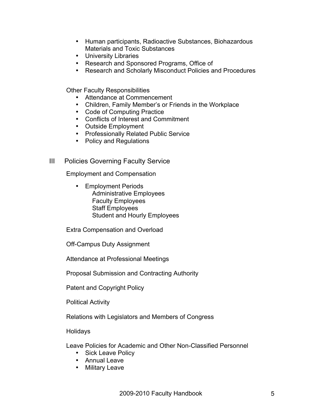- Human participants, Radioactive Substances, Biohazardous Materials and Toxic Substances
- University Libraries
- Research and Sponsored Programs, Office of
- Research and Scholarly Misconduct Policies and Procedures

Other Faculty Responsibilities

- Attendance at Commencement
- Children, Family Member's or Friends in the Workplace
- Code of Computing Practice
- Conflicts of Interest and Commitment
- Outside Employment
- Professionally Related Public Service
- Policy and Regulations
- III Policies Governing Faculty Service

Employment and Compensation

• Employment Periods Administrative Employees Faculty Employees Staff Employees Student and Hourly Employees

Extra Compensation and Overload

Off-Campus Duty Assignment

Attendance at Professional Meetings

Proposal Submission and Contracting Authority

Patent and Copyright Policy

Political Activity

Relations with Legislators and Members of Congress

Holidays

Leave Policies for Academic and Other Non-Classified Personnel

- Sick Leave Policy
- Annual Leave
- Military Leave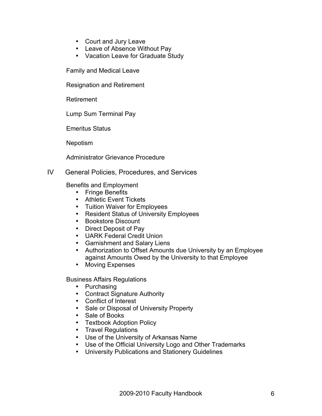- Court and Jury Leave
- Leave of Absence Without Pay
- Vacation Leave for Graduate Study

Family and Medical Leave

Resignation and Retirement

Retirement

Lump Sum Terminal Pay

Emeritus Status

Nepotism

Administrator Grievance Procedure

#### IV General Policies, Procedures, and Services

Benefits and Employment

- Fringe Benefits
- Athletic Event Tickets
- Tuition Waiver for Employees
- Resident Status of University Employees
- Bookstore Discount
- Direct Deposit of Pay
- UARK Federal Credit Union
- Garnishment and Salary Liens
- Authorization to Offset Amounts due University by an Employee against Amounts Owed by the University to that Employee
- Moving Expenses

Business Affairs Regulations

- Purchasing
- Contract Signature Authority
- Conflict of Interest
- Sale or Disposal of University Property
- Sale of Books
- Textbook Adoption Policy
- Travel Regulations
- Use of the University of Arkansas Name
- Use of the Official University Logo and Other Trademarks
- University Publications and Stationery Guidelines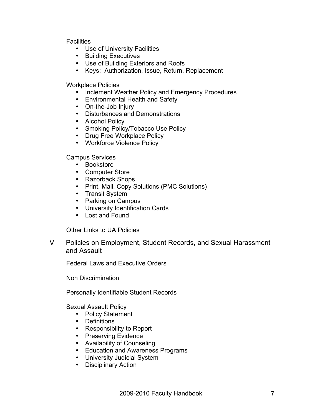**Facilities** 

- Use of University Facilities
- Building Executives
- Use of Building Exteriors and Roofs
- Keys: Authorization, Issue, Return, Replacement

Workplace Policies

- Inclement Weather Policy and Emergency Procedures
- Environmental Health and Safety
- On-the-Job Injury
- Disturbances and Demonstrations
- Alcohol Policy
- Smoking Policy/Tobacco Use Policy
- Drug Free Workplace Policy
- Workforce Violence Policy

Campus Services

- Bookstore
- Computer Store
- Razorback Shops
- Print, Mail, Copy Solutions (PMC Solutions)
- Transit System
- Parking on Campus
- University Identification Cards
- Lost and Found

Other Links to UA Policies

V Policies on Employment, Student Records, and Sexual Harassment and Assault

Federal Laws and Executive Orders

Non Discrimination

Personally Identifiable Student Records

Sexual Assault Policy

- Policy Statement
- Definitions
- Responsibility to Report
- Preserving Evidence
- Availability of Counseling
- Education and Awareness Programs
- University Judicial System
- Disciplinary Action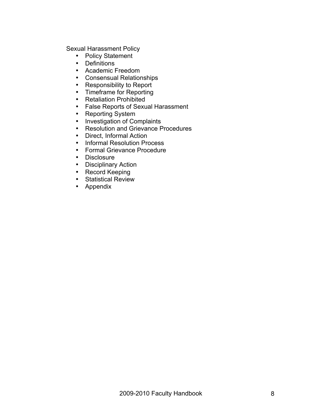Sexual Harassment Policy

- Policy Statement
- Definitions
- Academic Freedom
- Consensual Relationships
- Responsibility to Report
- Timeframe for Reporting
- Retaliation Prohibited
- False Reports of Sexual Harassment<br>• Reporting System
- Reporting System
- Investigation of Complaints<br>• Resolution and Grievance P
- Resolution and Grievance Procedures<br>• Direct Informal Action
- Direct, Informal Action
- Informal Resolution Process<br>• Formal Grievance Procedure
- Formal Grievance Procedure
- Disclosure
- Disciplinary Action
- Record Keeping
- Statistical Review
- Appendix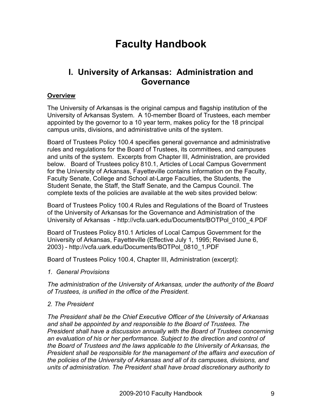# **Faculty Handbook**

# **I. University of Arkansas: Administration and Governance**

#### **Overview**

The University of Arkansas is the original campus and flagship institution of the University of Arkansas System. A 10-member Board of Trustees, each member appointed by the governor to a 10 year term, makes policy for the 18 principal campus units, divisions, and administrative units of the system.

Board of Trustees Policy 100.4 specifies general governance and administrative rules and regulations for the Board of Trustees, its committees, and campuses and units of the system. Excerpts from Chapter III, Administration, are provided below. Board of Trustees policy 810.1, Articles of Local Campus Government for the University of Arkansas, Fayetteville contains information on the Faculty, Faculty Senate, College and School at-Large Faculties, the Students, the Student Senate, the Staff, the Staff Senate, and the Campus Council. The complete texts of the policies are available at the web sites provided below:

Board of Trustees Policy 100.4 Rules and Regulations of the Board of Trustees of the University of Arkansas for the Governance and Administration of the University of Arkansas - http://vcfa.uark.edu/Documents/BOTPol\_0100\_4.PDF

Board of Trustees Policy 810.1 Articles of Local Campus Government for the University of Arkansas, Fayetteville (Effective July 1, 1995; Revised June 6, 2003) - http://vcfa.uark.edu/Documents/BOTPol\_0810\_1.PDF

Board of Trustees Policy 100.4, Chapter III, Administration (excerpt):

*1. General Provisions*

*The administration of the University of Arkansas, under the authority of the Board of Trustees, is unified in the office of the President.* 

#### *2. The President*

*The President shall be the Chief Executive Officer of the University of Arkansas and shall be appointed by and responsible to the Board of Trustees. The President shall have a discussion annually with the Board of Trustees concerning an evaluation of his or her performance. Subject to the direction and control of the Board of Trustees and the laws applicable to the University of Arkansas, the President shall be responsible for the management of the affairs and execution of the policies of the University of Arkansas and all of its campuses, divisions, and units of administration. The President shall have broad discretionary authority to*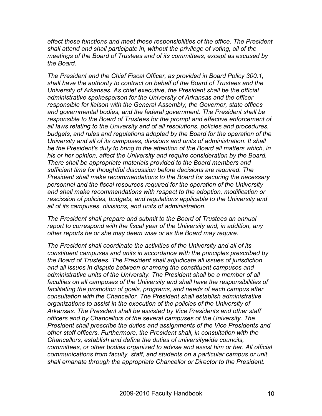*effect these functions and meet these responsibilities of the office. The President shall attend and shall participate in, without the privilege of voting, all of the meetings of the Board of Trustees and of its committees, except as excused by the Board.* 

*The President and the Chief Fiscal Officer, as provided in Board Policy 300.1, shall have the authority to contract on behalf of the Board of Trustees and the University of Arkansas. As chief executive, the President shall be the official administrative spokesperson for the University of Arkansas and the officer responsible for liaison with the General Assembly, the Governor, state offices and governmental bodies, and the federal government. The President shall be responsible to the Board of Trustees for the prompt and effective enforcement of all laws relating to the University and of all resolutions, policies and procedures, budgets, and rules and regulations adopted by the Board for the operation of the University and all of its campuses, divisions and units of administration. It shall be the President's duty to bring to the attention of the Board all matters which, in his or her opinion, affect the University and require consideration by the Board. There shall be appropriate materials provided to the Board members and sufficient time for thoughtful discussion before decisions are required. The President shall make recommendations to the Board for securing the necessary personnel and the fiscal resources required for the operation of the University and shall make recommendations with respect to the adoption, modification or rescission of policies, budgets, and regulations applicable to the University and all of its campuses, divisions, and units of administration.* 

*The President shall prepare and submit to the Board of Trustees an annual report to correspond with the fiscal year of the University and, in addition, any other reports he or she may deem wise or as the Board may require.* 

*The President shall coordinate the activities of the University and all of its constituent campuses and units in accordance with the principles prescribed by the Board of Trustees. The President shall adjudicate all issues of jurisdiction and all issues in dispute between or among the constituent campuses and*  administrative units of the University. The President shall be a member of all *faculties on all campuses of the University and shall have the responsibilities of facilitating the promotion of goals, programs, and needs of each campus after consultation with the Chancellor. The President shall establish administrative organizations to assist in the execution of the policies of the University of Arkansas. The President shall be assisted by Vice Presidents and other staff officers and by Chancellors of the several campuses of the University. The President shall prescribe the duties and assignments of the Vice Presidents and other staff officers. Furthermore, the President shall, in consultation with the Chancellors, establish and define the duties of universitywide councils, committees, or other bodies organized to advise and assist him or her. All official communications from faculty, staff, and students on a particular campus or unit shall emanate through the appropriate Chancellor or Director to the President.*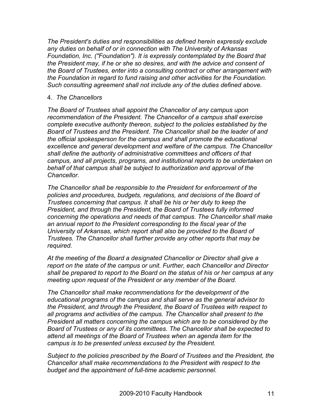*The President's duties and responsibilities as defined herein expressly exclude any duties on behalf of or in connection with The University of Arkansas Foundation, Inc. ("Foundation"). It is expressly contemplated by the Board that the President may, if he or she so desires, and with the advice and consent of the Board of Trustees, enter into a consulting contract or other arrangement with the Foundation in regard to fund raising and other activities for the Foundation. Such consulting agreement shall not include any of the duties defined above.* 

#### 4. *The Chancellors*

*The Board of Trustees shall appoint the Chancellor of any campus upon recommendation of the President. The Chancellor of a campus shall exercise complete executive authority thereon, subject to the policies established by the Board of Trustees and the President. The Chancellor shall be the leader of and the official spokesperson for the campus and shall promote the educational excellence and general development and welfare of the campus. The Chancellor shall define the authority of administrative committees and officers of that campus, and all projects, programs, and institutional reports to be undertaken on behalf of that campus shall be subject to authorization and approval of the Chancellor.*

*The Chancellor shall be responsible to the President for enforcement of the policies and procedures, budgets, regulations, and decisions of the Board of Trustees concerning that campus. It shall be his or her duty to keep the President, and through the President, the Board of Trustees fully informed concerning the operations and needs of that campus. The Chancellor shall make an annual report to the President corresponding to the fiscal year of the University of Arkansas, which report shall also be provided to the Board of Trustees. The Chancellor shall further provide any other reports that may be required.*

*At the meeting of the Board a designated Chancellor or Director shall give a report on the state of the campus or unit. Further, each Chancellor and Director shall be prepared to report to the Board on the status of his or her campus at any meeting upon request of the President or any member of the Board.*

*The Chancellor shall make recommendations for the development of the educational programs of the campus and shall serve as the general advisor to the President, and through the President, the Board of Trustees with respect to all programs and activities of the campus. The Chancellor shall present to the President all matters concerning the campus which are to be considered by the Board of Trustees or any of its committees. The Chancellor shall be expected to attend all meetings of the Board of Trustees when an agenda item for the campus is to be presented unless excused by the President.*

*Subject to the policies prescribed by the Board of Trustees and the President, the Chancellor shall make recommendations to the President with respect to the budget and the appointment of full-time academic personnel.*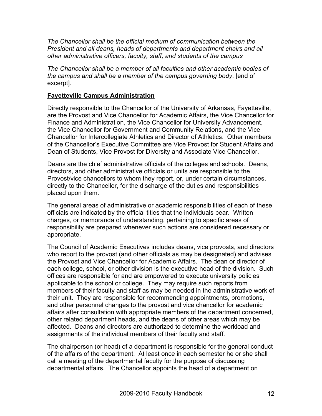*The Chancellor shall be the official medium of communication between the President and all deans, heads of departments and department chairs and all other administrative officers, faculty, staff, and students of the campus*

*The Chancellor shall be a member of all faculties and other academic bodies of the campus and shall be a member of the campus governing body*. [end of excerpt].

#### **Fayetteville Campus Administration**

Directly responsible to the Chancellor of the University of Arkansas, Fayetteville, are the Provost and Vice Chancellor for Academic Affairs, the Vice Chancellor for Finance and Administration, the Vice Chancellor for University Advancement, the Vice Chancellor for Government and Community Relations, and the Vice Chancellor for Intercollegiate Athletics and Director of Athletics. Other members of the Chancellor's Executive Committee are Vice Provost for Student Affairs and Dean of Students, Vice Provost for Diversity and Associate Vice Chancellor.

Deans are the chief administrative officials of the colleges and schools. Deans, directors, and other administrative officials or units are responsible to the Provost/vice chancellors to whom they report, or, under certain circumstances, directly to the Chancellor, for the discharge of the duties and responsibilities placed upon them.

The general areas of administrative or academic responsibilities of each of these officials are indicated by the official titles that the individuals bear. Written charges, or memoranda of understanding, pertaining to specific areas of responsibility are prepared whenever such actions are considered necessary or appropriate.

The Council of Academic Executives includes deans, vice provosts, and directors who report to the provost (and other officials as may be designated) and advises the Provost and Vice Chancellor for Academic Affairs. The dean or director of each college, school, or other division is the executive head of the division. Such offices are responsible for and are empowered to execute university policies applicable to the school or college. They may require such reports from members of their faculty and staff as may be needed in the administrative work of their unit. They are responsible for recommending appointments, promotions, and other personnel changes to the provost and vice chancellor for academic affairs after consultation with appropriate members of the department concerned, other related department heads, and the deans of other areas which may be affected. Deans and directors are authorized to determine the workload and assignments of the individual members of their faculty and staff.

The chairperson (or head) of a department is responsible for the general conduct of the affairs of the department. At least once in each semester he or she shall call a meeting of the departmental faculty for the purpose of discussing departmental affairs. The Chancellor appoints the head of a department on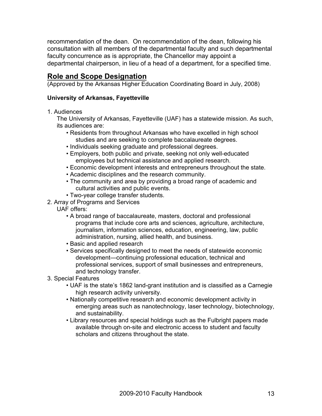recommendation of the dean. On recommendation of the dean, following his consultation with all members of the departmental faculty and such departmental faculty concurrence as is appropriate, the Chancellor may appoint a departmental chairperson, in lieu of a head of a department, for a specified time.

# **Role and Scope Designation**

(Approved by the Arkansas Higher Education Coordinating Board in July, 2008)

#### **University of Arkansas, Fayetteville**

1. Audiences

The University of Arkansas, Fayetteville (UAF) has a statewide mission. As such, its audiences are:

- Residents from throughout Arkansas who have excelled in high school studies and are seeking to complete baccalaureate degrees.
- Individuals seeking graduate and professional degrees.
- Employers, both public and private, seeking not only well-educated employees but technical assistance and applied research.
- Economic development interests and entrepreneurs throughout the state.
- Academic disciplines and the research community.
- The community and area by providing a broad range of academic and cultural activities and public events.
- Two-year college transfer students.
- 2. Array of Programs and Services
	- UAF offers:
		- A broad range of baccalaureate, masters, doctoral and professional programs that include core arts and sciences, agriculture, architecture, journalism, information sciences, education, engineering, law, public administration, nursing, allied health, and business.
		- Basic and applied research
		- Services specifically designed to meet the needs of statewide economic development—continuing professional education, technical and professional services, support of small businesses and entrepreneurs, and technology transfer.
- 3. Special Features
	- UAF is the state's 1862 land-grant institution and is classified as a Carnegie high research activity university.
	- Nationally competitive research and economic development activity in emerging areas such as nanotechnology, laser technology, biotechnology, and sustainability.
	- Library resources and special holdings such as the Fulbright papers made available through on-site and electronic access to student and faculty scholars and citizens throughout the state.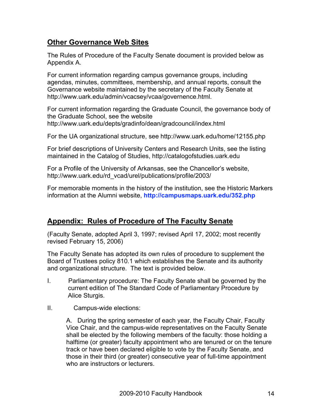# **Other Governance Web Sites**

The Rules of Procedure of the Faculty Senate document is provided below as Appendix A.

For current information regarding campus governance groups, including agendas, minutes, committees, membership, and annual reports, consult the Governance website maintained by the secretary of the Faculty Senate at http://www.uark.edu/admin/vcacsey/vcaa/governence.html.

For current information regarding the Graduate Council, the governance body of the Graduate School, see the website http://www.uark.edu/depts/gradinfo/dean/gradcouncil/index.html

For the UA organizational structure, see http://www.uark.edu/home/12155.php

For brief descriptions of University Centers and Research Units, see the listing maintained in the Catalog of Studies, http://catalogofstudies.uark.edu

For a Profile of the University of Arkansas, see the Chancellor's website, http://www.uark.edu/rd\_vcad/urel/publications/profile/2003/

For memorable moments in the history of the institution, see the Historic Markers information at the Alumni website, **http://campusmaps.uark.edu/352.php**

## **Appendix: Rules of Procedure of The Faculty Senate**

(Faculty Senate, adopted April 3, 1997; revised April 17, 2002; most recently revised February 15, 2006)

The Faculty Senate has adopted its own rules of procedure to supplement the Board of Trustees policy 810.1 which establishes the Senate and its authority and organizational structure. The text is provided below.

- I. Parliamentary procedure: The Faculty Senate shall be governed by the current edition of The Standard Code of Parliamentary Procedure by Alice Sturgis.
- II. Campus-wide elections:

A. During the spring semester of each year, the Faculty Chair, Faculty Vice Chair, and the campus-wide representatives on the Faculty Senate shall be elected by the following members of the faculty: those holding a halftime (or greater) faculty appointment who are tenured or on the tenure track or have been declared eligible to vote by the Faculty Senate, and those in their third (or greater) consecutive year of full-time appointment who are instructors or lecturers.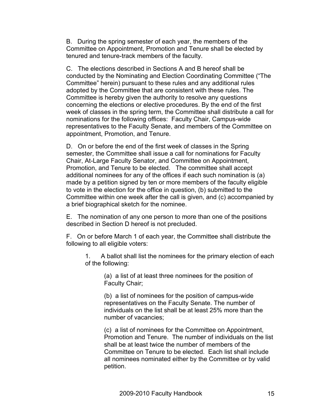B. During the spring semester of each year, the members of the Committee on Appointment, Promotion and Tenure shall be elected by tenured and tenure-track members of the faculty.

C. The elections described in Sections A and B hereof shall be conducted by the Nominating and Election Coordinating Committee ("The Committee" herein) pursuant to these rules and any additional rules adopted by the Committee that are consistent with these rules. The Committee is hereby given the authority to resolve any questions concerning the elections or elective procedures. By the end of the first week of classes in the spring term, the Committee shall distribute a call for nominations for the following offices: Faculty Chair, Campus-wide representatives to the Faculty Senate, and members of the Committee on appointment, Promotion, and Tenure.

D. On or before the end of the first week of classes in the Spring semester, the Committee shall issue a call for nominations for Faculty Chair, At-Large Faculty Senator, and Committee on Appointment, Promotion, and Tenure to be elected. The committee shall accept additional nominees for any of the offices if each such nomination is (a) made by a petition signed by ten or more members of the faculty eligible to vote in the election for the office in question, (b) submitted to the Committee within one week after the call is given, and (c) accompanied by a brief biographical sketch for the nominee.

E. The nomination of any one person to more than one of the positions described in Section D hereof is not precluded.

F. On or before March 1 of each year, the Committee shall distribute the following to all eligible voters:

1. A ballot shall list the nominees for the primary election of each of the following:

> (a) a list of at least three nominees for the position of Faculty Chair;

(b) a list of nominees for the position of campus-wide representatives on the Faculty Senate. The number of individuals on the list shall be at least 25% more than the number of vacancies;

(c) a list of nominees for the Committee on Appointment, Promotion and Tenure. The number of individuals on the list shall be at least twice the number of members of the Committee on Tenure to be elected. Each list shall include all nominees nominated either by the Committee or by valid petition.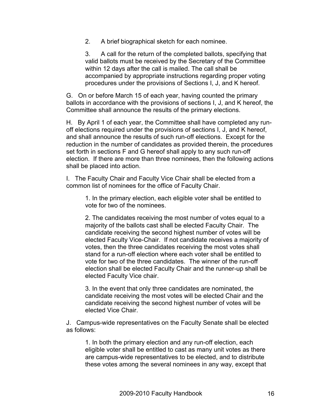2. A brief biographical sketch for each nominee.

3. A call for the return of the completed ballots, specifying that valid ballots must be received by the Secretary of the Committee within 12 days after the call is mailed. The call shall be accompanied by appropriate instructions regarding proper voting procedures under the provisions of Sections I, J, and K hereof.

G. On or before March 15 of each year, having counted the primary ballots in accordance with the provisions of sections I, J, and K hereof, the Committee shall announce the results of the primary elections.

H. By April 1 of each year, the Committee shall have completed any runoff elections required under the provisions of sections I, J, and K hereof, and shall announce the results of such run-off elections. Except for the reduction in the number of candidates as provided therein, the procedures set forth in sections F and G hereof shall apply to any such run-off election. If there are more than three nominees, then the following actions shall be placed into action.

I. The Faculty Chair and Faculty Vice Chair shall be elected from a common list of nominees for the office of Faculty Chair.

1. In the primary election, each eligible voter shall be entitled to vote for two of the nominees.

2. The candidates receiving the most number of votes equal to a majority of the ballots cast shall be elected Faculty Chair. The candidate receiving the second highest number of votes will be elected Faculty Vice-Chair. If not candidate receives a majority of votes, then the three candidates receiving the most votes shall stand for a run-off election where each voter shall be entitled to vote for two of the three candidates. The winner of the run-off election shall be elected Faculty Chair and the runner-up shall be elected Faculty Vice chair.

3. In the event that only three candidates are nominated, the candidate receiving the most votes will be elected Chair and the candidate receiving the second highest number of votes will be elected Vice Chair.

J. Campus-wide representatives on the Faculty Senate shall be elected as follows:

1. In both the primary election and any run-off election, each eligible voter shall be entitled to cast as many unit votes as there are campus-wide representatives to be elected, and to distribute these votes among the several nominees in any way, except that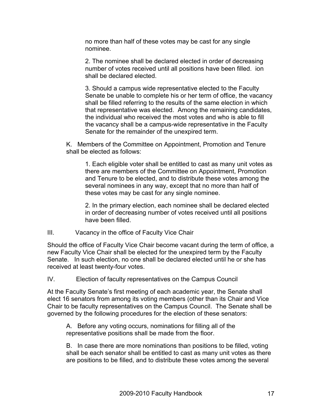no more than half of these votes may be cast for any single nominee.

2. The nominee shall be declared elected in order of decreasing number of votes received until all positions have been filled. ion shall be declared elected.

3. Should a campus wide representative elected to the Faculty Senate be unable to complete his or her term of office, the vacancy shall be filled referring to the results of the same election in which that representative was elected. Among the remaining candidates, the individual who received the most votes and who is able to fill the vacancy shall be a campus-wide representative in the Faculty Senate for the remainder of the unexpired term.

K. Members of the Committee on Appointment, Promotion and Tenure shall be elected as follows:

1. Each eligible voter shall be entitled to cast as many unit votes as there are members of the Committee on Appointment, Promotion and Tenure to be elected, and to distribute these votes among the several nominees in any way, except that no more than half of these votes may be cast for any single nominee.

2. In the primary election, each nominee shall be declared elected in order of decreasing number of votes received until all positions have been filled.

#### III. Vacancy in the office of Faculty Vice Chair

Should the office of Faculty Vice Chair become vacant during the term of office, a new Faculty Vice Chair shall be elected for the unexpired term by the Faculty Senate. In such election, no one shall be declared elected until he or she has received at least twenty-four votes.

IV. Election of faculty representatives on the Campus Council

At the Faculty Senate's first meeting of each academic year, the Senate shall elect 16 senators from among its voting members (other than its Chair and Vice Chair to be faculty representatives on the Campus Council. The Senate shall be governed by the following procedures for the election of these senators:

A. Before any voting occurs, nominations for filling all of the representative positions shall be made from the floor.

B. In case there are more nominations than positions to be filled, voting shall be each senator shall be entitled to cast as many unit votes as there are positions to be filled, and to distribute these votes among the several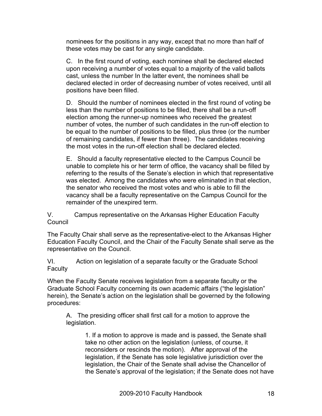nominees for the positions in any way, except that no more than half of these votes may be cast for any single candidate.

C. In the first round of voting, each nominee shall be declared elected upon receiving a number of votes equal to a majority of the valid ballots cast, unless the number In the latter event, the nominees shall be declared elected in order of decreasing number of votes received, until all positions have been filled.

D. Should the number of nominees elected in the first round of voting be less than the number of positions to be filled, there shall be a run-off election among the runner-up nominees who received the greatest number of votes, the number of such candidates in the run-off election to be equal to the number of positions to be filled, plus three (or the number of remaining candidates, if fewer than three). The candidates receiving the most votes in the run-off election shall be declared elected.

E. Should a faculty representative elected to the Campus Council be unable to complete his or her term of office, the vacancy shall be filled by referring to the results of the Senate's election in which that representative was elected. Among the candidates who were eliminated in that election, the senator who received the most votes and who is able to fill the vacancy shall be a faculty representative on the Campus Council for the remainder of the unexpired term.

V. Campus representative on the Arkansas Higher Education Faculty Council

The Faculty Chair shall serve as the representative-elect to the Arkansas Higher Education Faculty Council, and the Chair of the Faculty Senate shall serve as the representative on the Council.

VI. Action on legislation of a separate faculty or the Graduate School **Faculty** 

When the Faculty Senate receives legislation from a separate faculty or the Graduate School Faculty concerning its own academic affairs ("the legislation" herein), the Senate's action on the legislation shall be governed by the following procedures:

A. The presiding officer shall first call for a motion to approve the legislation.

1. If a motion to approve is made and is passed, the Senate shall take no other action on the legislation (unless, of course, it reconsiders or rescinds the motion). After approval of the legislation, if the Senate has sole legislative jurisdiction over the legislation, the Chair of the Senate shall advise the Chancellor of the Senate's approval of the legislation; if the Senate does not have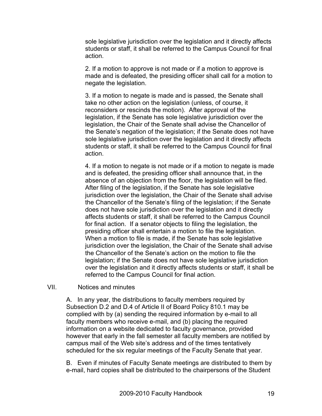sole legislative jurisdiction over the legislation and it directly affects students or staff, it shall be referred to the Campus Council for final action.

2. If a motion to approve is not made or if a motion to approve is made and is defeated, the presiding officer shall call for a motion to negate the legislation.

3. If a motion to negate is made and is passed, the Senate shall take no other action on the legislation (unless, of course, it reconsiders or rescinds the motion). After approval of the legislation, if the Senate has sole legislative jurisdiction over the legislation, the Chair of the Senate shall advise the Chancellor of the Senate's negation of the legislation; if the Senate does not have sole legislative jurisdiction over the legislation and it directly affects students or staff, it shall be referred to the Campus Council for final action.

4. If a motion to negate is not made or if a motion to negate is made and is defeated, the presiding officer shall announce that, in the absence of an objection from the floor, the legislation will be filed. After filing of the legislation, if the Senate has sole legislative jurisdiction over the legislation, the Chair of the Senate shall advise the Chancellor of the Senate's filing of the legislation; if the Senate does not have sole jurisdiction over the legislation and it directly affects students or staff, it shall be referred to the Campus Council for final action. If a senator objects to filing the legislation, the presiding officer shall entertain a motion to file the legislation. When a motion to file is made, if the Senate has sole legislative jurisdiction over the legislation, the Chair of the Senate shall advise the Chancellor of the Senate's action on the motion to file the legislation; if the Senate does not have sole legislative jurisdiction over the legislation and it directly affects students or staff, it shall be referred to the Campus Council for final action.

#### VII. Notices and minutes

A. In any year, the distributions to faculty members required by Subsection D.2 and D.4 of Article II of Board Policy 810.1 may be complied with by (a) sending the required information by e-mail to all faculty members who receive e-mail, and (b) placing the required information on a website dedicated to faculty governance, provided however that early in the fall semester all faculty members are notified by campus mail of the Web site's address and of the times tentatively scheduled for the six regular meetings of the Faculty Senate that year.

B. Even if minutes of Faculty Senate meetings are distributed to them by e-mail, hard copies shall be distributed to the chairpersons of the Student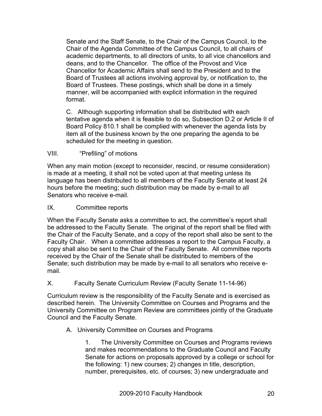Senate and the Staff Senate, to the Chair of the Campus Council, to the Chair of the Agenda Committee of the Campus Council, to all chairs of academic departments, to all directors of units, to all vice chancellors and deans, and to the Chancellor. The office of the Provost and Vice Chancellor for Academic Affairs shall send to the President and to the Board of Trustees all actions involving approval by, or notification to, the Board of Trustees. These postings, which shall be done in a timely manner, will be accompanied with explicit information in the required format.

C. Although supporting information shall be distributed with each tentative agenda when it is feasible to do so, Subsection D.2 or Article II of Board Policy 810.1 shall be complied with whenever the agenda lists by item all of the business known by the one preparing the agenda to be scheduled for the meeting in question.

#### VIII. "Prefiling" of motions

When any main motion (except to reconsider, rescind, or resume consideration) is made at a meeting, it shall not be voted upon at that meeting unless its language has been distributed to all members of the Faculty Senate at least 24 hours before the meeting; such distribution may be made by e-mail to all Senators who receive e-mail.

#### IX. Committee reports

When the Faculty Senate asks a committee to act, the committee's report shall be addressed to the Faculty Senate. The original of the report shall be filed with the Chair of the Faculty Senate, and a copy of the report shall also be sent to the Faculty Chair. When a committee addresses a report to the Campus Faculty, a copy shall also be sent to the Chair of the Faculty Senate. All committee reports received by the Chair of the Senate shall be distributed to members of the Senate; such distribution may be made by e-mail to all senators who receive email.

#### X. Faculty Senate Curriculum Review (Faculty Senate 11-14-96)

Curriculum review is the responsibility of the Faculty Senate and is exercised as described herein. The University Committee on Courses and Programs and the University Committee on Program Review are committees jointly of the Graduate Council and the Faculty Senate.

#### A. University Committee on Courses and Programs

1. The University Committee on Courses and Programs reviews and makes recommendations to the Graduate Council and Faculty Senate for actions on proposals approved by a college or school for the following: 1) new courses; 2) changes in title, description, number, prerequisites, etc. of courses; 3) new undergraduate and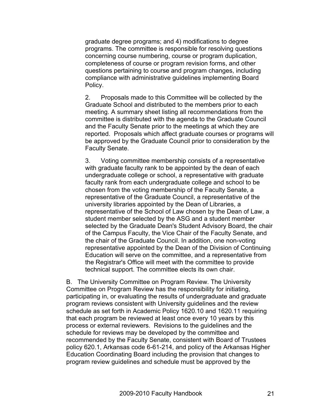graduate degree programs; and 4) modifications to degree programs. The committee is responsible for resolving questions concerning course numbering, course or program duplication, completeness of course or program revision forms, and other questions pertaining to course and program changes, including compliance with administrative guidelines implementing Board Policy.

2. Proposals made to this Committee will be collected by the Graduate School and distributed to the members prior to each meeting. A summary sheet listing all recommendations from the committee is distributed with the agenda to the Graduate Council and the Faculty Senate prior to the meetings at which they are reported. Proposals which affect graduate courses or programs will be approved by the Graduate Council prior to consideration by the Faculty Senate.

3. Voting committee membership consists of a representative with graduate faculty rank to be appointed by the dean of each undergraduate college or school, a representative with graduate faculty rank from each undergraduate college and school to be chosen from the voting membership of the Faculty Senate, a representative of the Graduate Council, a representative of the university libraries appointed by the Dean of Libraries, a representative of the School of Law chosen by the Dean of Law, a student member selected by the ASG and a student member selected by the Graduate Dean's Student Advisory Board, the chair of the Campus Faculty, the Vice Chair of the Faculty Senate, and the chair of the Graduate Council. In addition, one non-voting representative appointed by the Dean of the Division of Continuing Education will serve on the committee, and a representative from the Registrar's Office will meet with the committee to provide technical support. The committee elects its own chair.

B. The University Committee on Program Review. The University Committee on Program Review has the responsibility for initiating, participating in, or evaluating the results of undergraduate and graduate program reviews consistent with University guidelines and the review schedule as set forth in Academic Policy 1620.10 and 1620.11 requiring that each program be reviewed at least once every 10 years by this process or external reviewers. Revisions to the guidelines and the schedule for reviews may be developed by the committee and recommended by the Faculty Senate, consistent with Board of Trustees policy 620.1, Arkansas code 6-61-214, and policy of the Arkansas Higher Education Coordinating Board including the provision that changes to program review guidelines and schedule must be approved by the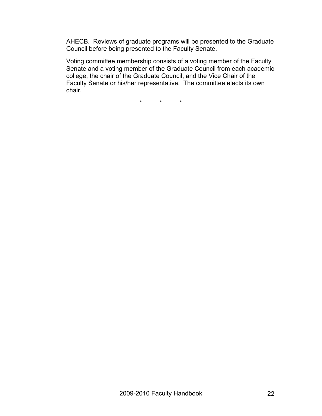AHECB. Reviews of graduate programs will be presented to the Graduate Council before being presented to the Faculty Senate.

Voting committee membership consists of a voting member of the Faculty Senate and a voting member of the Graduate Council from each academic college, the chair of the Graduate Council, and the Vice Chair of the Faculty Senate or his/her representative. The committee elects its own chair.

\* \* \*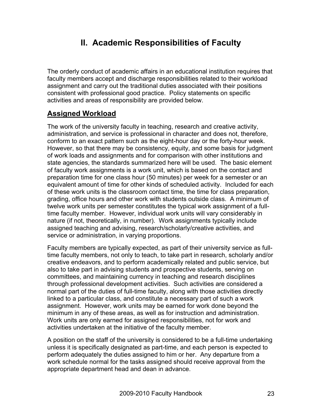# **II. Academic Responsibilities of Faculty**

The orderly conduct of academic affairs in an educational institution requires that faculty members accept and discharge responsibilities related to their workload assignment and carry out the traditional duties associated with their positions consistent with professional good practice. Policy statements on specific activities and areas of responsibility are provided below.

# **Assigned Workload**

The work of the university faculty in teaching, research and creative activity, administration, and service is professional in character and does not, therefore, conform to an exact pattern such as the eight-hour day or the forty-hour week. However, so that there may be consistency, equity, and some basis for judgment of work loads and assignments and for comparison with other institutions and state agencies, the standards summarized here will be used. The basic element of faculty work assignments is a work unit, which is based on the contact and preparation time for one class hour (50 minutes) per week for a semester or an equivalent amount of time for other kinds of scheduled activity. Included for each of these work units is the classroom contact time, the time for class preparation, grading, office hours and other work with students outside class. A minimum of twelve work units per semester constitutes the typical work assignment of a fulltime faculty member. However, individual work units will vary considerably in nature (if not, theoretically, in number). Work assignments typically include assigned teaching and advising, research/scholarly/creative activities, and service or administration, in varying proportions.

Faculty members are typically expected, as part of their university service as fulltime faculty members, not only to teach, to take part in research, scholarly and/or creative endeavors, and to perform academically related and public service, but also to take part in advising students and prospective students, serving on committees, and maintaining currency in teaching and research disciplines through professional development activities. Such activities are considered a normal part of the duties of full-time faculty, along with those activities directly linked to a particular class, and constitute a necessary part of such a work assignment. However, work units may be earned for work done beyond the minimum in any of these areas, as well as for instruction and administration. Work units are only earned for assigned responsibilities, not for work and activities undertaken at the initiative of the faculty member.

A position on the staff of the university is considered to be a full-time undertaking unless it is specifically designated as part-time, and each person is expected to perform adequately the duties assigned to him or her. Any departure from a work schedule normal for the tasks assigned should receive approval from the appropriate department head and dean in advance.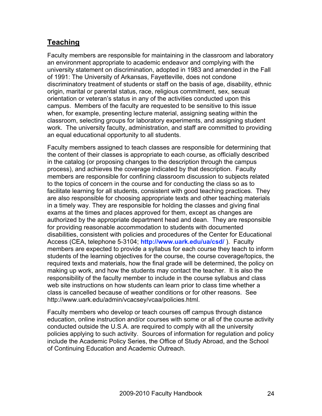# **Teaching**

Faculty members are responsible for maintaining in the classroom and laboratory an environment appropriate to academic endeavor and complying with the university statement on discrimination, adopted in 1983 and amended in the Fall of 1991: The University of Arkansas, Fayetteville, does not condone discriminatory treatment of students or staff on the basis of age, disability, ethnic origin, marital or parental status, race, religious commitment, sex, sexual orientation or veteran's status in any of the activities conducted upon this campus. Members of the faculty are requested to be sensitive to this issue when, for example, presenting lecture material, assigning seating within the classroom, selecting groups for laboratory experiments, and assigning student work. The university faculty, administration, and staff are committed to providing an equal educational opportunity to all students.

Faculty members assigned to teach classes are responsible for determining that the content of their classes is appropriate to each course, as officially described in the catalog (or proposing changes to the description through the campus process), and achieves the coverage indicated by that description. Faculty members are responsible for confining classroom discussion to subjects related to the topics of concern in the course and for conducting the class so as to facilitate learning for all students, consistent with good teaching practices. They are also responsible for choosing appropriate texts and other teaching materials in a timely way. They are responsible for holding the classes and giving final exams at the times and places approved for them, except as changes are authorized by the appropriate department head and dean. They are responsible for providing reasonable accommodation to students with documented disabilities, consistent with policies and procedures of the Center for Educational Access (CEA, telephone 5-3104; **http://www.uark.edu/ua/csd/** ). Faculty members are expected to provide a syllabus for each course they teach to inform students of the learning objectives for the course, the course coverage/topics, the required texts and materials, how the final grade will be determined, the policy on making up work, and how the students may contact the teacher. It is also the responsibility of the faculty member to include in the course syllabus and class web site instructions on how students can learn prior to class time whether a class is cancelled because of weather conditions or for other reasons. See http://www.uark.edu/admin/vcacsey/vcaa/policies.html.

Faculty members who develop or teach courses off campus through distance education, online instruction and/or courses with some or all of the course activity conducted outside the U.S.A. are required to comply with all the university policies applying to such activity. Sources of information for regulation and policy include the Academic Policy Series, the Office of Study Abroad, and the School of Continuing Education and Academic Outreach.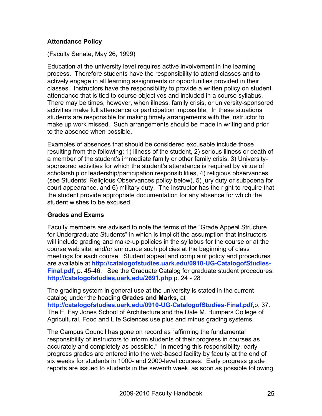#### **Attendance Policy**

(Faculty Senate, May 26, 1999)

Education at the university level requires active involvement in the learning process. Therefore students have the responsibility to attend classes and to actively engage in all learning assignments or opportunities provided in their classes. Instructors have the responsibility to provide a written policy on student attendance that is tied to course objectives and included in a course syllabus. There may be times, however, when illness, family crisis, or university-sponsored activities make full attendance or participation impossible. In these situations students are responsible for making timely arrangements with the instructor to make up work missed. Such arrangements should be made in writing and prior to the absence when possible.

Examples of absences that should be considered excusable include those resulting from the following: 1) illness of the student, 2) serious illness or death of a member of the student's immediate family or other family crisis, 3) Universitysponsored activities for which the student's attendance is required by virtue of scholarship or leadership/participation responsibilities, 4) religious observances (see Students' Religious Observances policy below), 5) jury duty or subpoena for court appearance, and 6) military duty. The instructor has the right to require that the student provide appropriate documentation for any absence for which the student wishes to be excused.

#### **Grades and Exams**

Faculty members are advised to note the terms of the "Grade Appeal Structure for Undergraduate Students" in which is implicit the assumption that instructors will include grading and make-up policies in the syllabus for the course or at the course web site, and/or announce such policies at the beginning of class meetings for each course. Student appeal and complaint policy and procedures are available at **http://catalogofstudies.uark.edu/0910-UG-CatalogofStudies-Final.pdf**, p. 45-46. See the Graduate Catalog for graduate student procedures. **http://catalogofstudies.uark.edu/2691.php** p. 24 - 28

The grading system in general use at the university is stated in the current catalog under the heading **Grades and Marks**, at **http://catalogofstudies.uark.edu/0910-UG-CatalogofStudies-Final.pdf**,p. 37. The E. Fay Jones School of Architecture and the Dale M. Bumpers College of Agricultural, Food and Life Sciences use plus and minus grading systems.

The Campus Council has gone on record as "affirming the fundamental responsibility of instructors to inform students of their progress in courses as accurately and completely as possible." In meeting this responsibility, early progress grades are entered into the web-based facility by faculty at the end of six weeks for students in 1000- and 2000-level courses. Early progress grade reports are issued to students in the seventh week, as soon as possible following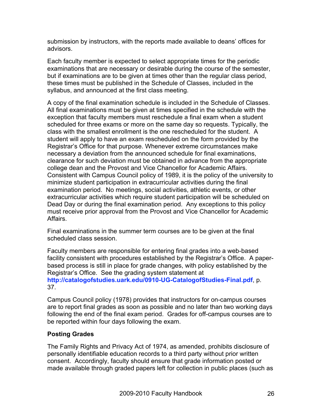submission by instructors, with the reports made available to deans' offices for advisors.

Each faculty member is expected to select appropriate times for the periodic examinations that are necessary or desirable during the course of the semester, but if examinations are to be given at times other than the regular class period, these times must be published in the Schedule of Classes, included in the syllabus, and announced at the first class meeting.

A copy of the final examination schedule is included in the Schedule of Classes. All final examinations must be given at times specified in the schedule with the exception that faculty members must reschedule a final exam when a student scheduled for three exams or more on the same day so requests. Typically, the class with the smallest enrollment is the one rescheduled for the student. A student will apply to have an exam rescheduled on the form provided by the Registrar's Office for that purpose. Whenever extreme circumstances make necessary a deviation from the announced schedule for final examinations, clearance for such deviation must be obtained in advance from the appropriate college dean and the Provost and Vice Chancellor for Academic Affairs. Consistent with Campus Council policy of 1989, it is the policy of the university to minimize student participation in extracurricular activities during the final examination period. No meetings, social activities, athletic events, or other extracurricular activities which require student participation will be scheduled on Dead Day or during the final examination period. Any exceptions to this policy must receive prior approval from the Provost and Vice Chancellor for Academic Affairs.

Final examinations in the summer term courses are to be given at the final scheduled class session.

Faculty members are responsible for entering final grades into a web-based facility consistent with procedures established by the Registrar's Office. A paperbased process is still in place for grade changes, with policy established by the Registrar's Office. See the grading system statement at **http://catalogofstudies.uark.edu/0910-UG-CatalogofStudies-Final.pdf**, p. 37.

Campus Council policy (1978) provides that instructors for on-campus courses are to report final grades as soon as possible and no later than two working days following the end of the final exam period. Grades for off-campus courses are to be reported within four days following the exam.

#### **Posting Grades**

The Family Rights and Privacy Act of 1974, as amended, prohibits disclosure of personally identifiable education records to a third party without prior written consent. Accordingly, faculty should ensure that grade information posted or made available through graded papers left for collection in public places (such as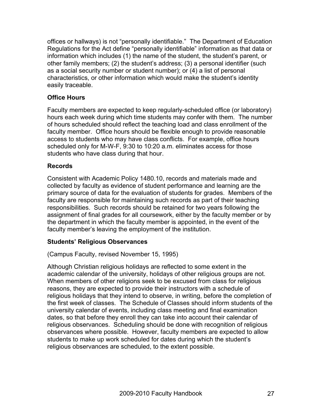offices or hallways) is not "personally identifiable." The Department of Education Regulations for the Act define "personally identifiable" information as that data or information which includes (1) the name of the student, the student's parent, or other family members; (2) the student's address; (3) a personal identifier (such as a social security number or student number); or (4) a list of personal characteristics, or other information which would make the student's identity easily traceable.

#### **Office Hours**

Faculty members are expected to keep regularly-scheduled office (or laboratory) hours each week during which time students may confer with them. The number of hours scheduled should reflect the teaching load and class enrollment of the faculty member. Office hours should be flexible enough to provide reasonable access to students who may have class conflicts. For example, office hours scheduled only for M-W-F, 9:30 to 10:20 a.m. eliminates access for those students who have class during that hour.

#### **Records**

Consistent with Academic Policy 1480.10, records and materials made and collected by faculty as evidence of student performance and learning are the primary source of data for the evaluation of students for grades. Members of the faculty are responsible for maintaining such records as part of their teaching responsibilities. Such records should be retained for two years following the assignment of final grades for all coursework, either by the faculty member or by the department in which the faculty member is appointed, in the event of the faculty member's leaving the employment of the institution.

#### **Students' Religious Observances**

(Campus Faculty, revised November 15, 1995)

Although Christian religious holidays are reflected to some extent in the academic calendar of the university, holidays of other religious groups are not. When members of other religions seek to be excused from class for religious reasons, they are expected to provide their instructors with a schedule of religious holidays that they intend to observe, in writing, before the completion of the first week of classes. The Schedule of Classes should inform students of the university calendar of events, including class meeting and final examination dates, so that before they enroll they can take into account their calendar of religious observances. Scheduling should be done with recognition of religious observances where possible. However, faculty members are expected to allow students to make up work scheduled for dates during which the student's religious observances are scheduled, to the extent possible.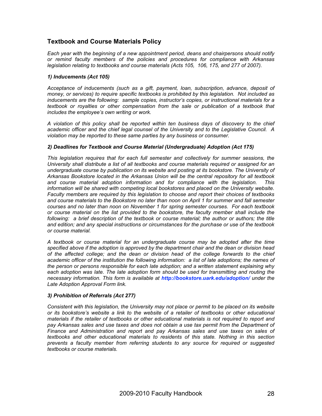#### **Textbook and Course Materials Policy**

*Each year with the beginning of a new appointment period, deans and chairpersons should notify or remind faculty members of the policies and procedures for compliance with Arkansas legislation relating to textbooks and course materials (Acts 105, 106, 175, and 277 of 2007).* 

#### *1) Inducements (Act 105)*

*Acceptance of inducements (such as a gift, payment, loan, subscription, advance, deposit of money, or services) to require specific textbooks is prohibited by this legislation. Not included as inducements are the following: sample copies, instructor's copies, or instructional materials for a textbook or royalties or other compensation from the sale or publication of a textbook that includes the employee's own writing or work.* 

*A violation of this policy shall be reported within ten business days of discovery to the chief academic officer and the chief legal counsel of the University and to the Legislative Council. A violation may be reported to these same parties by any business or consumer.*

#### *2) Deadlines for Textbook and Course Material (Undergraduate) Adoption (Act 175)*

*This legislation requires that for each full semester and collectively for summer sessions, the University shall distribute a list of all textbooks and course materials required or assigned for an undergraduate course by publication on its website and posting at its bookstore. The University of Arkansas Bookstore located in the Arkansas Union will be the central repository for all textbook and course material adoption information and for compliance with the legislation. This information will be shared with competing local bookstores and placed on the University website. Faculty members are required by this legislation to choose and report their choices of textbooks and course materials to the Bookstore no later than noon on April 1 for summer and fall semester courses and no later than noon on November 1 for spring semester courses. For each textbook or course material on the list provided to the bookstore, the faculty member shall include the*  following: a brief description of the textbook or course material; the author or authors; the title *and edition; and any special instructions or circumstances for the purchase or use of the textbook or course material.* 

*A textbook or course material for an undergraduate course may be adopted after the time specified above if the adoption is approved by the department chair and the dean or division head of the affected college; and the dean or division head of the college forwards to the chief academic officer of the institution the following information: a list of late adoptions; the names of the person or persons responsible for each late adoption; and a written statement explaining why*  each adoption was late. The late adoption form should be used for transmitting and routing the *necessary information. This form is available at http://bookstore.uark.edu/adoption/ under the Late Adoption Approval Form link.*

#### *3) Prohibition of Referrals (Act 277)*

*Consistent with this legislation, the University may not place or permit to be placed on its website or its bookstore's website a link to the website of a retailer of textbooks or other educational materials if the retailer of textbooks or other educational materials is not required to report and pay Arkansas sales and use taxes and does not obtain a use tax permit from the Department of Finance and Administration and report and pay Arkansas sales and use taxes on sales of textbooks and other educational materials to residents of this state. Nothing in this section prevents a faculty member from referring students to any source for required or suggested textbooks or course materials.*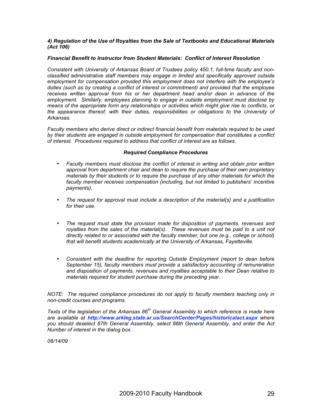#### *4) Regulation of the Use of Royalties from the Sale of Textbooks and Educational Materials (Act 106)*

#### *Financial Benefit to Instructor from Student Materials: Conflict of Interest Resolution*

*Consistent with University of Arkansas Board of Trustees policy 450.1, full-time faculty and nonclassified administrative staff members may engage in limited and specifically approved outside employment for compensation provided this employment does not interfere with the employee's duties (such as by creating a conflict of interest or commitment) and provided that the employee receives written approval from his or her department head and/or dean in advance of the employment. Similarly, employees planning to engage in outside employment must disclose by means of the appropriate form any relationships or activities which might give rise to conflicts, or the appearance thereof, with their duties, responsibilities or obligations to the University of Arkansas.*

*Faculty members who derive direct or indirect financial benefit from materials required to be used by their students are engaged in outside employment for compensation that constitutes a conflict of interest. Procedures required to address that conflict of interest are as follows.*

#### *Required Compliance Procedures*

- *Faculty members must disclose the conflict of interest in writing and obtain prior written approval from department chair and dean to require the purchase of their own proprietary materials by their students or to require the purchase of any other materials for which the*  faculty member receives compensation (including, but not limited to publishers' incentive *payments).*
- *The request for approval must include a description of the material(s) and a justification for their use.*
- *The request must state the provision made for disposition of payments, revenues and*  royalties from the sales of the material(s). These revenues must be paid to a unit not *directly related to or associated with the faculty member, but one (e.g., college or school) that will benefit students academically at the University of Arkansas, Fayetteville.*
- *Consistent with the deadline for reporting Outside Employment (report to dean before September 15), faculty members must provide a satisfactory accounting of remuneration and disposition of payments, revenues and royalties acceptable to their Dean relative to materials required for student purchase during the preceding year.*

*NOTE: The required compliance procedures do not apply to faculty members teaching only in non-credit courses and programs.*

*Texts of the legislation of the Arkansas 86th General Assembly to which reference is made here are available at http://www.arkleg.state.ar.us/SearchCenter/Pages/historicalact.aspx where you should deselect 87th General Assembly, select 86th General Assembly, and enter the Act Number of interest in the dialog box.*

*08/14/09*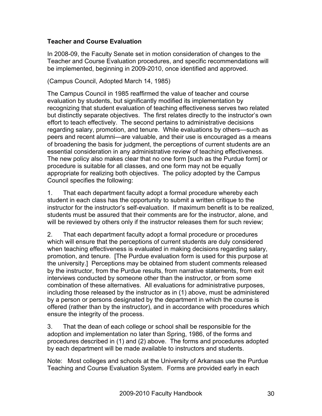#### **Teacher and Course Evaluation**

In 2008-09, the Faculty Senate set in motion consideration of changes to the Teacher and Course Evaluation procedures, and specific recommendations will be implemented, beginning in 2009-2010, once identified and approved.

(Campus Council, Adopted March 14, 1985)

The Campus Council in 1985 reaffirmed the value of teacher and course evaluation by students, but significantly modified its implementation by recognizing that student evaluation of teaching effectiveness serves two related but distinctly separate objectives. The first relates directly to the instructor's own effort to teach effectively. The second pertains to administrative decisions regarding salary, promotion, and tenure. While evaluations by others—such as peers and recent alumni—are valuable, and their use is encouraged as a means of broadening the basis for judgment, the perceptions of current students are an essential consideration in any administrative review of teaching effectiveness. The new policy also makes clear that no one form [such as the Purdue form] or procedure is suitable for all classes, and one form may not be equally appropriate for realizing both objectives. The policy adopted by the Campus Council specifies the following:

1. That each department faculty adopt a formal procedure whereby each student in each class has the opportunity to submit a written critique to the instructor for the instructor's self-evaluation. If maximum benefit is to be realized, students must be assured that their comments are for the instructor, alone, and will be reviewed by others only if the instructor releases them for such review;

2. That each department faculty adopt a formal procedure or procedures which will ensure that the perceptions of current students are duly considered when teaching effectiveness is evaluated in making decisions regarding salary, promotion, and tenure. [The Purdue evaluation form is used for this purpose at the university.] Perceptions may be obtained from student comments released by the instructor, from the Purdue results, from narrative statements, from exit interviews conducted by someone other than the instructor, or from some combination of these alternatives. All evaluations for administrative purposes, including those released by the instructor as in (1) above, must be administered by a person or persons designated by the department in which the course is offered (rather than by the instructor), and in accordance with procedures which ensure the integrity of the process.

3. That the dean of each college or school shall be responsible for the adoption and implementation no later than Spring, 1986, of the forms and procedures described in (1) and (2) above. The forms and procedures adopted by each department will be made available to instructors and students.

Note: Most colleges and schools at the University of Arkansas use the Purdue Teaching and Course Evaluation System. Forms are provided early in each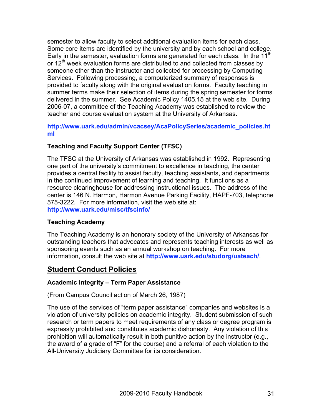semester to allow faculty to select additional evaluation items for each class. Some core items are identified by the university and by each school and college. Early in the semester, evaluation forms are generated for each class. In the 11<sup>th</sup> or  $12<sup>th</sup>$  week evaluation forms are distributed to and collected from classes by someone other than the instructor and collected for processing by Computing Services. Following processing, a computerized summary of responses is provided to faculty along with the original evaluation forms. Faculty teaching in summer terms make their selection of items during the spring semester for forms delivered in the summer. See Academic Policy 1405.15 at the web site. During 2006-07, a committee of the Teaching Academy was established to review the teacher and course evaluation system at the University of Arkansas.

#### **http://www.uark.edu/admin/vcacsey/AcaPolicySeries/academic\_policies.ht ml**

#### **Teaching and Faculty Support Center (TFSC)**

The TFSC at the University of Arkansas was established in 1992. Representing one part of the university's commitment to excellence in teaching, the center provides a central facility to assist faculty, teaching assistants, and departments in the continued improvement of learning and teaching. It functions as a resource clearinghouse for addressing instructional issues. The address of the center is 146 N. Harmon, Harmon Avenue Parking Facility, HAPF-703, telephone 575-3222. For more information, visit the web site at: **http://www.uark.edu/misc/tfscinfo/**

#### **Teaching Academy**

The Teaching Academy is an honorary society of the University of Arkansas for outstanding teachers that advocates and represents teaching interests as well as sponsoring events such as an annual workshop on teaching. For more information, consult the web site at **http://www.uark.edu/studorg/uateach/**.

## **Student Conduct Policies**

#### **Academic Integrity – Term Paper Assistance**

(From Campus Council action of March 26, 1987)

The use of the services of "term paper assistance" companies and websites is a violation of university policies on academic integrity. Student submission of such research or term papers to meet requirements of any class or degree program is expressly prohibited and constitutes academic dishonesty. Any violation of this prohibition will automatically result in both punitive action by the instructor (e.g., the award of a grade of "F" for the course) and a referral of each violation to the All-University Judiciary Committee for its consideration.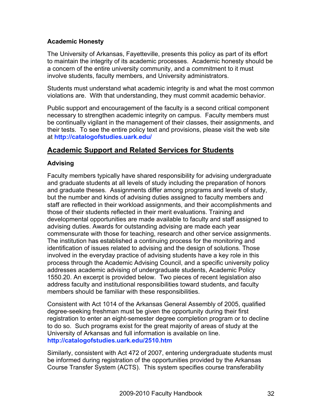#### **Academic Honesty**

The University of Arkansas, Fayetteville, presents this policy as part of its effort to maintain the integrity of its academic processes. Academic honesty should be a concern of the entire university community, and a commitment to it must involve students, faculty members, and University administrators.

Students must understand what academic integrity is and what the most common violations are. With that understanding, they must commit academic behavior.

Public support and encouragement of the faculty is a second critical component necessary to strengthen academic integrity on campus. Faculty members must be continually vigilant in the management of their classes, their assignments, and their tests. To see the entire policy text and provisions, please visit the web site at **http://catalogofstudies.uark.edu/**

### **Academic Support and Related Services for Students**

#### **Advising**

Faculty members typically have shared responsibility for advising undergraduate and graduate students at all levels of study including the preparation of honors and graduate theses. Assignments differ among programs and levels of study, but the number and kinds of advising duties assigned to faculty members and staff are reflected in their workload assignments, and their accomplishments and those of their students reflected in their merit evaluations. Training and developmental opportunities are made available to faculty and staff assigned to advising duties. Awards for outstanding advising are made each year commensurate with those for teaching, research and other service assignments. The institution has established a continuing process for the monitoring and identification of issues related to advising and the design of solutions. Those involved in the everyday practice of advising students have a key role in this process through the Academic Advising Council, and a specific university policy addresses academic advising of undergraduate students, Academic Policy 1550.20. An excerpt is provided below. Two pieces of recent legislation also address faculty and institutional responsibilities toward students, and faculty members should be familiar with these responsibilities.

Consistent with Act 1014 of the Arkansas General Assembly of 2005, qualified degree-seeking freshman must be given the opportunity during their first registration to enter an eight-semester degree completion program or to decline to do so. Such programs exist for the great majority of areas of study at the University of Arkansas and full information is available on line. **http://catalogofstudies.uark.edu/2510.htm**

Similarly, consistent with Act 472 of 2007, entering undergraduate students must be informed during registration of the opportunities provided by the Arkansas Course Transfer System (ACTS). This system specifies course transferability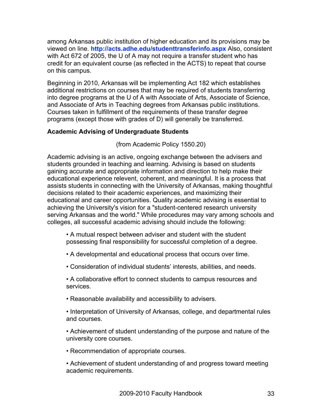among Arkansas public institution of higher education and its provisions may be viewed on line. **http://acts.adhe.edu/studenttransferinfo.aspx** Also, consistent with Act 672 of 2005, the U of A may not require a transfer student who has credit for an equivalent course (as reflected in the ACTS) to repeat that course on this campus.

Beginning in 2010, Arkansas will be implementing Act 182 which establishes additional restrictions on courses that may be required of students transferring into degree programs at the U of A with Associate of Arts, Associate of Science, and Associate of Arts in Teaching degrees from Arkansas public institutions. Courses taken in fulfillment of the requirements of these transfer degree programs (except those with grades of D) will generally be transferred.

#### **Academic Advising of Undergraduate Students**

(from Academic Policy 1550.20)

Academic advising is an active, ongoing exchange between the advisers and students grounded in teaching and learning. Advising is based on students gaining accurate and appropriate information and direction to help make their educational experience relevent, coherent, and meaningful. It is a process that assists students in connecting with the University of Arkansas, making thoughtful decisions related to their academic experiences, and maximizing their educational and career opportunities. Quality academic advising is essential to achieving the University's vision for a "student-centered research university serving Arkansas and the world." While procedures may vary among schools and colleges, all successful academic advising should include the following:

• A mutual respect between adviser and student with the student possessing final responsibility for successful completion of a degree.

- A developmental and educational process that occurs over time.
- Consideration of individual students' interests, abilities, and needs.
- A collaborative effort to connect students to campus resources and services.
- Reasonable availability and accessibility to advisers.
- Interpretation of University of Arkansas, college, and departmental rules and courses.
- Achievement of student understanding of the purpose and nature of the university core courses.
- Recommendation of appropriate courses.
- Achievement of student understanding of and progress toward meeting academic requirements.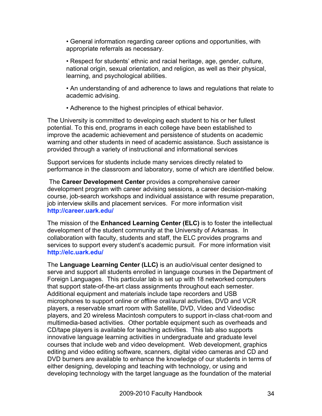• General information regarding career options and opportunities, with appropriate referrals as necessary.

• Respect for students' ethnic and racial heritage, age, gender, culture, national origin, sexual orientation, and religion, as well as their physical, learning, and psychological abilities.

• An understanding of and adherence to laws and regulations that relate to academic advising.

• Adherence to the highest principles of ethical behavior.

The University is committed to developing each student to his or her fullest potential. To this end, programs in each college have been established to improve the academic achievement and persistence of students on academic warning and other students in need of academic assistance. Such assistance is provided through a variety of instructional and informational services

Support services for students include many services directly related to performance in the classroom and laboratory, some of which are identified below.

The **Career Development Center** provides a comprehensive career development program with career advising sessions, a career decision-making course, job-search workshops and individual assistance with resume preparation, job interview skills and placement services. For more information visit **http://career.uark.edu/**

The mission of the **Enhanced Learning Center (ELC)** is to foster the intellectual development of the student community at the University of Arkansas. In collaboration with faculty, students and staff, the ELC provides programs and services to support every student's academic pursuit. For more information visit **http://elc.uark.edu/**

The **Language Learning Center (LLC)** is an audio/visual center designed to serve and support all students enrolled in language courses in the Department of Foreign Languages. This particular lab is set up with 18 networked computers that support state-of-the-art class assignments throughout each semester. Additional equipment and materials include tape recorders and USB microphones to support online or offline oral/aural activities, DVD and VCR players, a reservable smart room with Satellite, DVD, Video and Videodisc players, and 20 wireless Macintosh computers to support in-class chat-room and multimedia-based activities. Other portable equipment such as overheads and CD/tape players is available for teaching activities. This lab also supports innovative language learning activities in undergraduate and graduate level courses that include web and video development. Web development, graphics editing and video editing software, scanners, digital video cameras and CD and DVD burners are available to enhance the knowledge of our students in terms of either designing, developing and teaching with technology, or using and developing technology with the target language as the foundation of the material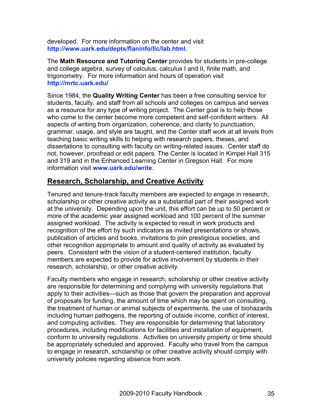developed. For more information on the center and visit **http://www.uark.edu/depts/flaninfo/llc/lab.html**.

The **Math Resource and Tutoring Center** provides for students in pre-college and college algebra, survey of calculus, calculus I and II, finite math, and trigonometry. For more information and hours of operation visit **http://mrtc.uark.edu/**

Since 1984, the **Quality Writing Center** has been a free consulting service for students, faculty, and staff from all schools and colleges on campus and serves as a resource for any type of writing project. The Center goal is to help those who come to the center become more competent and self-confident writers. All aspects of writing from organization, coherence, and clarity to punctuation, grammar, usage, and style are taught, and the Center staff work at all levels from teaching basic writing skills to helping with research papers, theses, and dissertations to consulting with faculty on writing-related issues. Center staff do not, however, proofread or edit papers. The Center is located in Kimpel Hall 315 and 319 and in the Enhanced Learning Center in Gregson Hall. For more information visit **www.uark.edu/write**.

## **Research, Scholarship, and Creative Activity**

Tenured and tenure-track faculty members are expected to engage in research, scholarship or other creative activity as a substantial part of their assigned work at the university. Depending upon the unit, this effort can be up to 50 percent or more of the academic year assigned workload and 100 percent of the summer assigned workload. The activity is expected to result in work products and recognition of the effort by such indicators as invited presentations or shows, publication of articles and books, invitations to join prestigious societies, and other recognition appropriate to amount and quality of activity as evaluated by peers. Consistent with the vision of a student-centered institution, faculty members are expected to provide for active involvement by students in their research, scholarship, or other creative activity.

Faculty members who engage in research, scholarship or other creative activity are responsible for determining and complying with university regulations that apply to their activities—such as those that govern the preparation and approval of proposals for funding, the amount of time which may be spent on consulting, the treatment of human or animal subjects of experiments, the use of biohazards including human pathogens, the reporting of outside income, conflict of interest, and computing activities. They are responsible for determining that laboratory procedures, including modifications for facilities and installation of equipment, conform to university regulations. Activities on university property or time should be appropriately scheduled and approved. Faculty who travel from the campus to engage in research, scholarship or other creative activity should comply with university policies regarding absence from work.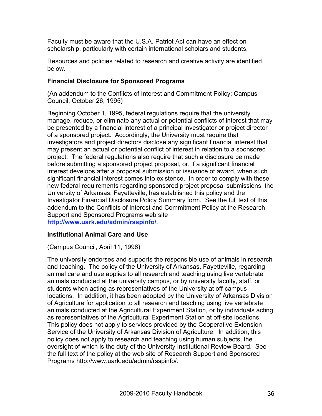Faculty must be aware that the U.S.A. Patriot Act can have an effect on scholarship, particularly with certain international scholars and students.

Resources and policies related to research and creative activity are identified below.

#### **Financial Disclosure for Sponsored Programs**

(An addendum to the Conflicts of Interest and Commitment Policy; Campus Council, October 26, 1995)

Beginning October 1, 1995, federal regulations require that the university manage, reduce, or eliminate any actual or potential conflicts of interest that may be presented by a financial interest of a principal investigator or project director of a sponsored project. Accordingly, the University must require that investigators and project directors disclose any significant financial interest that may present an actual or potential conflict of interest in relation to a sponsored project. The federal regulations also require that such a disclosure be made before submitting a sponsored project proposal, or, if a significant financial interest develops after a proposal submission or issuance of award, when such significant financial interest comes into existence. In order to comply with these new federal requirements regarding sponsored project proposal submissions, the University of Arkansas, Fayetteville, has established this policy and the Investigator Financial Disclosure Policy Summary form. See the full text of this addendum to the Conflicts of Interest and Commitment Policy at the Research Support and Sponsored Programs web site **http://www.uark.edu/admin/rsspinfo/**.

## **Institutional Animal Care and Use**

(Campus Council, April 11, 1996)

The university endorses and supports the responsible use of animals in research and teaching. The policy of the University of Arkansas, Fayetteville, regarding animal care and use applies to all research and teaching using live vertebrate animals conducted at the university campus, or by university faculty, staff, or students when acting as representatives of the University at off-campus locations. In addition, it has been adopted by the University of Arkansas Division of Agriculture for application to all research and teaching using live vertebrate animals conducted at the Agricultural Experiment Station, or by individuals acting as representatives of the Agricultural Experiment Station at off-site locations. This policy does not apply to services provided by the Cooperative Extension Service of the University of Arkansas Division of Agriculture. In addition, this policy does not apply to research and teaching using human subjects, the oversight of which is the duty of the University Institutional Review Board. See the full text of the policy at the web site of Research Support and Sponsored Programs http://www.uark.edu/admin/rsspinfo/.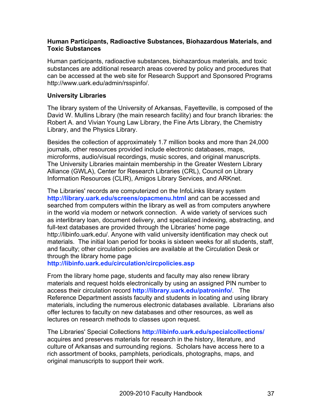#### **Human Participants, Radioactive Substances, Biohazardous Materials, and Toxic Substances**

Human participants, radioactive substances, biohazardous materials, and toxic substances are additional research areas covered by policy and procedures that can be accessed at the web site for Research Support and Sponsored Programs http://www.uark.edu/admin/rsspinfo/.

#### **University Libraries**

The library system of the University of Arkansas, Fayetteville, is composed of the David W. Mullins Library (the main research facility) and four branch libraries: the Robert A. and Vivian Young Law Library, the Fine Arts Library, the Chemistry Library, and the Physics Library.

Besides the collection of approximately 1.7 million books and more than 24,000 journals, other resources provided include electronic databases, maps, microforms, audio/visual recordings, music scores, and original manuscripts. The University Libraries maintain membership in the Greater Western Library Alliance (GWLA), Center for Research Libraries (CRL), Council on Library Information Resources (CLIR), Amigos Library Services, and ARKnet.

The Libraries' records are computerized on the InfoLinks library system **http://library.uark.edu/screens/opacmenu.html** and can be accessed and searched from computers within the library as well as from computers anywhere in the world via modem or network connection. A wide variety of services such as interlibrary loan, document delivery, and specialized indexing, abstracting, and full-text databases are provided through the Libraries' home page http://libinfo.uark.edu/. Anyone with valid university identification may check out materials. The initial loan period for books is sixteen weeks for all students, staff, and faculty; other circulation policies are available at the Circulation Desk or through the library home page

**http://libinfo.uark.edu/circulation/circpolicies.asp**

From the library home page, students and faculty may also renew library materials and request holds electronically by using an assigned PIN number to access their circulation record **http://library.uark.edu/patroninfo/**. The Reference Department assists faculty and students in locating and using library materials, including the numerous electronic databases available. Librarians also offer lectures to faculty on new databases and other resources, as well as lectures on research methods to classes upon request.

The Libraries' Special Collections **http://libinfo.uark.edu/specialcollections/** acquires and preserves materials for research in the history, literature, and culture of Arkansas and surrounding regions. Scholars have access here to a rich assortment of books, pamphlets, periodicals, photographs, maps, and original manuscripts to support their work.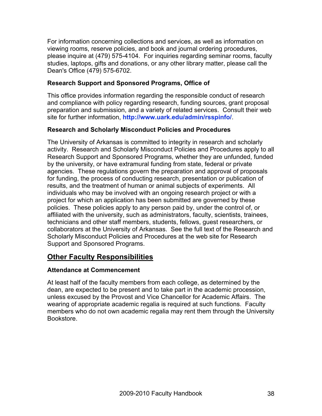For information concerning collections and services, as well as information on viewing rooms, reserve policies, and book and journal ordering procedures, please inquire at (479) 575-4104. For inquiries regarding seminar rooms, faculty studies, laptops, gifts and donations, or any other library matter, please call the Dean's Office (479) 575-6702.

## **Research Support and Sponsored Programs, Office of**

This office provides information regarding the responsible conduct of research and compliance with policy regarding research, funding sources, grant proposal preparation and submission, and a variety of related services. Consult their web site for further information, **http://www.uark.edu/admin/rsspinfo/**.

# **Research and Scholarly Misconduct Policies and Procedures**

The University of Arkansas is committed to integrity in research and scholarly activity. Research and Scholarly Misconduct Policies and Procedures apply to all Research Support and Sponsored Programs, whether they are unfunded, funded by the university, or have extramural funding from state, federal or private agencies. These regulations govern the preparation and approval of proposals for funding, the process of conducting research, presentation or publication of results, and the treatment of human or animal subjects of experiments. All individuals who may be involved with an ongoing research project or with a project for which an application has been submitted are governed by these policies. These policies apply to any person paid by, under the control of, or affiliated with the university, such as administrators, faculty, scientists, trainees, technicians and other staff members, students, fellows, guest researchers, or collaborators at the University of Arkansas. See the full text of the Research and Scholarly Misconduct Policies and Procedures at the web site for Research Support and Sponsored Programs.

# **Other Faculty Responsibilities**

# **Attendance at Commencement**

At least half of the faculty members from each college, as determined by the dean, are expected to be present and to take part in the academic procession, unless excused by the Provost and Vice Chancellor for Academic Affairs. The wearing of appropriate academic regalia is required at such functions. Faculty members who do not own academic regalia may rent them through the University Bookstore.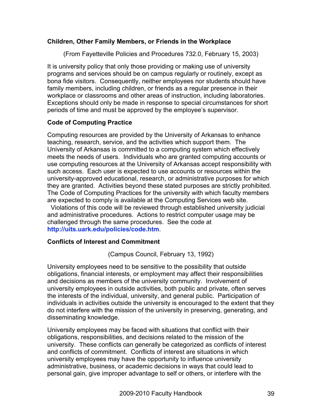#### **Children, Other Family Members, or Friends in the Workplace**

(From Fayetteville Policies and Procedures 732.0, February 15, 2003)

It is university policy that only those providing or making use of university programs and services should be on campus regularly or routinely, except as bona fide visitors. Consequently, neither employees nor students should have family members, including children, or friends as a regular presence in their workplace or classrooms and other areas of instruction, including laboratories. Exceptions should only be made in response to special circumstances for short periods of time and must be approved by the employee's supervisor.

# **Code of Computing Practice**

Computing resources are provided by the University of Arkansas to enhance teaching, research, service, and the activities which support them. The University of Arkansas is committed to a computing system which effectively meets the needs of users. Individuals who are granted computing accounts or use computing resources at the University of Arkansas accept responsibility with such access. Each user is expected to use accounts or resources within the university-approved educational, research, or administrative purposes for which they are granted. Activities beyond these stated purposes are strictly prohibited. The Code of Computing Practices for the university with which faculty members are expected to comply is available at the Computing Services web site.

 Violations of this code will be reviewed through established university judicial and administrative procedures. Actions to restrict computer usage may be challenged through the same procedures. See the code at **http://uits.uark.edu/policies/code.htm**.

#### **Conflicts of Interest and Commitment**

(Campus Council, February 13, 1992)

University employees need to be sensitive to the possibility that outside obligations, financial interests, or employment may affect their responsibilities and decisions as members of the university community. Involvement of university employees in outside activities, both public and private, often serves the interests of the individual, university, and general public. Participation of individuals in activities outside the university is encouraged to the extent that they do not interfere with the mission of the university in preserving, generating, and disseminating knowledge.

University employees may be faced with situations that conflict with their obligations, responsibilities, and decisions related to the mission of the university. These conflicts can generally be categorized as conflicts of interest and conflicts of commitment. Conflicts of interest are situations in which university employees may have the opportunity to influence university administrative, business, or academic decisions in ways that could lead to personal gain, give improper advantage to self or others, or interfere with the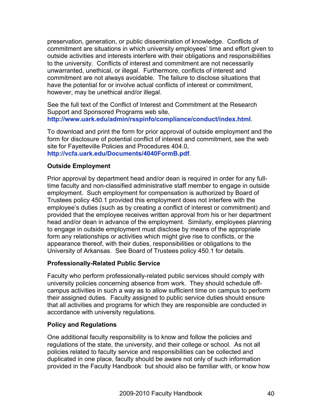preservation, generation, or public dissemination of knowledge. Conflicts of commitment are situations in which university employees' time and effort given to outside activities and interests interfere with their obligations and responsibilities to the university. Conflicts of interest and commitment are not necessarily unwarranted, unethical, or illegal. Furthermore, conflicts of interest and commitment are not always avoidable. The failure to disclose situations that have the potential for or involve actual conflicts of interest or commitment, however, may be unethical and/or illegal.

See the full text of the Conflict of Interest and Commitment at the Research Support and Sponsored Programs web site, **http://www.uark.edu/admin/rsspinfo/compliance/conduct/index.html**.

To download and print the form for prior approval of outside employment and the form for disclosure of potential conflict of interest and commitment, see the web site for Fayetteville Policies and Procedures 404.0, **http://vcfa.uark.edu/Documents/4040FormB.pdf**.

## **Outside Employment**

Prior approval by department head and/or dean is required in order for any fulltime faculty and non-classified administrative staff member to engage in outside employment. Such employment for compensation is authorized by Board of Trustees policy 450.1 provided this employment does not interfere with the employee's duties (such as by creating a conflict of interest or commitment) and provided that the employee receives written approval from his or her department head and/or dean in advance of the employment. Similarly, employees planning to engage in outside employment must disclose by means of the appropriate form any relationships or activities which might give rise to conflicts, or the appearance thereof, with their duties, responsibilities or obligations to the University of Arkansas. See Board of Trustees policy 450.1 for details.

#### **Professionally-Related Public Service**

Faculty who perform professionally-related public services should comply with university policies concerning absence from work. They should schedule offcampus activities in such a way as to allow sufficient time on campus to perform their assigned duties. Faculty assigned to public service duties should ensure that all activities and programs for which they are responsible are conducted in accordance with university regulations.

# **Policy and Regulations**

One additional faculty responsibility is to know and follow the policies and regulations of the state, the university, and their college or school. As not all policies related to faculty service and responsibilities can be collected and duplicated in one place, faculty should be aware not only of such information provided in the Faculty Handbook but should also be familiar with, or know how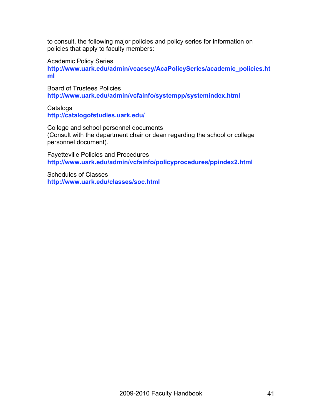to consult, the following major policies and policy series for information on policies that apply to faculty members:

Academic Policy Series

**http://www.uark.edu/admin/vcacsey/AcaPolicySeries/academic\_policies.ht ml**

Board of Trustees Policies **http://www.uark.edu/admin/vcfainfo/systempp/systemindex.html**

**Catalogs http://catalogofstudies.uark.edu/**

College and school personnel documents (Consult with the department chair or dean regarding the school or college personnel document).

Fayetteville Policies and Procedures **http://www.uark.edu/admin/vcfainfo/policyprocedures/ppindex2.html**

Schedules of Classes **http://www.uark.edu/classes/soc.html**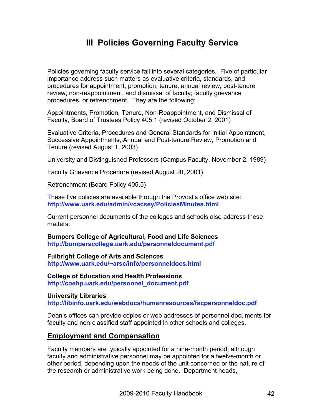# **III Policies Governing Faculty Service**

Policies governing faculty service fall into several categories. Five of particular importance address such matters as evaluative criteria, standards, and procedures for appointment, promotion, tenure, annual review, post-tenure review, non-reappointment, and dismissal of faculty; faculty grievance procedures, or retrenchment. They are the following:

Appointments, Promotion, Tenure, Non-Reappointment, and Dismissal of Faculty, Board of Trustees Policy 405.1 (revised October 2, 2001)

Evaluative Criteria, Procedures and General Standards for Initial Appointment, Successive Appointments, Annual and Post-tenure Review, Promotion and Tenure (revised August 1, 2003)

University and Distinguished Professors (Campus Faculty, November 2, 1989)

Faculty Grievance Procedure (revised August 20, 2001)

Retrenchment (Board Policy 405.5)

These five policies are available through the Provost's office web site: **http://www.uark.edu/admin/vcacsey/PoliciesMinutes.html**

Current personnel documents of the colleges and schools also address these matters:

**Bumpers College of Agricultural, Food and Life Sciences http://bumperscollege.uark.edu/personneldocument.pdf**

**Fulbright College of Arts and Sciences http://www.uark.edu/~arsc/info/personneldocs.html**

**College of Education and Health Professions http://coehp.uark.edu/personnel\_document.pdf**

**University Libraries http://libinfo.uark.edu/webdocs/humanresources/facpersonneldoc.pdf**

Dean's offices can provide copies or web addresses of personnel documents for faculty and non-classified staff appointed in other schools and colleges.

# **Employment and Compensation**

Faculty members are typically appointed for a nine-month period, although faculty and administrative personnel may be appointed for a twelve-month or other period, depending upon the needs of the unit concerned or the nature of the research or administrative work being done. Department heads,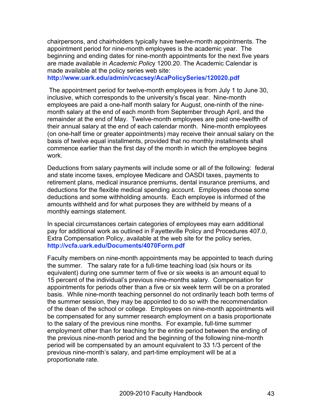chairpersons, and chairholders typically have twelve-month appointments. The appointment period for nine-month employees is the academic year. The beginning and ending dates for nine-month appointments for the next five years are made available in *Academic Polic*y 1200.20. The Academic Calendar is made available at the policy series web site:

**http://www.uark.edu/admin/vcacsey/AcaPolicySeries/120020.pdf**

The appointment period for twelve-month employees is from July 1 to June 30, inclusive, which corresponds to the university's fiscal year. Nine-month employees are paid a one-half month salary for August, one-ninth of the ninemonth salary at the end of each month from September through April, and the remainder at the end of May. Twelve-month employees are paid one-twelfth of their annual salary at the end of each calendar month. Nine-month employees (on one-half time or greater appointments) may receive their annual salary on the basis of twelve equal installments, provided that no monthly installments shall commence earlier than the first day of the month in which the employee begins work.

Deductions from salary payments will include some or all of the following: federal and state income taxes, employee Medicare and OASDI taxes, payments to retirement plans, medical insurance premiums, dental insurance premiums, and deductions for the flexible medical spending account. Employees choose some deductions and some withholding amounts. Each employee is informed of the amounts withheld and for what purposes they are withheld by means of a monthly earnings statement.

In special circumstances certain categories of employees may earn additional pay for additional work as outlined in Fayetteville Policy and Procedures 407.0, Extra Compensation Policy, available at the web site for the policy series, **http://vcfa.uark.edu/Documents/4070Form.pdf**

Faculty members on nine-month appointments may be appointed to teach during the summer. The salary rate for a full-time teaching load (six hours or its equivalent) during one summer term of five or six weeks is an amount equal to 15 percent of the individual's previous nine-months salary. Compensation for appointments for periods other than a five or six week term will be on a prorated basis. While nine-month teaching personnel do not ordinarily teach both terms of the summer session, they may be appointed to do so with the recommendation of the dean of the school or college. Employees on nine-month appointments will be compensated for any summer research employment on a basis proportionate to the salary of the previous nine months. For example, full-time summer employment other than for teaching for the entire period between the ending of the previous nine-month period and the beginning of the following nine-month period will be compensated by an amount equivalent to 33 1/3 percent of the previous nine-month's salary, and part-time employment will be at a proportionate rate.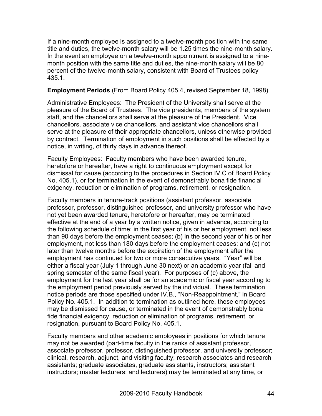If a nine-month employee is assigned to a twelve-month position with the same title and duties, the twelve-month salary will be 1.25 times the nine-month salary. In the event an employee on a twelve-month appointment is assigned to a ninemonth position with the same title and duties, the nine-month salary will be 80 percent of the twelve-month salary, consistent with Board of Trustees policy 435.1.

#### **Employment Periods** (From Board Policy 405.4, revised September 18, 1998)

Administrative Employees: The President of the University shall serve at the pleasure of the Board of Trustees. The vice presidents, members of the system staff, and the chancellors shall serve at the pleasure of the President. Vice chancellors, associate vice chancellors, and assistant vice chancellors shall serve at the pleasure of their appropriate chancellors, unless otherwise provided by contract. Termination of employment in such positions shall be effected by a notice, in writing, of thirty days in advance thereof.

Faculty Employees: Faculty members who have been awarded tenure, heretofore or hereafter, have a right to continuous employment except for dismissal for cause (according to the procedures in Section IV.C of Board Policy No. 405.1), or for termination in the event of demonstrably bona fide financial exigency, reduction or elimination of programs, retirement, or resignation.

Faculty members in tenure-track positions (assistant professor, associate professor, professor, distinguished professor, and university professor who have not yet been awarded tenure, heretofore or hereafter, may be terminated effective at the end of a year by a written notice, given in advance, according to the following schedule of time: in the first year of his or her employment, not less than 90 days before the employment ceases; (b) in the second year of his or her employment, not less than 180 days before the employment ceases; and (c) not later than twelve months before the expiration of the employment after the employment has continued for two or more consecutive years. "Year" will be either a fiscal year (July 1 through June 30 next) or an academic year (fall and spring semester of the same fiscal year). For purposes of (c) above, the employment for the last year shall be for an academic or fiscal year according to the employment period previously served by the individual. These termination notice periods are those specified under IV.B., "Non-Reappointment," in Board Policy No. 405.1. In addition to termination as outlined here, these employees may be dismissed for cause, or terminated in the event of demonstrably bona fide financial exigency, reduction or elimination of programs, retirement, or resignation, pursuant to Board Policy No. 405.1.

Faculty members and other academic employees in positions for which tenure may not be awarded (part-time faculty in the ranks of assistant professor, associate professor, professor, distinguished professor, and university professor; clinical, research, adjunct, and visiting faculty; research associates and research assistants; graduate associates, graduate assistants, instructors; assistant instructors; master lecturers; and lecturers) may be terminated at any time, or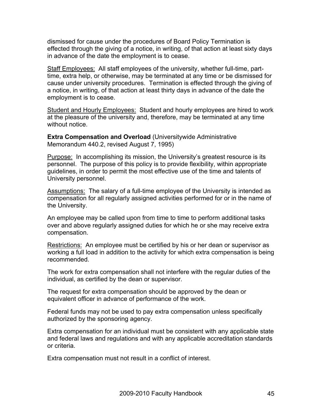dismissed for cause under the procedures of Board Policy Termination is effected through the giving of a notice, in writing, of that action at least sixty days in advance of the date the employment is to cease.

Staff Employees: All staff employees of the university, whether full-time, parttime, extra help, or otherwise, may be terminated at any time or be dismissed for cause under university procedures. Termination is effected through the giving of a notice, in writing, of that action at least thirty days in advance of the date the employment is to cease.

Student and Hourly Employees: Student and hourly employees are hired to work at the pleasure of the university and, therefore, may be terminated at any time without notice.

**Extra Compensation and Overload** (Universitywide Administrative Memorandum 440.2, revised August 7, 1995)

Purpose: In accomplishing its mission, the University's greatest resource is its personnel. The purpose of this policy is to provide flexibility, within appropriate guidelines, in order to permit the most effective use of the time and talents of University personnel.

Assumptions: The salary of a full-time employee of the University is intended as compensation for all regularly assigned activities performed for or in the name of the University.

An employee may be called upon from time to time to perform additional tasks over and above regularly assigned duties for which he or she may receive extra compensation.

Restrictions: An employee must be certified by his or her dean or supervisor as working a full load in addition to the activity for which extra compensation is being recommended.

The work for extra compensation shall not interfere with the regular duties of the individual, as certified by the dean or supervisor.

The request for extra compensation should be approved by the dean or equivalent officer in advance of performance of the work.

Federal funds may not be used to pay extra compensation unless specifically authorized by the sponsoring agency.

Extra compensation for an individual must be consistent with any applicable state and federal laws and regulations and with any applicable accreditation standards or criteria.

Extra compensation must not result in a conflict of interest.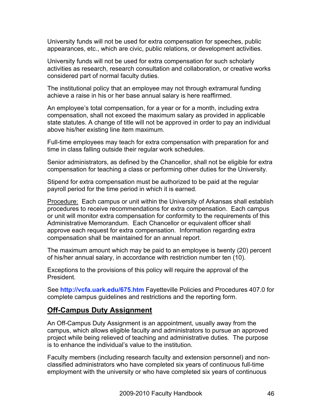University funds will not be used for extra compensation for speeches, public appearances, etc., which are civic, public relations, or development activities.

University funds will not be used for extra compensation for such scholarly activities as research, research consultation and collaboration, or creative works considered part of normal faculty duties.

The institutional policy that an employee may not through extramural funding achieve a raise in his or her base annual salary is here reaffirmed.

An employee's total compensation, for a year or for a month, including extra compensation, shall not exceed the maximum salary as provided in applicable state statutes. A change of title will not be approved in order to pay an individual above his/her existing line item maximum.

Full-time employees may teach for extra compensation with preparation for and time in class falling outside their regular work schedules.

Senior administrators, as defined by the Chancellor, shall not be eligible for extra compensation for teaching a class or performing other duties for the University.

Stipend for extra compensation must be authorized to be paid at the regular payroll period for the time period in which it is earned.

**Procedure:** Each campus or unit within the University of Arkansas shall establish procedures to receive recommendations for extra compensation. Each campus or unit will monitor extra compensation for conformity to the requirements of this Administrative Memorandum. Each Chancellor or equivalent officer shall approve each request for extra compensation. Information regarding extra compensation shall be maintained for an annual report.

The maximum amount which may be paid to an employee is twenty (20) percent of his/her annual salary, in accordance with restriction number ten (10).

Exceptions to the provisions of this policy will require the approval of the President.

See **http://vcfa.uark.edu/675.htm** Fayetteville Policies and Procedures 407.0 for complete campus guidelines and restrictions and the reporting form.

# **Off-Campus Duty Assignment**

An Off-Campus Duty Assignment is an appointment, usually away from the campus, which allows eligible faculty and administrators to pursue an approved project while being relieved of teaching and administrative duties. The purpose is to enhance the individual's value to the institution.

Faculty members (including research faculty and extension personnel) and nonclassified administrators who have completed six years of continuous full-time employment with the university or who have completed six years of continuous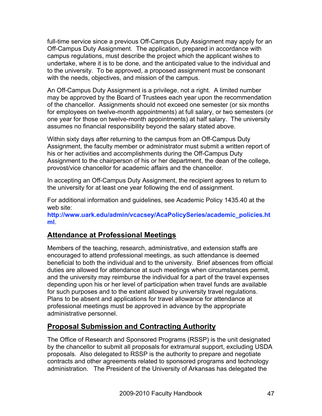full-time service since a previous Off-Campus Duty Assignment may apply for an Off-Campus Duty Assignment. The application, prepared in accordance with campus regulations, must describe the project which the applicant wishes to undertake, where it is to be done, and the anticipated value to the individual and to the university. To be approved, a proposed assignment must be consonant with the needs, objectives, and mission of the campus.

An Off-Campus Duty Assignment is a privilege, not a right. A limited number may be approved by the Board of Trustees each year upon the recommendation of the chancellor. Assignments should not exceed one semester (or six months for employees on twelve-month appointments) at full salary, or two semesters (or one year for those on twelve-month appointments) at half salary. The university assumes no financial responsibility beyond the salary stated above.

Within sixty days after returning to the campus from an Off-Campus Duty Assignment, the faculty member or administrator must submit a written report of his or her activities and accomplishments during the Off-Campus Duty Assignment to the chairperson of his or her department, the dean of the college, provost/vice chancellor for academic affairs and the chancellor.

In accepting an Off-Campus Duty Assignment, the recipient agrees to return to the university for at least one year following the end of assignment.

For additional information and guidelines, see Academic Policy 1435.40 at the web site:

**http://www.uark.edu/admin/vcacsey/AcaPolicySeries/academic\_policies.ht ml**.

# **Attendance at Professional Meetings**

Members of the teaching, research, administrative, and extension staffs are encouraged to attend professional meetings, as such attendance is deemed beneficial to both the individual and to the university. Brief absences from official duties are allowed for attendance at such meetings when circumstances permit, and the university may reimburse the individual for a part of the travel expenses depending upon his or her level of participation when travel funds are available for such purposes and to the extent allowed by university travel regulations. Plans to be absent and applications for travel allowance for attendance at professional meetings must be approved in advance by the appropriate administrative personnel.

# **Proposal Submission and Contracting Authority**

The Office of Research and Sponsored Programs (RSSP) is the unit designated by the chancellor to submit all proposals for extramural support, excluding USDA proposals. Also delegated to RSSP is the authority to prepare and negotiate contracts and other agreements related to sponsored programs and technology administration. The President of the University of Arkansas has delegated the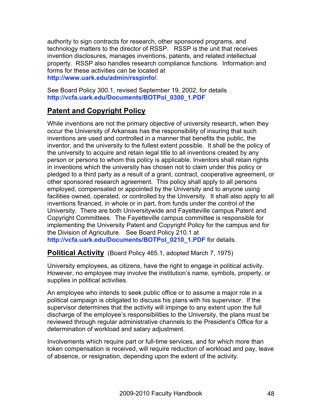authority to sign contracts for research, other sponsored programs, and technology matters to the director of RSSP. RSSP is the unit that receives invention disclosures, manages inventions, patents, and related intellectual property. RSSP also handles research compliance functions. Information and forms for these activities can be located at **http://www.uark.edu/admin/rsspinfo/**.

See Board Policy 300.1, revised September 19, 2002, for details **http://vcfa.uark.edu/Documents/BOTPol\_0300\_1.PDF**

# **Patent and Copyright Policy**

While inventions are not the primary objective of university research, when they occur the University of Arkansas has the responsibility of insuring that such inventions are used and controlled in a manner that benefits the public, the inventor, and the university to the fullest extent possible. It shall be the policy of the university to acquire and retain legal title to all inventions created by any person or persons to whom this policy is applicable. Inventors shall retain rights in inventions which the university has chosen not to claim under this policy or pledged to a third party as a result of a grant, contract, cooperative agreement, or other sponsored research agreement. This policy shall apply to all persons employed, compensated or appointed by the University and to anyone using facilities owned, operated, or controlled by the University. It shall also apply to all inventions financed, in whole or in part, from funds under the control of the University. There are both Universitywide and Fayetteville campus Patent and Copyright Committees. The Fayetteville campus committee is responsible for implementing the University Patent and Copyright Policy for the campus and for the Division of Agriculture. See Board Policy 210.1 at

**http://vcfa.uark.edu/Documents/BOTPol\_0210\_1.PDF** for details.

**Political Activity** (Board Policy 465.1, adopted March 7, 1975)

University employees, as citizens, have the right to engage in political activity. However, no employee may involve the institution's name, symbols, property, or supplies in political activities.

An employee who intends to seek public office or to assume a major role in a political campaign is obligated to discuss his plans with his supervisor. If the supervisor determines that the activity will impinge to any extent upon the full discharge of the employee's responsibilities to the University, the plans must be reviewed through regular administrative channels to the President's Office for a determination of workload and salary adjustment.

Involvements which require part or full-time services, and for which more than token compensation is received, will require reduction of workload and pay, leave of absence, or resignation, depending upon the extent of the activity.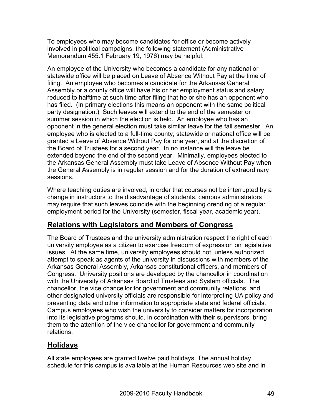To employees who may become candidates for office or become actively involved in political campaigns, the following statement (Administrative Memorandum 455.1 February 19, 1976) may be helpful:

An employee of the University who becomes a candidate for any national or statewide office will be placed on Leave of Absence Without Pay at the time of filing. An employee who becomes a candidate for the Arkansas General Assembly or a county office will have his or her employment status and salary reduced to halftime at such time after filing that he or she has an opponent who has filed. (In primary elections this means an opponent with the same political party designation.) Such leaves will extend to the end of the semester or summer session in which the election is held. An employee who has an opponent in the general election must take similar leave for the fall semester. An employee who is elected to a full-time county, statewide or national office will be granted a Leave of Absence Without Pay for one year, and at the discretion of the Board of Trustees for a second year. In no instance will the leave be extended beyond the end of the second year. Minimally, employees elected to the Arkansas General Assembly must take Leave of Absence Without Pay when the General Assembly is in regular session and for the duration of extraordinary sessions.

Where teaching duties are involved, in order that courses not be interrupted by a change in instructors to the disadvantage of students, campus administrators may require that such leaves coincide with the beginning orending of a regular employment period for the University (semester, fiscal year, academic year).

# **Relations with Legislators and Members of Congress**

The Board of Trustees and the university administration respect the right of each university employee as a citizen to exercise freedom of expression on legislative issues. At the same time, university employees should not, unless authorized, attempt to speak as agents of the university in discussions with members of the Arkansas General Assembly, Arkansas constitutional officers, and members of Congress. University positions are developed by the chancellor in coordination with the University of Arkansas Board of Trustees and System officials. The chancellor, the vice chancellor for government and community relations, and other designated university officials are responsible for interpreting UA policy and presenting data and other information to appropriate state and federal officials. Campus employees who wish the university to consider matters for incorporation into its legislative programs should, in coordination with their supervisors, bring them to the attention of the vice chancellor for government and community relations.

# **Holidays**

All state employees are granted twelve paid holidays. The annual holiday schedule for this campus is available at the Human Resources web site and in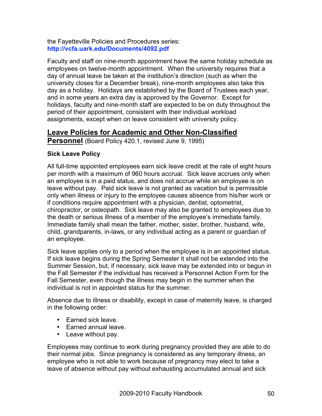the Fayetteville Policies and Procedures series: **http://vcfa.uark.edu/Documents/4092.pdf**

Faculty and staff on nine-month appointment have the same holiday schedule as employees on twelve-month appointment. When the university requires that a day of annual leave be taken at the institution's direction (such as when the university closes for a December break), nine-month employees also take this day as a holiday. Holidays are established by the Board of Trustees each year, and in some years an extra day is approved by the Governor. Except for holidays, faculty and nine-month staff are expected to be on duty throughout the period of their appointment, consistent with their individual workload assignments, except when on leave consistent with university policy.

# **Leave Policies for Academic and Other Non-Classified**

**Personnel** (Board Policy 420.1, revised June 9, 1995)

## **Sick Leave Policy**

All full-time appointed employees earn sick leave credit at the rate of eight hours per month with a maximum of 960 hours accrual. Sick leave accrues only when an employee is in a paid status, and does not accrue while an employee is on leave without pay. Paid sick leave is not granted as vacation but is permissible only when illness or injury to the employee causes absence from his/her work or if conditions require appointment with a physician, dentist, optometrist, chiropractor, or osteopath. Sick leave may also be granted to employees due to the death or serious illness of a member of the employee's immediate family. Immediate family shall mean the father, mother, sister, brother, husband, wife, child, grandparents, in-laws, or any individual acting as a parent or guardian of an employee.

Sick leave applies only to a period when the employee is in an appointed status. If sick leave begins during the Spring Semester it shall not be extended into the Summer Session, but, if necessary, sick leave may be extended into or begun in the Fall Semester if the individual has received a Personnel Action Form for the Fall Semester, even though the illness may begin in the summer when the individual is not in appointed status for the summer.

Absence due to illness or disability, except in case of maternity leave, is charged in the following order:

- Earned sick leave.
- Earned annual leave.
- Leave without pay.

Employees may continue to work during pregnancy provided they are able to do their normal jobs. Since pregnancy is considered as any temporary illness, an employee who is not able to work because of pregnancy may elect to take a leave of absence without pay without exhausting accumulated annual and sick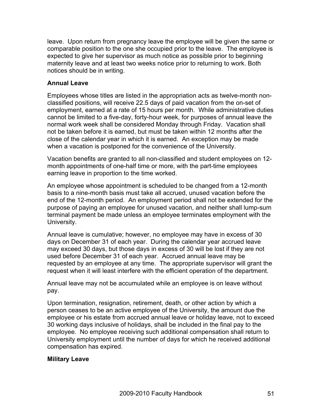leave. Upon return from pregnancy leave the employee will be given the same or comparable position to the one she occupied prior to the leave. The employee is expected to give her supervisor as much notice as possible prior to beginning maternity leave and at least two weeks notice prior to returning to work. Both notices should be in writing.

## **Annual Leave**

Employees whose titles are listed in the appropriation acts as twelve-month nonclassified positions, will receive 22.5 days of paid vacation from the on-set of employment, earned at a rate of 15 hours per month. While administrative duties cannot be limited to a five-day, forty-hour week, for purposes of annual leave the normal work week shall be considered Monday through Friday. Vacation shall not be taken before it is earned, but must be taken within 12 months after the close of the calendar year in which it is earned. An exception may be made when a vacation is postponed for the convenience of the University.

Vacation benefits are granted to all non-classified and student employees on 12 month appointments of one-half time or more, with the part-time employees earning leave in proportion to the time worked.

An employee whose appointment is scheduled to be changed from a 12-month basis to a nine-month basis must take all accrued, unused vacation before the end of the 12-month period. An employment period shall not be extended for the purpose of paying an employee for unused vacation, and neither shall lump-sum terminal payment be made unless an employee terminates employment with the University.

Annual leave is cumulative; however, no employee may have in excess of 30 days on December 31 of each year. During the calendar year accrued leave may exceed 30 days, but those days in excess of 30 will be lost if they are not used before December 31 of each year. Accrued annual leave may be requested by an employee at any time. The appropriate supervisor will grant the request when it will least interfere with the efficient operation of the department.

Annual leave may not be accumulated while an employee is on leave without pay.

Upon termination, resignation, retirement, death, or other action by which a person ceases to be an active employee of the University, the amount due the employee or his estate from accrued annual leave or holiday leave, not to exceed 30 working days inclusive of holidays, shall be included in the final pay to the employee. No employee receiving such additional compensation shall return to University employment until the number of days for which he received additional compensation has expired.

# **Military Leave**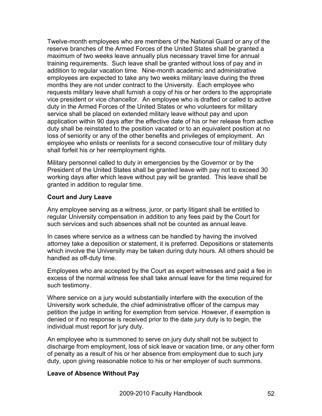Twelve-month employees who are members of the National Guard or any of the reserve branches of the Armed Forces of the United States shall be granted a maximum of two weeks leave annually plus necessary travel time for annual training requirements. Such leave shall be granted without loss of pay and in addition to regular vacation time. Nine-month academic and administrative employees are expected to take any two weeks military leave during the three months they are not under contract to the University. Each employee who requests military leave shall furnish a copy of his or her orders to the appropriate vice president or vice chancellor. An employee who is drafted or called to active duty in the Armed Forces of the United States or who volunteers for military service shall be placed on extended military leave without pay and upon application within 90 days after the effective date of his or her release from active duty shall be reinstated to the position vacated or to an equivalent position at no loss of seniority or any of the other benefits and privileges of employment. An employee who enlists or reenlists for a second consecutive tour of military duty shall forfeit his or her reemployment rights.

Military personnel called to duty in emergencies by the Governor or by the President of the United States shall be granted leave with pay not to exceed 30 working days after which leave without pay will be granted. This leave shall be granted in addition to regular time.

## **Court and Jury Leave**

Any employee serving as a witness, juror, or party litigant shall be entitled to regular University compensation in addition to any fees paid by the Court for such services and such absences shall not be counted as annual leave.

In cases where service as a witness can be handled by having the involved attorney take a deposition or statement, it is preferred. Depositions or statements which involve the University may be taken during duty hours. All others should be handled as off-duty time.

Employees who are accepted by the Court as expert witnesses and paid a fee in excess of the normal witness fee shall take annual leave for the time required for such testimony.

Where service on a jury would substantially interfere with the execution of the University work schedule, the chief administrative officer of the campus may petition the judge in writing for exemption from service. However, if exemption is denied or if no response is received prior to the date jury duty is to begin, the individual must report for jury duty.

An employee who is summoned to serve on jury duty shall not be subject to discharge from employment, loss of sick leave or vacation time, or any other form of penalty as a result of his or her absence from employment due to such jury duty, upon giving reasonable notice to his or her employer of such summons.

#### **Leave of Absence Without Pay**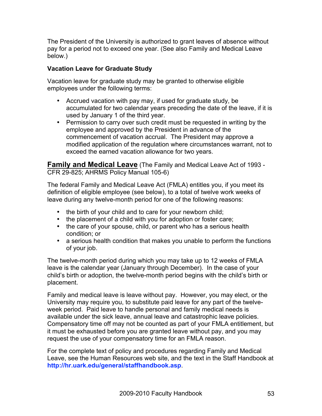The President of the University is authorized to grant leaves of absence without pay for a period not to exceed one year. (See also Family and Medical Leave below.)

# **Vacation Leave for Graduate Study**

Vacation leave for graduate study may be granted to otherwise eligible employees under the following terms:

- Accrued vacation with pay may, if used for graduate study, be accumulated for two calendar years preceding the date of the leave, if it is used by January 1 of the third year.
- Permission to carry over such credit must be requested in writing by the employee and approved by the President in advance of the commencement of vacation accrual. The President may approve a modified application of the regulation where circumstances warrant, not to exceed the earned vacation allowance for two years.

**Family and Medical Leave** (The Family and Medical Leave Act of 1993 - CFR 29-825; AHRMS Policy Manual 105-6)

The federal Family and Medical Leave Act (FMLA) entitles you, if you meet its definition of eligible employee (see below), to a total of twelve work weeks of leave during any twelve-month period for one of the following reasons:

- the birth of your child and to care for your newborn child;
- the placement of a child with you for adoption or foster care;
- the care of your spouse, child, or parent who has a serious health condition; or
- a serious health condition that makes you unable to perform the functions of your job.

The twelve-month period during which you may take up to 12 weeks of FMLA leave is the calendar year (January through December). In the case of your child's birth or adoption, the twelve-month period begins with the child's birth or placement.

Family and medical leave is leave without pay. However, you may elect, or the University may require you, to substitute paid leave for any part of the twelveweek period. Paid leave to handle personal and family medical needs is available under the sick leave, annual leave and catastrophic leave policies. Compensatory time off may not be counted as part of your FMLA entitlement, but it must be exhausted before you are granted leave without pay, and you may request the use of your compensatory time for an FMLA reason.

For the complete text of policy and procedures regarding Family and Medical Leave, see the Human Resources web site, and the text in the Staff Handbook at **http://hr.uark.edu/general/staffhandbook.asp**.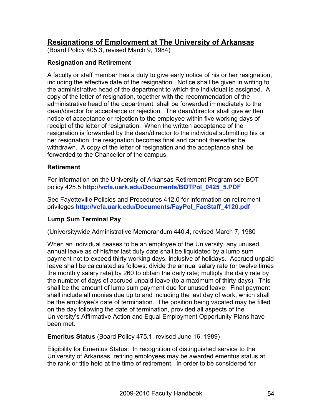# **Resignations of Employment at The University of Arkansas**

(Board Policy 405.3, revised March 9, 1984)

## **Resignation and Retirement**

A faculty or staff member has a duty to give early notice of his or her resignation, including the effective date of the resignation. Notice shall be given in writing to the administrative head of the department to which the individual is assigned. A copy of the letter of resignation, together with the recommendation of the administrative head of the department, shall be forwarded immediately to the dean/director for acceptance or rejection. The dean/director shall give written notice of acceptance or rejection to the employee within five working days of receipt of the letter of resignation. When the written acceptance of the resignation is forwarded by the dean/director to the individual submitting his or her resignation, the resignation becomes final and cannot thereafter be withdrawn. A copy of the letter of resignation and the acceptance shall be forwarded to the Chancellor of the campus.

#### **Retirement**

For information on the University of Arkansas Retirement Program see BOT policy 425.5 **http://vcfa.uark.edu/Documents/BOTPol\_0425\_5.PDF**

See Fayetteville Policies and Procedures 412.0 for information on retirement privileges **http://vcfa.uark.edu/Documents/FayPol\_FacStaff\_4120.pdf**

# **Lump Sum Terminal Pay**

(Universitywide Administrative Memorandum 440.4, revised March 7, 1980

When an individual ceases to be an employee of the University, any unused annual leave as of his/her last duty date shall be liquidated by a lump sum payment not to exceed thirty working days, inclusive of holidays. Accrued unpaid leave shall be calculated as follows: divide the annual salary rate (or twelve times the monthly salary rate) by 260 to obtain the daily rate; multiply the daily rate by the number of days of accrued unpaid leave (to a maximum of thirty days). This shall be the amount of lump sum payment due for unused leave. Final payment shall include all monies due up to and including the last day of work, which shall be the employee's date of termination. The position being vacated may be filled on the day following the date of termination, provided all aspects of the University's Affirmative Action and Equal Employment Opportunity Plans have been met.

**Emeritus Status** (Board Policy 475.1, revised June 16, 1989)

Eligibility for Emeritus Status: In recognition of distinguished service to the University of Arkansas, retiring employees may be awarded emeritus status at the rank or title held at the time of retirement. In order to be considered for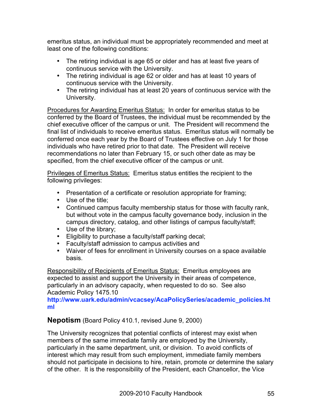emeritus status, an individual must be appropriately recommended and meet at least one of the following conditions:

- The retiring individual is age 65 or older and has at least five years of continuous service with the University.
- The retiring individual is age 62 or older and has at least 10 years of continuous service with the University.
- The retiring individual has at least 20 years of continuous service with the University.

Procedures for Awarding Emeritus Status: In order for emeritus status to be conferred by the Board of Trustees, the individual must be recommended by the chief executive officer of the campus or unit. The President will recommend the final list of individuals to receive emeritus status. Emeritus status will normally be conferred once each year by the Board of Trustees effective on July 1 for those individuals who have retired prior to that date. The President will receive recommendations no later than February 15, or such other date as may be specified, from the chief executive officer of the campus or unit.

Privileges of Emeritus Status: Emeritus status entitles the recipient to the following privileges:

- Presentation of a certificate or resolution appropriate for framing;
- Use of the title:
- Continued campus faculty membership status for those with faculty rank, but without vote in the campus faculty governance body, inclusion in the campus directory, catalog, and other listings of campus faculty/staff;
- Use of the library;
- Eligibility to purchase a faculty/staff parking decal;
- Faculty/staff admission to campus activities and
- Waiver of fees for enrollment in University courses on a space available basis.

Responsibility of Recipients of Emeritus Status: Emeritus employees are expected to assist and support the University in their areas of competence, particularly in an advisory capacity, when requested to do so. See also Academic Policy 1475.10

**http://www.uark.edu/admin/vcacsey/AcaPolicySeries/academic\_policies.ht ml**

**Nepotism** (Board Policy 410.1, revised June 9, 2000)

The University recognizes that potential conflicts of interest may exist when members of the same immediate family are employed by the University, particularly in the same department, unit, or division. To avoid conflicts of interest which may result from such employment, immediate family members should not participate in decisions to hire, retain, promote or determine the salary of the other. It is the responsibility of the President, each Chancellor, the Vice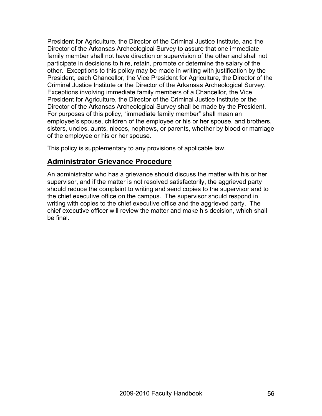President for Agriculture, the Director of the Criminal Justice Institute, and the Director of the Arkansas Archeological Survey to assure that one immediate family member shall not have direction or supervision of the other and shall not participate in decisions to hire, retain, promote or determine the salary of the other. Exceptions to this policy may be made in writing with justification by the President, each Chancellor, the Vice President for Agriculture, the Director of the Criminal Justice Institute or the Director of the Arkansas Archeological Survey. Exceptions involving immediate family members of a Chancellor, the Vice President for Agriculture, the Director of the Criminal Justice Institute or the Director of the Arkansas Archeological Survey shall be made by the President. For purposes of this policy, "immediate family member" shall mean an employee's spouse, children of the employee or his or her spouse, and brothers, sisters, uncles, aunts, nieces, nephews, or parents, whether by blood or marriage of the employee or his or her spouse.

This policy is supplementary to any provisions of applicable law.

# **Administrator Grievance Procedure**

An administrator who has a grievance should discuss the matter with his or her supervisor, and if the matter is not resolved satisfactorily, the aggrieved party should reduce the complaint to writing and send copies to the supervisor and to the chief executive office on the campus. The supervisor should respond in writing with copies to the chief executive office and the aggrieved party. The chief executive officer will review the matter and make his decision, which shall be final.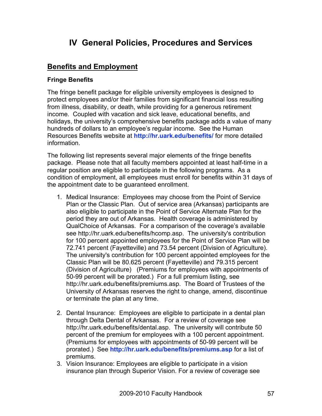# **IV General Policies, Procedures and Services**

# **Benefits and Employment**

## **Fringe Benefits**

The fringe benefit package for eligible university employees is designed to protect employees and/or their families from significant financial loss resulting from illness, disability, or death, while providing for a generous retirement income. Coupled with vacation and sick leave, educational benefits, and holidays, the university's comprehensive benefits package adds a value of many hundreds of dollars to an employee's regular income. See the Human Resources Benefits website at **http://hr.uark.edu/benefits/** for more detailed information.

The following list represents several major elements of the fringe benefits package. Please note that all faculty members appointed at least half-time in a regular position are eligible to participate in the following programs. As a condition of employment, all employees must enroll for benefits within 31 days of the appointment date to be guaranteed enrollment.

- 1. Medical Insurance: Employees may choose from the Point of Service Plan or the Classic Plan. Out of service area (Arkansas) participants are also eligible to participate in the Point of Service Alternate Plan for the period they are out of Arkansas. Health coverage is administered by QualChoice of Arkansas. For a comparison of the coverage's available see http://hr.uark.edu/benefits/hcomp.asp. The university's contribution for 100 percent appointed employees for the Point of Service Plan will be 72.741 percent (Fayetteville) and 73.54 percent (Division of Agriculture). The university's contribution for 100 percent appointed employees for the Classic Plan will be 80.625 percent (Fayetteville) and 79.315 percent (Division of Agriculture) (Premiums for employees with appointments of 50-99 percent will be prorated.) For a full premium listing, see http://hr.uark.edu/benefits/premiums.asp. The Board of Trustees of the University of Arkansas reserves the right to change, amend, discontinue or terminate the plan at any time.
- 2. Dental Insurance: Employees are eligible to participate in a dental plan through Delta Dental of Arkansas. For a review of coverage see http://hr.uark.edu/benefits/dental.asp. The university will contribute 50 percent of the premium for employees with a 100 percent appointment. (Premiums for employees with appointments of 50-99 percent will be prorated.) See **http://hr.uark.edu/benefits/premiums.asp** for a list of premiums.
- 3. Vision Insurance: Employees are eligible to participate in a vision insurance plan through Superior Vision. For a review of coverage see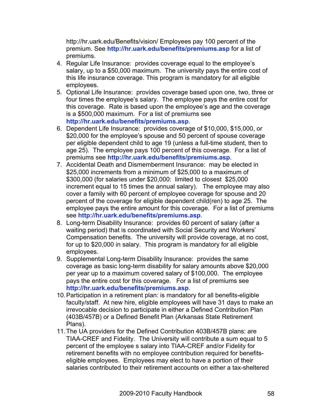http://hr.uark.edu/Benefits/vision/ Employees pay 100 percent of the premium. See **http://hr.uark.edu/benefits/premiums.asp** for a list of premiums.

- 4. Regular Life Insurance: provides coverage equal to the employee's salary, up to a \$50,000 maximum. The university pays the entire cost of this life insurance coverage. This program is mandatory for all eligible employees.
- 5. Optional Life Insurance: provides coverage based upon one, two, three or four times the employee's salary. The employee pays the entire cost for this coverage. Rate is based upon the employee's age and the coverage is a \$500,000 maximum. For a list of premiums see **http://hr.uark.edu/benefits/premiums.asp**.
- 6. Dependent Life Insurance: provides coverage of \$10,000, \$15,000, or \$20,000 for the employee's spouse and 50 percent of spouse coverage per eligible dependent child to age 19 (unless a full-time student, then to age 25). The employee pays 100 percent of this coverage. For a list of premiums see **http://hr.uark.edu/benefits/premiums.asp**.
- 7. Accidental Death and Dismemberment Insurance: may be elected in \$25,000 increments from a minimum of \$25,000 to a maximum of \$300,000 (for salaries under \$20,000: limited to closest \$25,000 increment equal to 15 times the annual salary). The employee may also cover a family with 60 percent of employee coverage for spouse and 20 percent of the coverage for eligible dependent child(ren) to age 25. The employee pays the entire amount for this coverage. For a list of premiums see **http://hr.uark.edu/benefits/premiums.asp**.
- 8. Long-term Disability Insurance: provides 60 percent of salary (after a waiting period) that is coordinated with Social Security and Workers' Compensation benefits. The university will provide coverage, at no cost, for up to \$20,000 in salary. This program is mandatory for all eligible employees.
- 9. Supplemental Long-term Disability Insurance: provides the same coverage as basic long-term disability for salary amounts above \$20,000 per year up to a maximum covered salary of \$100,000. The employee pays the entire cost for this coverage. For a list of premiums see **http://hr.uark.edu/benefits/premiums.asp**.
- 10.Participation in a retirement plan: is mandatory for all benefits-eligible faculty/staff. At new hire, eligible employees will have 31 days to make an irrevocable decision to participate in either a Defined Contribution Plan (403B/457B) or a Defined Benefit Plan (Arkansas State Retirement Plans).
- 11.The UA providers for the Defined Contribution 403B/457B plans: are TIAA-CREF and Fidelity. The University will contribute a sum equal to 5 percent of the employee s salary into TIAA-CREF and/or Fidelity for retirement benefits with no employee contribution required for benefitseligible employees. Employees may elect to have a portion of their salaries contributed to their retirement accounts on either a tax-sheltered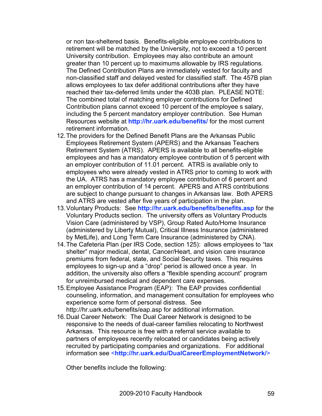or non tax-sheltered basis. Benefits-eligible employee contributions to retirement will be matched by the University, not to exceed a 10 percent University contribution. Employees may also contribute an amount greater than 10 percent up to maximums allowable by IRS regulations. The Defined Contribution Plans are immediately vested for faculty and non-classified staff and delayed vested for classified staff. The 457B plan allows employees to tax defer additional contributions after they have reached their tax-deferred limits under the 403B plan. PLEASE NOTE: The combined total of matching employer contributions for Defined Contribution plans cannot exceed 10 percent of the employee s salary, including the 5 percent mandatory employer contribution. See Human Resources website at **http://hr.uark.edu/benefits/** for the most current retirement information.

- 12.The providers for the Defined Benefit Plans are the Arkansas Public Employees Retirement System (APERS) and the Arkansas Teachers Retirement System (ATRS). APERS is available to all benefits-eligible employees and has a mandatory employee contribution of 5 percent with an employer contribution of 11.01 percent. ATRS is available only to employees who were already vested in ATRS prior to coming to work with the UA. ATRS has a mandatory employee contribution of 6 percent and an employer contribution of 14 percent. APERS and ATRS contributions are subject to change pursuant to changes in Arkansas law. Both APERS and ATRS are vested after five years of participation in the plan.
- 13.Voluntary Products: See **http://hr.uark.edu/benefits/benefits.asp** for the Voluntary Products section. The university offers as Voluntary Products Vision Care (administered by VSP), Group Rated Auto/Home Insurance (administered by Liberty Mutual), Critical Illness Insurance (administered by MetLife), and Long Term Care Insurance (administered by CNA).
- 14.The Cafeteria Plan (per IRS Code, section 125): allows employees to "tax shelter" major medical, dental, Cancer/Heart, and vision care insurance premiums from federal, state, and Social Security taxes. This requires employees to sign-up and a "drop" period is allowed once a year. In addition, the university also offers a "flexible spending account" program for unreimbursed medical and dependent care expenses.
- 15.Employee Assistance Program (EAP): The EAP provides confidential counseling, information, and management consultation for employees who experience some form of personal distress. See http://hr.uark.edu/benefits/eap.asp for additional information.
- 16.Dual Career Network: The Dual Career Network is designed to be responsive to the needs of dual-career families relocating to Northwest Arkansas. This resource is free with a referral service available to partners of employees recently relocated or candidates being actively recruited by participating companies and organizations. For additional information see <**http://hr.uark.edu/DualCareerEmploymentNetwork/**>

Other benefits include the following: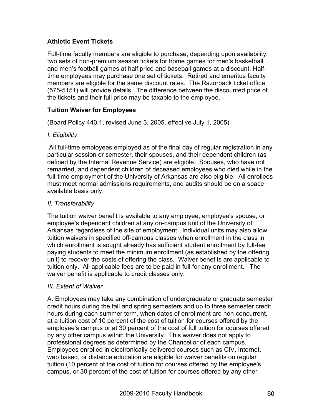# **Athletic Event Tickets**

Full-time faculty members are eligible to purchase, depending upon availability, two sets of non-premium season tickets for home games for men's basketball and men's football games at half price and baseball games at a discount. Halftime employees may purchase one set of tickets. Retired and emeritus faculty members are eligible for the same discount rates. The Razorback ticket office (575-5151) will provide details. The difference between the discounted price of the tickets and their full price may be taxable to the employee.

# **Tuition Waiver for Employees**

(Board Policy 440.1, revised June 3, 2005, effective July 1, 2005)

# *I. Eligibility*

All full-time employees employed as of the final day of regular registration in any particular session or semester, their spouses, and their dependent children (as defined by the Internal Revenue Service) are eligible. Spouses, who have not remarried, and dependent children of deceased employees who died while in the full-time employment of the University of Arkansas are also eligible. All enrollees must meet normal admissions requirements, and audits should be on a space available basis only.

## *II. Transferability*

The tuition waiver benefit is available to any employee, employee's spouse, or employee's dependent children at any on-campus unit of the University of Arkansas regardless of the site of employment. Individual units may also allow tuition waivers in specified off-campus classes when enrollment in the class in which enrollment is sought already has sufficient student enrollment by full-fee paying students to meet the minimum enrollment (as established by the offering unit) to recover the costs of offering the class. Waiver benefits are applicable to tuition only. All applicable fees are to be paid in full for any enrollment. The waiver benefit is applicable to credit classes only.

# *III. Extent of Waiver*

A. Employees may take any combination of undergraduate or graduate semester credit hours during the fall and spring semesters and up to three semester credit hours during each summer term, when dates of enrollment are non-concurrent, at a tuition cost of 10 percent of the cost of tuition for courses offered by the employee's campus or at 30 percent of the cost of full tuition for courses offered by any other campus within the University. This waiver does not apply to professional degrees as determined by the Chancellor of each campus. Employees enrolled in electronically delivered courses such as CIV, Internet, web based, or distance education are eligible for waiver benefits on regular tuition (10 percent of the cost of tuition for courses offered by the employee's campus, or 30 percent of the cost of tuition for courses offered by any other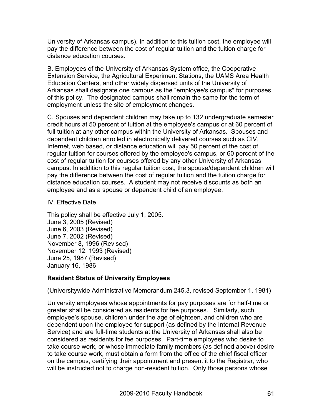University of Arkansas campus). In addition to this tuition cost, the employee will pay the difference between the cost of regular tuition and the tuition charge for distance education courses.

B. Employees of the University of Arkansas System office, the Cooperative Extension Service, the Agricultural Experiment Stations, the UAMS Area Health Education Centers, and other widely dispersed units of the University of Arkansas shall designate one campus as the "employee's campus" for purposes of this policy. The designated campus shall remain the same for the term of employment unless the site of employment changes.

C. Spouses and dependent children may take up to 132 undergraduate semester credit hours at 50 percent of tuition at the employee's campus or at 60 percent of full tuition at any other campus within the University of Arkansas. Spouses and dependent children enrolled in electronically delivered courses such as CIV, Internet, web based, or distance education will pay 50 percent of the cost of regular tuition for courses offered by the employee's campus, or 60 percent of the cost of regular tuition for courses offered by any other University of Arkansas campus. In addition to this regular tuition cost, the spouse/dependent children will pay the difference between the cost of regular tuition and the tuition charge for distance education courses. A student may not receive discounts as both an employee and as a spouse or dependent child of an employee.

#### IV. Effective Date

This policy shall be effective July 1, 2005. June 3, 2005 (Revised) June 6, 2003 (Revised) June 7, 2002 (Revised) November 8, 1996 (Revised) November 12, 1993 (Revised) June 25, 1987 (Revised) January 16, 1986

#### **Resident Status of University Employees**

(Universitywide Administrative Memorandum 245.3, revised September 1, 1981)

University employees whose appointments for pay purposes are for half-time or greater shall be considered as residents for fee purposes. Similarly, such employee's spouse, children under the age of eighteen, and children who are dependent upon the employee for support (as defined by the Internal Revenue Service) and are full-time students at the University of Arkansas shall also be considered as residents for fee purposes. Part-time employees who desire to take course work, or whose immediate family members (as defined above) desire to take course work, must obtain a form from the office of the chief fiscal officer on the campus, certifying their appointment and present it to the Registrar, who will be instructed not to charge non-resident tuition. Only those persons whose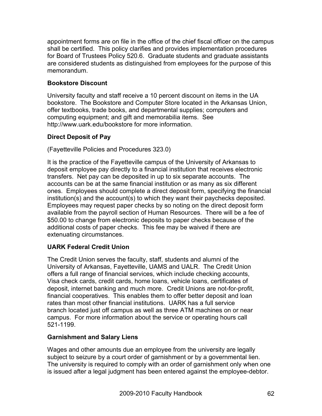appointment forms are on file in the office of the chief fiscal officer on the campus shall be certified. This policy clarifies and provides implementation procedures for Board of Trustees Policy 520.6. Graduate students and graduate assistants are considered students as distinguished from employees for the purpose of this memorandum.

# **Bookstore Discount**

University faculty and staff receive a 10 percent discount on items in the UA bookstore. The Bookstore and Computer Store located in the Arkansas Union, offer textbooks, trade books, and departmental supplies; computers and computing equipment; and gift and memorabilia items. See http://www.uark.edu/bookstore for more information.

# **Direct Deposit of Pay**

(Fayetteville Policies and Procedures 323.0)

It is the practice of the Fayetteville campus of the University of Arkansas to deposit employee pay directly to a financial institution that receives electronic transfers. Net pay can be deposited in up to six separate accounts. The accounts can be at the same financial institution or as many as six different ones. Employees should complete a direct deposit form, specifying the financial institution(s) and the account(s) to which they want their paychecks deposited. Employees may request paper checks by so noting on the direct deposit form available from the payroll section of Human Resources. There will be a fee of \$50.00 to change from electronic deposits to paper checks because of the additional costs of paper checks. This fee may be waived if there are extenuating circumstances.

# **UARK Federal Credit Union**

The Credit Union serves the faculty, staff, students and alumni of the University of Arkansas, Fayetteville, UAMS and UALR. The Credit Union offers a full range of financial services, which include checking accounts, Visa check cards, credit cards, home loans, vehicle loans, certificates of deposit, internet banking and much more. Credit Unions are not-for-profit, financial cooperatives. This enables them to offer better deposit and loan rates than most other financial institutions. UARK has a full service branch located just off campus as well as three ATM machines on or near campus. For more information about the service or operating hours call 521-1199.

# **Garnishment and Salary Liens**

Wages and other amounts due an employee from the university are legally subject to seizure by a court order of garnishment or by a governmental lien. The university is required to comply with an order of garnishment only when one is issued after a legal judgment has been entered against the employee-debtor.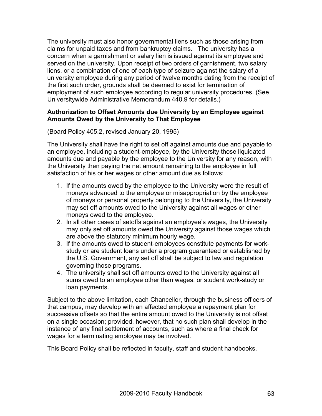The university must also honor governmental liens such as those arising from claims for unpaid taxes and from bankruptcy claims. The university has a concern when a garnishment or salary lien is issued against its employee and served on the university. Upon receipt of two orders of garnishment, two salary liens, or a combination of one of each type of seizure against the salary of a university employee during any period of twelve months dating from the receipt of the first such order, grounds shall be deemed to exist for termination of employment of such employee according to regular university procedures. (See Universitywide Administrative Memorandum 440.9 for details.)

#### **Authorization to Offset Amounts due University by an Employee against Amounts Owed by the University to That Employee**

(Board Policy 405.2, revised January 20, 1995)

The University shall have the right to set off against amounts due and payable to an employee, including a student-employee, by the University those liquidated amounts due and payable by the employee to the University for any reason, with the University then paying the net amount remaining to the employee in full satisfaction of his or her wages or other amount due as follows:

- 1. If the amounts owed by the employee to the University were the result of moneys advanced to the employee or misappropriation by the employee of moneys or personal property belonging to the University, the University may set off amounts owed to the University against all wages or other moneys owed to the employee.
- 2. In all other cases of setoffs against an employee's wages, the University may only set off amounts owed the University against those wages which are above the statutory minimum hourly wage.
- 3. If the amounts owed to student-employees constitute payments for workstudy or are student loans under a program guaranteed or established by the U.S. Government, any set off shall be subject to law and regulation governing those programs.
- 4. The university shall set off amounts owed to the University against all sums owed to an employee other than wages, or student work-study or loan payments.

Subject to the above limitation, each Chancellor, through the business officers of that campus, may develop with an affected employee a repayment plan for successive offsets so that the entire amount owed to the University is not offset on a single occasion; provided, however, that no such plan shall develop in the instance of any final settlement of accounts, such as where a final check for wages for a terminating employee may be involved.

This Board Policy shall be reflected in faculty, staff and student handbooks.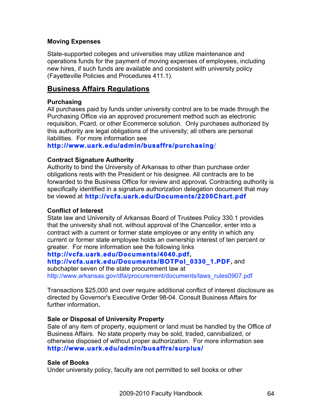#### **Moving Expenses**

State-supported colleges and universities may utilize maintenance and operations funds for the payment of moving expenses of employees, including new hires, if such funds are available and consistent with university policy (Fayetteville Policies and Procedures 411.1).

# **Business Affairs Regulations**

## **Purchasing**

All purchases paid by funds under university control are to be made through the Purchasing Office via an approved procurement method such as electronic requisition, Pcard, or other Ecommerce solution. Only purchases authorized by this authority are legal obligations of the university; all others are personal liabilities. For more information see

**http://www.uark.edu/admin/busaffrs/purchasing**/

## **Contract Signature Authority**

Authority to bind the University of Arkansas to other than purchase order obligations rests with the President or his designee. All contracts are to be forwarded to the Business Office for review and approval**.** Contracting authority is specifically identified in a signature authorization delegation document that may be viewed at **http://vcfa.uark.edu/Documents/2200Chart.pdf**

#### **Conflict of Interest**

State law and University of Arkansas Board of Trustees Policy 330.1 provides that the university shall not, without approval of the Chancellor, enter into a contract with a current or former state employee or any entity in which any current or former state employee holds an ownership interest of ten percent or greater. For more information see the following links

#### **http://vcfa.uark.edu/Documents/4040.pdf, http://vcfa.uark.edu/Documents/BOTPol\_0330\_1.PDF,** and

subchapter seven of the state procurement law at http://www.arkansas.gov/dfa/procurement/documents/laws\_rules0907.pdf

Transactions \$25,000 and over require additional conflict of interest disclosure as directed by Governor's Executive Order 98-04. Consult Business Affairs for further information**.**

#### **Sale or Disposal of University Prop***e***rty**

Sale of any item of property, equipment or land must be handled by the Office of Business Affairs. No state property may be sold, traded, cannibalized, or otherwise disposed of without proper authorization. For more information see **http://www.uark.edu/admin/busaffrs/surplus/**

# **Sale of Books**

Under university policy, faculty are not permitted to sell books or other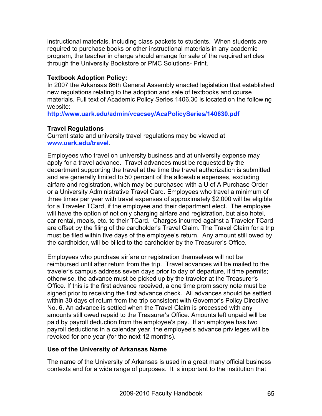instructional materials, including class packets to students. When students are required to purchase books or other instructional materials in any academic program, the teacher in charge should arrange for sale of the required articles through the University Bookstore or PMC Solutions- Print.

#### **Textbook Adoption Policy:**

In 2007 the Arkansas 86th General Assembly enacted legislation that established new regulations relating to the adoption and sale of textbooks and course materials. Full text of Academic Policy Series 1406.30 is located on the following website:

**http://www.uark.edu/admin/vcacsey/AcaPolicySeries/140630.pdf**

#### **Travel Regulations**

Current state and university travel regulations may be viewed at **www.uark.edu/travel**.

Employees who travel on university business and at university expense may apply for a travel advance. Travel advances must be requested by the department supporting the travel at the time the travel authorization is submitted and are generally limited to 50 percent of the allowable expenses, excluding airfare and registration, which may be purchased with a U of A Purchase Order or a University Administrative Travel Card. Employees who travel a minimum of three times per year with travel expenses of approximately \$2,000 will be eligible for a Traveler TCard, if the employee and their department elect. The employee will have the option of not only charging airfare and registration, but also hotel, car rental, meals, etc. to their TCard. Charges incurred against a Traveler TCard are offset by the filing of the cardholder's Travel Claim. The Travel Claim for a trip must be filed within five days of the employee's return. Any amount still owed by the cardholder, will be billed to the cardholder by the Treasurer's Office.

Employees who purchase airfare or registration themselves will not be reimbursed until after return from the trip. Travel advances will be mailed to the traveler's campus address seven days prior to day of departure, if time permits; otherwise, the advance must be picked up by the traveler at the Treasurer's Office. If this is the first advance received, a one time promissory note must be signed prior to receiving the first advance check. All advances should be settled within 30 days of return from the trip consistent with Governor's Policy Directive No. 6. An advance is settled when the Travel Claim is processed with any amounts still owed repaid to the Treasurer's Office. Amounts left unpaid will be paid by payroll deduction from the employee's pay. If an employee has two payroll deductions in a calendar year, the employee's advance privileges will be revoked for one year (for the next 12 months).

#### **Use of the University of Arkansas Name**

The name of the University of Arkansas is used in a great many official business contexts and for a wide range of purposes. It is important to the institution that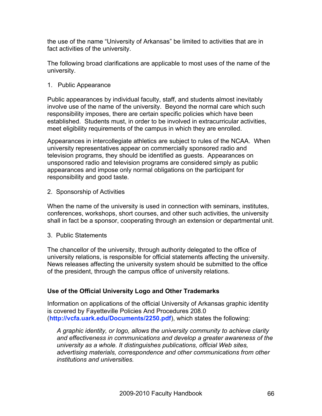the use of the name "University of Arkansas" be limited to activities that are in fact activities of the university.

The following broad clarifications are applicable to most uses of the name of the university.

1. Public Appearance

Public appearances by individual faculty, staff, and students almost inevitably involve use of the name of the university. Beyond the normal care which such responsibility imposes, there are certain specific policies which have been established. Students must, in order to be involved in extracurricular activities, meet eligibility requirements of the campus in which they are enrolled.

Appearances in intercollegiate athletics are subject to rules of the NCAA. When university representatives appear on commercially sponsored radio and television programs, they should be identified as guests. Appearances on unsponsored radio and television programs are considered simply as public appearances and impose only normal obligations on the participant for responsibility and good taste.

2. Sponsorship of Activities

When the name of the university is used in connection with seminars, institutes, conferences, workshops, short courses, and other such activities, the university shall in fact be a sponsor, cooperating through an extension or departmental unit.

3. Public Statements

The chancellor of the university, through authority delegated to the office of university relations, is responsible for official statements affecting the university. News releases affecting the university system should be submitted to the office of the president, through the campus office of university relations.

# **Use of the Official University Logo and Other Trademarks**

Information on applications of the official University of Arkansas graphic identity is covered by Fayetteville Policies And Procedures 208.0 (**http://vcfa.uark.edu/Documents/2250.pdf**), which states the following:

*A graphic identity, or logo, allows the university community to achieve clarity and effectiveness in communications and develop a greater awareness of the university as a whole. It distinguishes publications, official Web sites, advertising materials, correspondence and other communications from other institutions and universities.*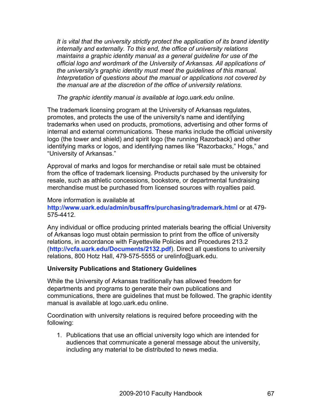*It is vital that the university strictly protect the application of its brand identity internally and externally. To this end, the office of university relations maintains a graphic identity manual as a general guideline for use of the official logo and wordmark of the University of Arkansas. All applications of the university's graphic identity must meet the guidelines of this manual. Interpretation of questions about the manual or applications not covered by the manual are at the discretion of the office of university relations.*

*The graphic identity manual is available at logo.uark.edu online.*

The trademark licensing program at the University of Arkansas regulates, promotes, and protects the use of the university's name and identifying trademarks when used on products, promotions, advertising and other forms of internal and external communications. These marks include the official university logo (the tower and shield) and spirit logo (the running Razorback) and other identifying marks or logos, and identifying names like "Razorbacks," Hogs," and "University of Arkansas."

Approval of marks and logos for merchandise or retail sale must be obtained from the office of trademark licensing. Products purchased by the university for resale, such as athletic concessions, bookstore, or departmental fundraising merchandise must be purchased from licensed sources with royalties paid.

More information is available at **http://www.uark.edu/admin/busaffrs/purchasing/trademark.html** or at 479- 575-4412.

Any individual or office producing printed materials bearing the official University of Arkansas logo must obtain permission to print from the office of university relations, in accordance with Fayetteville Policies and Procedures 213.2 (**http://vcfa.uark.edu/Documents/2132.pdf**). Direct all questions to university relations, 800 Hotz Hall, 479-575-5555 or urelinfo@uark.edu.

# **University Publications and Stationery Guidelines**

While the University of Arkansas traditionally has allowed freedom for departments and programs to generate their own publications and communications, there are guidelines that must be followed. The graphic identity manual is available at logo.uark.edu online.

Coordination with university relations is required before proceeding with the following:

1. Publications that use an official university logo which are intended for audiences that communicate a general message about the university, including any material to be distributed to news media.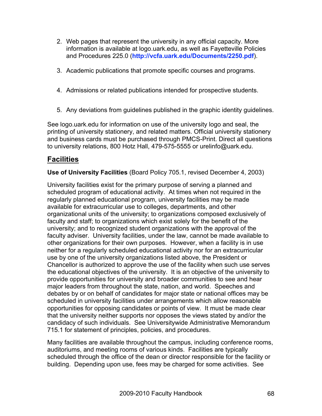- 2. Web pages that represent the university in any official capacity. More information is available at logo.uark.edu, as well as Fayetteville Policies and Procedures 225.0 (**http://vcfa.uark.edu/Documents/2250.pdf**).
- 3. Academic publications that promote specific courses and programs.
- 4. Admissions or related publications intended for prospective students.
- 5. Any deviations from guidelines published in the graphic identity guidelines.

See logo.uark.edu for information on use of the university logo and seal, the printing of university stationery, and related matters. Official university stationery and business cards must be purchased through PMCS-Print. Direct all questions to university relations, 800 Hotz Hall, 479-575-5555 or urelinfo@uark.edu.

# **Facilities**

**Use of University Facilities** (Board Policy 705.1, revised December 4, 2003)

University facilities exist for the primary purpose of serving a planned and scheduled program of educational activity. At times when not required in the regularly planned educational program, university facilities may be made available for extracurricular use to colleges, departments, and other organizational units of the university; to organizations composed exclusively of faculty and staff; to organizations which exist solely for the benefit of the university; and to recognized student organizations with the approval of the faculty adviser. University facilities, under the law, cannot be made available to other organizations for their own purposes. However, when a facility is in use neither for a regularly scheduled educational activity nor for an extracurricular use by one of the university organizations listed above, the President or Chancellor is authorized to approve the use of the facility when such use serves the educational objectives of the university. It is an objective of the university to provide opportunities for university and broader communities to see and hear major leaders from throughout the state, nation, and world. Speeches and debates by or on behalf of candidates for major state or national offices may be scheduled in university facilities under arrangements which allow reasonable opportunities for opposing candidates or points of view. It must be made clear that the university neither supports nor opposes the views stated by and/or the candidacy of such individuals. See Universitywide Administrative Memorandum 715.1 for statement of principles, policies, and procedures.

Many facilities are available throughout the campus, including conference rooms, auditoriums, and meeting rooms of various kinds. Facilities are typically scheduled through the office of the dean or director responsible for the facility or building. Depending upon use, fees may be charged for some activities. See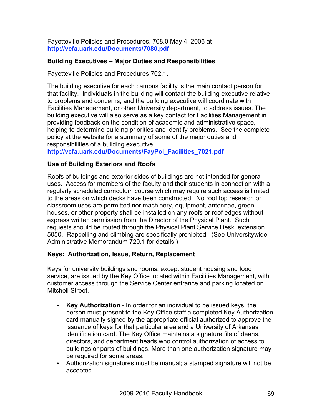Fayetteville Policies and Procedures, 708.0 May 4, 2006 at **http://vcfa.uark.edu/Documents/7080.pdf**

## **Building Executives – Major Duties and Responsibilities**

Fayetteville Policies and Procedures 702.1.

The building executive for each campus facility is the main contact person for that facility. Individuals in the building will contact the building executive relative to problems and concerns, and the building executive will coordinate with Facilities Management, or other University department, to address issues. The building executive will also serve as a key contact for Facilities Management in providing feedback on the condition of academic and administrative space, helping to determine building priorities and identify problems. See the complete policy at the website for a summary of some of the major duties and responsibilities of a building executive.

**http://vcfa.uark.edu/Documents/FayPol\_Facilities\_7021.pdf**

## **Use of Building Exteriors and Roofs**

Roofs of buildings and exterior sides of buildings are not intended for general uses. Access for members of the faculty and their students in connection with a regularly scheduled curriculum course which may require such access is limited to the areas on which decks have been constructed. No roof top research or classroom uses are permitted nor machinery, equipment, antennae, greenhouses, or other property shall be installed on any roofs or roof edges without express written permission from the Director of the Physical Plant. Such requests should be routed through the Physical Plant Service Desk, extension 5050. Rappelling and climbing are specifically prohibited. (See Universitywide Administrative Memorandum 720.1 for details.)

#### **Keys: Authorization, Issue, Return, Replacement**

Keys for university buildings and rooms, except student housing and food service, are issued by the Key Office located within Facilities Management, with customer access through the Service Center entrance and parking located on Mitchell Street.

- **Key Authorization** In order for an individual to be issued keys, the person must present to the Key Office staff a completed Key Authorization card manually signed by the appropriate official authorized to approve the issuance of keys for that particular area and a University of Arkansas identification card. The Key Office maintains a signature file of deans, directors, and department heads who control authorization of access to buildings or parts of buildings. More than one authorization signature may be required for some areas.
- Authorization signatures must be manual; a stamped signature will not be accepted.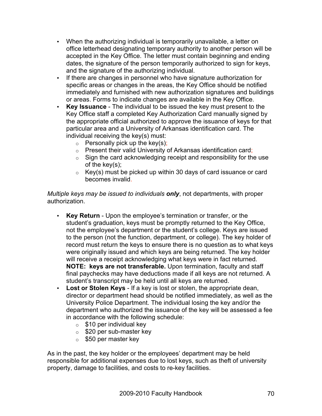- When the authorizing individual is temporarily unavailable, a letter on office letterhead designating temporary authority to another person will be accepted in the Key Office. The letter must contain beginning and ending dates, the signature of the person temporarily authorized to sign for keys, and the signature of the authorizing individual.
- If there are changes in personnel who have signature authorization for specific areas or changes in the areas, the Key Office should be notified immediately and furnished with new authorization signatures and buildings or areas. Forms to indicate changes are available in the Key Office.
- **Key Issuance** The individual to be issued the key must present to the Key Office staff a completed Key Authorization Card manually signed by the appropriate official authorized to approve the issuance of keys for that particular area and a University of Arkansas identification card. The individual receiving the key(s) must:
	- $\circ$  Personally pick up the key(s);
	- o Present their valid University of Arkansas identification card;
	- $\circ$  Sign the card acknowledging receipt and responsibility for the use of the key(s);
	- $\circ$  Key(s) must be picked up within 30 days of card issuance or card becomes invalid.

*Multiple keys may be issued to individuals only*, not departments, with proper authorization.

- **Key Return** Upon the employee's termination or transfer, or the student's graduation, keys must be promptly returned to the Key Office, not the employee's department or the student's college. Keys are issued to the person (not the function, department, or college). The key holder of record must return the keys to ensure there is no question as to what keys were originally issued and which keys are being returned. The key holder will receive a receipt acknowledging what keys were in fact returned. **NOTE: keys are not transferable.** Upon termination, faculty and staff final paychecks may have deductions made if all keys are not returned. A student's transcript may be held until all keys are returned.
- **Lost or Stolen Keys** If a key is lost or stolen, the appropriate dean, director or department head should be notified immediately, as well as the University Police Department. The individual losing the key and/or the department who authorized the issuance of the key will be assessed a fee in accordance with the following schedule:
	- $\circ$  \$10 per individual key
	- $\circ$  \$20 per sub-master key
	- $\circ$  \$50 per master key

As in the past, the key holder or the employees' department may be held responsible for additional expenses due to lost keys, such as theft of university property, damage to facilities, and costs to re-key facilities.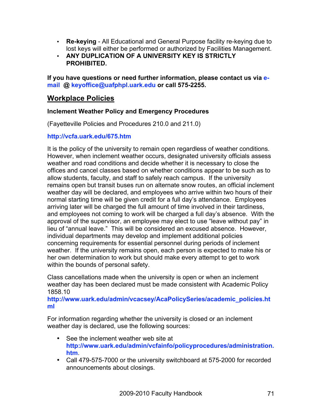- **Re-keying** All Educational and General Purpose facility re-keying due to lost keys will either be performed or authorized by Facilities Management.
- **ANY DUPLICATION OF A UNIVERSITY KEY IS STRICTLY PROHIBITED.**

**If you have questions or need further information, please contact us via email @ keyoffice@uafphpl.uark.edu or call 575-2255.**

# **Workplace Policies**

# **Inclement Weather Policy and Emergency Procedures**

(Fayetteville Policies and Procedures 210.0 and 211.0)

## **http://vcfa.uark.edu/675.htm**

It is the policy of the university to remain open regardless of weather conditions. However, when inclement weather occurs, designated university officials assess weather and road conditions and decide whether it is necessary to close the offices and cancel classes based on whether conditions appear to be such as to allow students, faculty, and staff to safely reach campus. If the university remains open but transit buses run on alternate snow routes, an official inclement weather day will be declared, and employees who arrive within two hours of their normal starting time will be given credit for a full day's attendance. Employees arriving later will be charged the full amount of time involved in their tardiness, and employees not coming to work will be charged a full day's absence. With the approval of the supervisor, an employee may elect to use "leave without pay" in lieu of "annual leave." This will be considered an excused absence. However, individual departments may develop and implement additional policies concerning requirements for essential personnel during periods of inclement weather. If the university remains open, each person is expected to make his or her own determination to work but should make every attempt to get to work within the bounds of personal safety.

Class cancellations made when the university is open or when an inclement weather day has been declared must be made consistent with Academic Policy 1858.10

**http://www.uark.edu/admin/vcacsey/AcaPolicySeries/academic\_policies.ht ml**

For information regarding whether the university is closed or an inclement weather day is declared, use the following sources:

- See the inclement weather web site at **http://www.uark.edu/admin/vcfainfo/policyprocedures/administration. htm**.
- Call 479-575-7000 or the university switchboard at 575-2000 for recorded announcements about closings.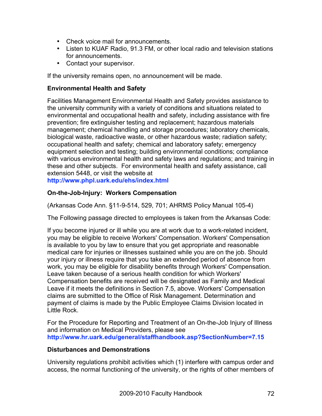- Check voice mail for announcements.
- Listen to KUAF Radio, 91.3 FM, or other local radio and television stations for announcements.
- Contact your supervisor.

If the university remains open, no announcement will be made.

#### **Environmental Health and Safety**

Facilities Management Environmental Health and Safety provides assistance to the university community with a variety of conditions and situations related to environmental and occupational health and safety, including assistance with fire prevention; fire extinguisher testing and replacement; hazardous materials management; chemical handling and storage procedures; laboratory chemicals, biological waste, radioactive waste, or other hazardous waste; radiation safety; occupational health and safety; chemical and laboratory safety; emergency equipment selection and testing; building environmental conditions; compliance with various environmental health and safety laws and regulations; and training in these and other subjects. For environmental health and safety assistance, call extension 5448, or visit the website at

**http://www.phpl.uark.edu/ehs/index.html**

# **On-the-Job-Injury: Workers Compensation**

(Arkansas Code Ann. §11-9-514, 529, 701; AHRMS Policy Manual 105-4)

The Following passage directed to employees is taken from the Arkansas Code:

If you become injured or ill while you are at work due to a work-related incident, you may be eligible to receive Workers' Compensation. Workers' Compensation is available to you by law to ensure that you get appropriate and reasonable medical care for injuries or illnesses sustained while you are on the job. Should your injury or illness require that you take an extended period of absence from work, you may be eligible for disability benefits through Workers' Compensation. Leave taken because of a serious health condition for which Workers' Compensation benefits are received will be designated as Family and Medical Leave if it meets the definitions in Section 7.5, above. Workers' Compensation claims are submitted to the Office of Risk Management. Determination and payment of claims is made by the Public Employee Claims Division located in Little Rock.

For the Procedure for Reporting and Treatment of an On-the-Job Injury of Illness and information on Medical Providers, please see **http://www.hr.uark.edu/general/staffhandbook.asp?SectionNumber=7.15**

#### **Disturbances and Demonstrations**

University regulations prohibit activities which (1) interfere with campus order and access, the normal functioning of the university, or the rights of other members of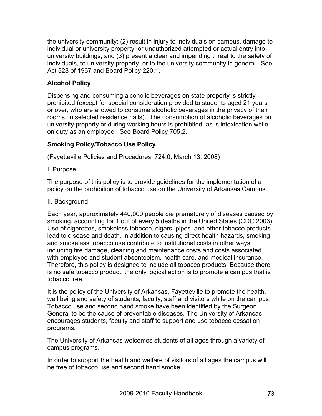the university community; (2) result in injury to individuals on campus, damage to individual or university property, or unauthorized attempted or actual entry into university buildings; and (3) present a clear and impending threat to the safety of individuals, to university property, or to the university community in general. See Act 328 of 1967 and Board Policy 220.1.

## **Alcohol Policy**

Dispensing and consuming alcoholic beverages on state property is strictly prohibited (except for special consideration provided to students aged 21 years or over, who are allowed to consume alcoholic beverages in the privacy of their rooms, in selected residence halls). The consumption of alcoholic beverages on university property or during working hours is prohibited, as is intoxication while on duty as an employee. See Board Policy 705.2.

## **Smoking Policy/Tobacco Use Policy**

(Fayetteville Policies and Procedures, 724.0, March 13, 2008)

I. Purpose

The purpose of this policy is to provide guidelines for the implementation of a policy on the prohibition of tobacco use on the University of Arkansas Campus.

#### II. Background

Each year, approximately 440,000 people die prematurely of diseases caused by smoking, accounting for 1 out of every 5 deaths in the United States (CDC 2003). Use of cigarettes, smokeless tobacco, cigars, pipes, and other tobacco products lead to disease and death. In addition to causing direct health hazards, smoking and smokeless tobacco use contribute to institutional costs in other ways, including fire damage, cleaning and maintenance costs and costs associated with employee and student absenteeism, health care, and medical insurance. Therefore, this policy is designed to include all tobacco products. Because there is no safe tobacco product, the only logical action is to promote a campus that is tobacco free.

It is the policy of the University of Arkansas, Fayetteville to promote the health, well being and safety of students, faculty, staff and visitors while on the campus. Tobacco use and second hand smoke have been identified by the Surgeon General to be the cause of preventable diseases. The University of Arkansas encourages students, faculty and staff to support and use tobacco cessation programs.

The University of Arkansas welcomes students of all ages through a variety of campus programs.

In order to support the health and welfare of visitors of all ages the campus will be free of tobacco use and second hand smoke.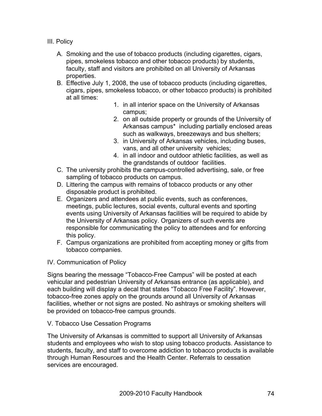III. Policy

- A. Smoking and the use of tobacco products (including cigarettes, cigars, pipes, smokeless tobacco and other tobacco products) by students, faculty, staff and visitors are prohibited on all University of Arkansas properties.
- B. Effective July 1, 2008, the use of tobacco products (including cigarettes, cigars, pipes, smokeless tobacco, or other tobacco products) is prohibited at all times:
	- 1. in all interior space on the University of Arkansas campus;
	- 2. on all outside property or grounds of the University of Arkansas campus\* including partially enclosed areas such as walkways, breezeways and bus shelters;
	- 3. in University of Arkansas vehicles, including buses, vans, and all other university vehicles;
	- 4. in all indoor and outdoor athletic facilities, as well as the grandstands of outdoor facilities.
- C. The university prohibits the campus-controlled advertising, sale, or free sampling of tobacco products on campus.
- D. Littering the campus with remains of tobacco products or any other disposable product is prohibited.
- E. Organizers and attendees at public events, such as conferences, meetings, public lectures, social events, cultural events and sporting events using University of Arkansas facilities will be required to abide by the University of Arkansas policy. Organizers of such events are responsible for communicating the policy to attendees and for enforcing this policy.
- F. Campus organizations are prohibited from accepting money or gifts from tobacco companies.
- IV. Communication of Policy

Signs bearing the message "Tobacco-Free Campus" will be posted at each vehicular and pedestrian University of Arkansas entrance (as applicable), and each building will display a decal that states "Tobacco Free Facility". However, tobacco-free zones apply on the grounds around all University of Arkansas facilities, whether or not signs are posted. No ashtrays or smoking shelters will be provided on tobacco-free campus grounds.

## V. Tobacco Use Cessation Programs

The University of Arkansas is committed to support all University of Arkansas students and employees who wish to stop using tobacco products. Assistance to students, faculty, and staff to overcome addiction to tobacco products is available through Human Resources and the Health Center. Referrals to cessation services are encouraged.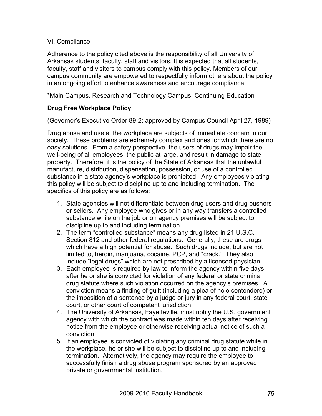#### VI. Compliance

Adherence to the policy cited above is the responsibility of all University of Arkansas students, faculty, staff and visitors. It is expected that all students, faculty, staff and visitors to campus comply with this policy. Members of our campus community are empowered to respectfully inform others about the policy in an ongoing effort to enhance awareness and encourage compliance.

\*Main Campus, Research and Technology Campus, Continuing Education

## **Drug Free Workplace Policy**

(Governor's Executive Order 89-2; approved by Campus Council April 27, 1989)

Drug abuse and use at the workplace are subjects of immediate concern in our society. These problems are extremely complex and ones for which there are no easy solutions. From a safety perspective, the users of drugs may impair the well-being of all employees, the public at large, and result in damage to state property. Therefore, it is the policy of the State of Arkansas that the unlawful manufacture, distribution, dispensation, possession, or use of a controlled substance in a state agency's workplace is prohibited. Any employees violating this policy will be subject to discipline up to and including termination. The specifics of this policy are as follows:

- 1. State agencies will not differentiate between drug users and drug pushers or sellers. Any employee who gives or in any way transfers a controlled substance while on the job or on agency premises will be subject to discipline up to and including termination.
- 2. The term "controlled substance" means any drug listed in 21 U.S.C. Section 812 and other federal regulations. Generally, these are drugs which have a high potential for abuse. Such drugs include, but are not limited to, heroin, marijuana, cocaine, PCP, and "crack." They also include "legal drugs" which are not prescribed by a licensed physician.
- 3. Each employee is required by law to inform the agency within five days after he or she is convicted for violation of any federal or state criminal drug statute where such violation occurred on the agency's premises. A conviction means a finding of guilt (including a plea of nolo contendere) or the imposition of a sentence by a judge or jury in any federal court, state court, or other court of competent jurisdiction.
- 4. The University of Arkansas, Fayetteville, must notify the U.S. government agency with which the contract was made within ten days after receiving notice from the employee or otherwise receiving actual notice of such a conviction.
- 5. If an employee is convicted of violating any criminal drug statute while in the workplace, he or she will be subject to discipline up to and including termination. Alternatively, the agency may require the employee to successfully finish a drug abuse program sponsored by an approved private or governmental institution.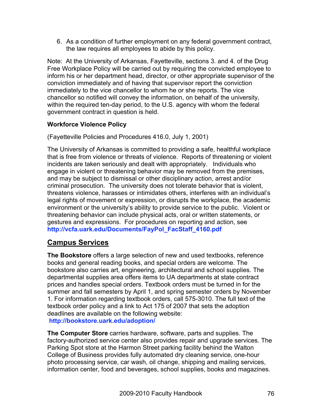6. As a condition of further employment on any federal government contract, the law requires all employees to abide by this policy.

Note: At the University of Arkansas, Fayetteville, sections 3. and 4. of the Drug Free Workplace Policy will be carried out by requiring the convicted employee to inform his or her department head, director, or other appropriate supervisor of the conviction immediately and of having that supervisor report the conviction immediately to the vice chancellor to whom he or she reports. The vice chancellor so notified will convey the information, on behalf of the university, within the required ten-day period, to the U.S. agency with whom the federal government contract in question is held.

## **Workforce Violence Policy**

(Fayetteville Policies and Procedures 416.0, July 1, 2001)

The University of Arkansas is committed to providing a safe, healthful workplace that is free from violence or threats of violence. Reports of threatening or violent incidents are taken seriously and dealt with appropriately. Individuals who engage in violent or threatening behavior may be removed from the premises, and may be subject to dismissal or other disciplinary action, arrest and/or criminal prosecution. The university does not tolerate behavior that is violent, threatens violence, harasses or intimidates others, interferes with an individual's legal rights of movement or expression, or disrupts the workplace, the academic environment or the university's ability to provide service to the public. Violent or threatening behavior can include physical acts, oral or written statements, or gestures and expressions. For procedures on reporting and action, see **http://vcfa.uark.edu/Documents/FayPol\_FacStaff\_4160.pdf**

## **Campus Services**

**The Bookstore** offers a large selection of new and used textbooks, reference books and general reading books, and special orders are welcome. The bookstore also carries art, engineering, architectural and school supplies. The departmental supplies area offers items to UA departments at state contract prices and handles special orders. Textbook orders must be turned in for the summer and fall semesters by April 1, and spring semester orders by November 1. For information regarding textbook orders, call 575-3010. The full text of the textbook order policy and a link to Act 175 of 2007 that sets the adoption deadlines are available on the following website: **http://bookstore.uark.edu/adoption/**

**The Computer Store** carries hardware, software, parts and supplies. The factory-authorized service center also provides repair and upgrade services. The Parking Spot store at the Harmon Street parking facility behind the Walton College of Business provides fully automated dry cleaning service, one-hour photo processing service, car wash, oil change, shipping and mailing services, information center, food and beverages, school supplies, books and magazines.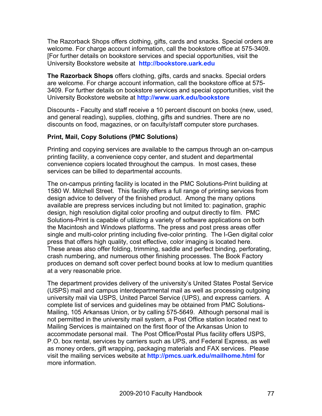The Razorback Shops offers clothing, gifts, cards and snacks. Special orders are welcome. For charge account information, call the bookstore office at 575-3409. [For further details on bookstore services and special opportunities, visit the University Bookstore website at **http://bookstore.uark.edu**

**The Razorback Shops** offers clothing, gifts, cards and snacks. Special orders are welcome. For charge account information, call the bookstore office at 575- 3409. For further details on bookstore services and special opportunities, visit the University Bookstore website at **http://www.uark.edu/bookstore**

Discounts - Faculty and staff receive a 10 percent discount on books (new, used, and general reading), supplies, clothing, gifts and sundries. There are no discounts on food, magazines, or on faculty/staff computer store purchases.

#### **Print, Mail, Copy Solutions (PMC Solutions)**

Printing and copying services are available to the campus through an on-campus printing facility, a convenience copy center, and student and departmental convenience copiers located throughout the campus. In most cases, these services can be billed to departmental accounts.

The on-campus printing facility is located in the PMC Solutions-Print building at 1580 W. Mitchell Street. This facility offers a full range of printing services from design advice to delivery of the finished product. Among the many options available are prepress services including but not limited to: pagination, graphic design, high resolution digital color proofing and output directly to film. PMC Solutions-Print is capable of utilizing a variety of software applications on both the Macintosh and Windows platforms. The press and post press areas offer single and multi-color printing including five-color printing. The I-Gen digital color press that offers high quality, cost effective, color imaging is located here. These areas also offer folding, trimming, saddle and perfect binding, perforating, crash numbering, and numerous other finishing processes. The Book Factory produces on demand soft cover perfect bound books at low to medium quantities at a very reasonable price.

The department provides delivery of the university's United States Postal Service (USPS) mail and campus interdepartmental mail as well as processing outgoing university mail via USPS, United Parcel Service (UPS), and express carriers. A complete list of services and guidelines may be obtained from PMC Solutions-Mailing, 105 Arkansas Union, or by calling 575-5649. Although personal mail is not permitted in the university mail system, a Post Office station located next to Mailing Services is maintained on the first floor of the Arkansas Union to accommodate personal mail. The Post Office/Postal Plus facility offers USPS, P.O. box rental, services by carriers such as UPS, and Federal Express, as well as money orders, gift wrapping, packaging materials and FAX services. Please visit the mailing services website at **http://pmcs.uark.edu/mailhome.html** for more information.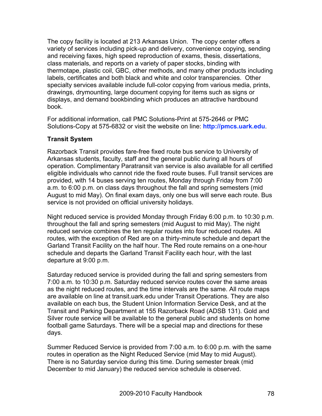The copy facility is located at 213 Arkansas Union. The copy center offers a variety of services including pick-up and delivery, convenience copying, sending and receiving faxes, high speed reproduction of exams, thesis, dissertations, class materials, and reports on a variety of paper stocks, binding with thermotape, plastic coil, GBC, other methods, and many other products including labels, certificates and both black and white and color transparencies. Other specialty services available include full-color copying from various media, prints, drawings, drymounting, large document copying for items such as signs or displays, and demand bookbinding which produces an attractive hardbound book.

For additional information, call PMC Solutions-Print at 575-2646 or PMC Solutions-Copy at 575-6832 or visit the website on line: **http://pmcs.uark.edu**.

#### **Transit System**

Razorback Transit provides fare-free fixed route bus service to University of Arkansas students, faculty, staff and the general public during all hours of operation. Complimentary Paratransit van service is also available for all certified eligible individuals who cannot ride the fixed route buses. Full transit services are provided, with 14 buses serving ten routes, Monday through Friday from 7:00 a.m. to 6:00 p.m. on class days throughout the fall and spring semesters (mid August to mid May). On final exam days, only one bus will serve each route. Bus service is not provided on official university holidays.

Night reduced service is provided Monday through Friday 6:00 p.m. to 10:30 p.m. throughout the fall and spring semesters (mid August to mid May). The night reduced service combines the ten regular routes into four reduced routes. All routes, with the exception of Red are on a thirty-minute schedule and depart the Garland Transit Facility on the half hour. The Red route remains on a one-hour schedule and departs the Garland Transit Facility each hour, with the last departure at 9:00 p.m.

Saturday reduced service is provided during the fall and spring semesters from 7:00 a.m. to 10:30 p.m. Saturday reduced service routes cover the same areas as the night reduced routes, and the time intervals are the same. All route maps are available on line at transit.uark.edu under Transit Operations. They are also available on each bus, the Student Union Information Service Desk, and at the Transit and Parking Department at 155 Razorback Road (ADSB 131). Gold and Silver route service will be available to the general public and students on home football game Saturdays. There will be a special map and directions for these days.

Summer Reduced Service is provided from 7:00 a.m. to 6:00 p.m. with the same routes in operation as the Night Reduced Service (mid May to mid August). There is no Saturday service during this time. During semester break (mid December to mid January) the reduced service schedule is observed.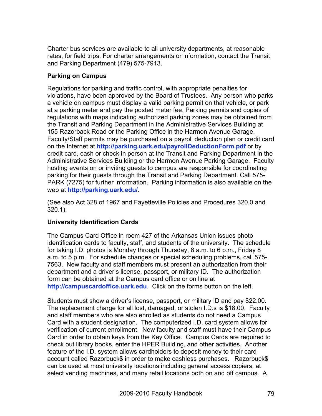Charter bus services are available to all university departments, at reasonable rates, for field trips. For charter arrangements or information, contact the Transit and Parking Department (479) 575-7913.

## **Parking on Campus**

Regulations for parking and traffic control, with appropriate penalties for violations, have been approved by the Board of Trustees. Any person who parks a vehicle on campus must display a valid parking permit on that vehicle, or park at a parking meter and pay the posted meter fee. Parking permits and copies of regulations with maps indicating authorized parking zones may be obtained from the Transit and Parking Department in the Administrative Services Building at 155 Razorback Road or the Parking Office in the Harmon Avenue Garage. Faculty/Staff permits may be purchased on a payroll deduction plan or credit card on the Internet at **http://parking.uark.edu/payrollDeductionForm.pdf** or by credit card, cash or check in person at the Transit and Parking Department in the Administrative Services Building or the Harmon Avenue Parking Garage. Faculty hosting events on or inviting guests to campus are responsible for coordinating parking for their guests through the Transit and Parking Department. Call 575- PARK (7275) for further information. Parking information is also available on the web at **http://parking.uark.edu/**.

(See also Act 328 of 1967 and Fayetteville Policies and Procedures 320.0 and 320.1).

## **University Identification Cards**

The Campus Card Office in room 427 of the Arkansas Union issues photo identification cards to faculty, staff, and students of the university. The schedule for taking I.D. photos is Monday through Thursday, 8 a.m. to 6 p.m., Friday 8 a.m. to 5 p.m. For schedule changes or special scheduling problems, call 575- 7563. New faculty and staff members must present an authorization from their department and a driver's license, passport, or military ID. The authorization form can be obtained at the Campus card office or on line at **http://campuscardoffice.uark.edu**. Click on the forms button on the left.

Students must show a driver's license, passport, or military ID and pay \$22.00. The replacement charge for all lost, damaged, or stolen I.D.s is \$18.00. Faculty and staff members who are also enrolled as students do not need a Campus Card with a student designation. The computerized I.D. card system allows for verification of current enrollment. New faculty and staff must have their Campus Card in order to obtain keys from the Key Office. Campus Cards are required to check out library books, enter the HPER Building, and other activities. Another feature of the I.D. system allows cardholders to deposit money to their card account called Razorbuck\$ in order to make cashless purchases. Razorbuck\$ can be used at most university locations including general access copiers, at select vending machines, and many retail locations both on and off campus. A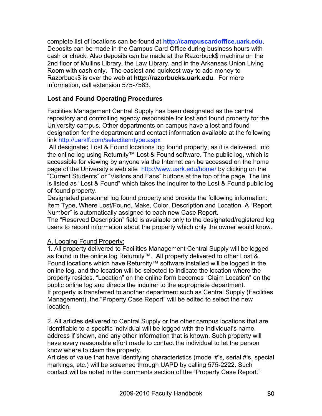complete list of locations can be found at **http://campuscardoffice.uark.edu**. Deposits can be made in the Campus Card Office during business hours with cash or check. Also deposits can be made at the Razorbuck\$ machine on the 2nd floor of Mullins Library, the Law Library, and in the Arkansas Union Living Room with cash only. The easiest and quickest way to add money to Razorbuck\$ is over the web at **http://razorbucks.uark.edu**. For more information, call extension 575**-**7563.

#### **Lost and Found Operating Procedures**

Facilities Management Central Supply has been designated as the central repository and controlling agency responsible for lost and found property for the University campus. Other departments on campus have a lost and found designation for the department and contact information available at the following link http://uarklf.com/selectitemtype.aspx

 All designated Lost & Found locations log found property, as it is delivered, into the online log using Returnity™ Lost & Found software. The public log, which is accessible for viewing by anyone via the Internet can be accessed on the home page of the University's web site http://www.uark.edu/home/ by clicking on the "Current Students" or "Visitors and Fans" buttons at the top of the page. The link is listed as "Lost & Found" which takes the inquirer to the Lost & Found public log of found property.

Designated personnel log found property and provide the following information: Item Type, Where Lost/Found, Make, Color, Description and Location. A "Report Number" is automatically assigned to each new Case Report.

The "Reserved Description" field is available only to the designated/registered log users to record information about the property which only the owner would know.

#### A. Logging Found Property:

1. All property delivered to Facilities Management Central Supply will be logged as found in the online log Returnity™. All property delivered to other Lost & Found locations which have Returnity™ software installed will be logged in the online log, and the location will be selected to indicate the location where the property resides. "Location" on the online form becomes "Claim Location" on the public online log and directs the inquirer to the appropriate department. If property is transferred to another department such as Central Supply (Facilities Management), the "Property Case Report" will be edited to select the new location.

2. All articles delivered to Central Supply or the other campus locations that are identifiable to a specific individual will be logged with the individual's name, address if shown, and any other information that is known. Such property will have every reasonable effort made to contact the individual to let the person know where to claim the property.

Articles of value that have identifying characteristics (model #'s, serial #'s, special markings, etc.) will be screened through UAPD by calling 575-2222. Such contact will be noted in the comments section of the "Property Case Report."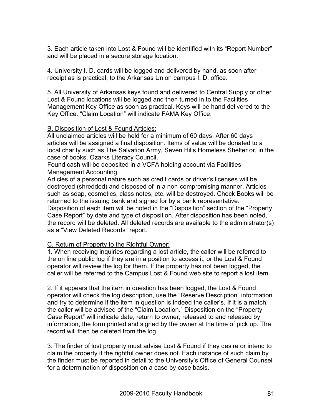3. Each article taken into Lost & Found will be identified with its "Report Number" and will be placed in a secure storage location.

4. University I. D. cards will be logged and delivered by hand, as soon after receipt as is practical, to the Arkansas Union campus I. D. office.

5. All University of Arkansas keys found and delivered to Central Supply or other Lost & Found locations will be logged and then turned in to the Facilities Management Key Office as soon as practical. Keys will be hand delivered to the Key Office. "Claim Location" will indicate FAMA Key Office.

#### B. Disposition of Lost & Found Articles:

All unclaimed articles will be held for a minimum of 60 days. After 60 days articles will be assigned a final disposition. Items of value will be donated to a local charity such as The Salvation Army, Seven Hills Homeless Shelter or, in the case of books, Ozarks Literacy Council.

Found cash will be deposited in a VCFA holding account via Facilities Management Accounting.

Articles of a personal nature such as credit cards or driver's licenses will be destroyed (shredded) and disposed of in a non-compromising manner. Articles such as soap, cosmetics, class notes, etc. will be destroyed. Check Books will be returned to the issuing bank and signed for by a bank representative.

Disposition of each item will be noted in the "Disposition" section of the "Property Case Report" by date and type of disposition. After disposition has been noted, the record will be deleted. All deleted records are available to the administrator(s) as a "View Deleted Records" report.

## C. Return of Property to the Rightful Owner:

1. When receiving inquiries regarding a lost article, the caller will be referred to the on line public log if they are in a position to access it, or the Lost & Found operator will review the log for them. If the property has not been logged, the caller will be referred to the Campus Lost & Found web site to report a lost item.

2. If it appears that the item in question has been logged, the Lost & Found operator will check the log description, use the "Reserve Description" information and try to determine if the item in question is indeed the caller's. If it is a match, the caller will be advised of the "Claim Location." Disposition on the "Property Case Report" will indicate date, return to owner, released to and released by information, the form printed and signed by the owner at the time of pick up. The record will then be deleted from the log.

3. The finder of lost property must advise Lost & Found if they desire or intend to claim the property if the rightful owner does not. Each instance of such claim by the finder must be reported in detail to the University's Office of General Counsel for a determination of disposition on a case by case basis.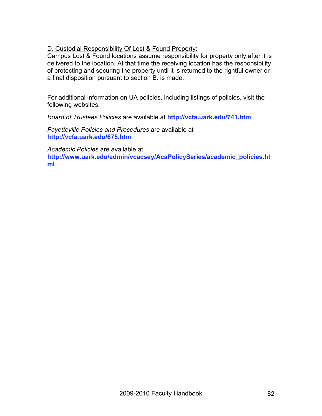## D. Custodial Responsibility Of Lost & Found Property:

Campus Lost & Found locations assume responsibility for property only after it is delivered to the location. At that time the receiving location has the responsibility of protecting and securing the property until it is returned to the rightful owner or a final disposition pursuant to section B. is made.

For additional information on UA policies, including listings of policies, visit the following websites.

*Board of Trustees Policies* are available at **http://vcfa.uark.edu/741.htm**

*Fayetteville Policies and Procedures* are available at **http://vcfa.uark.edu/675.htm**

*Academic Policies* are available at **http://www.uark.edu/admin/vcacsey/AcaPolicySeries/academic\_policies.ht ml**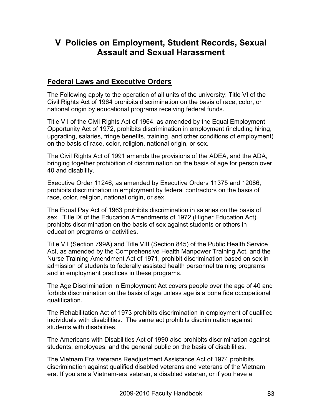# **V Policies on Employment, Student Records, Sexual Assault and Sexual Harassment**

## **Federal Laws and Executive Orders**

The Following apply to the operation of all units of the university: Title VI of the Civil Rights Act of 1964 prohibits discrimination on the basis of race, color, or national origin by educational programs receiving federal funds.

Title VII of the Civil Rights Act of 1964, as amended by the Equal Employment Opportunity Act of 1972, prohibits discrimination in employment (including hiring, upgrading, salaries, fringe benefits, training, and other conditions of employment) on the basis of race, color, religion, national origin, or sex.

The Civil Rights Act of 1991 amends the provisions of the ADEA, and the ADA, bringing together prohibition of discrimination on the basis of age for person over 40 and disability.

Executive Order 11246, as amended by Executive Orders 11375 and 12086, prohibits discrimination in employment by federal contractors on the basis of race, color, religion, national origin, or sex.

The Equal Pay Act of 1963 prohibits discrimination in salaries on the basis of sex. Title IX of the Education Amendments of 1972 (Higher Education Act) prohibits discrimination on the basis of sex against students or others in education programs or activities.

Title VII (Section 799A) and Title VIII (Section 845) of the Public Health Service Act, as amended by the Comprehensive Health Manpower Training Act, and the Nurse Training Amendment Act of 1971, prohibit discrimination based on sex in admission of students to federally assisted health personnel training programs and in employment practices in these programs.

The Age Discrimination in Employment Act covers people over the age of 40 and forbids discrimination on the basis of age unless age is a bona fide occupational qualification.

The Rehabilitation Act of 1973 prohibits discrimination in employment of qualified individuals with disabilities. The same act prohibits discrimination against students with disabilities.

The Americans with Disabilities Act of 1990 also prohibits discrimination against students, employees, and the general public on the basis of disabilities.

The Vietnam Era Veterans Readjustment Assistance Act of 1974 prohibits discrimination against qualified disabled veterans and veterans of the Vietnam era. If you are a Vietnam-era veteran, a disabled veteran, or if you have a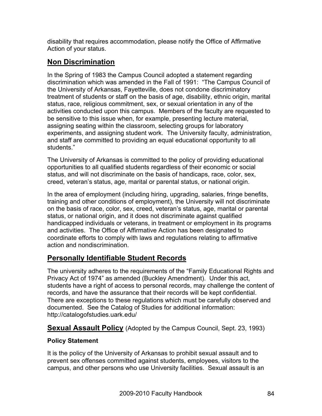disability that requires accommodation, please notify the Office of Affirmative Action of your status.

# **Non Discrimination**

In the Spring of 1983 the Campus Council adopted a statement regarding discrimination which was amended in the Fall of 1991: "The Campus Council of the University of Arkansas, Fayetteville, does not condone discriminatory treatment of students or staff on the basis of age, disability, ethnic origin, marital status, race, religious commitment, sex, or sexual orientation in any of the activities conducted upon this campus. Members of the faculty are requested to be sensitive to this issue when, for example, presenting lecture material, assigning seating within the classroom, selecting groups for laboratory experiments, and assigning student work. The University faculty, administration, and staff are committed to providing an equal educational opportunity to all students."

The University of Arkansas is committed to the policy of providing educational opportunities to all qualified students regardless of their economic or social status, and will not discriminate on the basis of handicaps, race, color, sex, creed, veteran's status, age, marital or parental status, or national origin.

In the area of employment (including hiring, upgrading, salaries, fringe benefits, training and other conditions of employment), the University will not discriminate on the basis of race, color, sex, creed, veteran's status, age, marital or parental status, or national origin, and it does not discriminate against qualified handicapped individuals or veterans, in treatment or employment in its programs and activities. The Office of Affirmative Action has been designated to coordinate efforts to comply with laws and regulations relating to affirmative action and nondiscrimination.

## **Personally Identifiable Student Records**

The university adheres to the requirements of the "Family Educational Rights and Privacy Act of 1974" as amended (Buckley Amendment). Under this act, students have a right of access to personal records, may challenge the content of records, and have the assurance that their records will be kept confidential. There are exceptions to these regulations which must be carefully observed and documented. See the Catalog of Studies for additional information: http://catalogofstudies.uark.edu/

## **Sexual Assault Policy** (Adopted by the Campus Council, Sept. 23, 1993)

## **Policy Statement**

It is the policy of the University of Arkansas to prohibit sexual assault and to prevent sex offenses committed against students, employees, visitors to the campus, and other persons who use University facilities. Sexual assault is an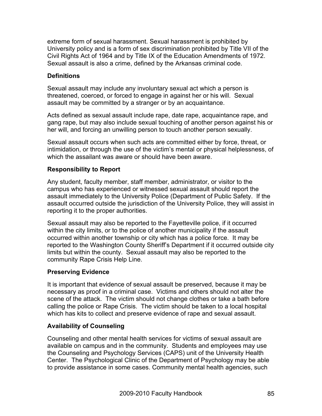extreme form of sexual harassment. Sexual harassment is prohibited by University policy and is a form of sex discrimination prohibited by Title VII of the Civil Rights Act of 1964 and by Title IX of the Education Amendments of 1972. Sexual assault is also a crime, defined by the Arkansas criminal code.

#### **Definitions**

Sexual assault may include any involuntary sexual act which a person is threatened, coerced, or forced to engage in against her or his will. Sexual assault may be committed by a stranger or by an acquaintance.

Acts defined as sexual assault include rape, date rape, acquaintance rape, and gang rape, but may also include sexual touching of another person against his or her will, and forcing an unwilling person to touch another person sexually.

Sexual assault occurs when such acts are committed either by force, threat, or intimidation, or through the use of the victim's mental or physical helplessness, of which the assailant was aware or should have been aware.

#### **Responsibility to Report**

Any student, faculty member, staff member, administrator, or visitor to the campus who has experienced or witnessed sexual assault should report the assault immediately to the University Police (Department of Public Safety. If the assault occurred outside the jurisdiction of the University Police, they will assist in reporting it to the proper authorities.

Sexual assault may also be reported to the Fayetteville police, if it occurred within the city limits, or to the police of another municipality if the assault occurred within another township or city which has a police force. It may be reported to the Washington County Sheriff's Department if it occurred outside city limits but within the county. Sexual assault may also be reported to the community Rape Crisis Help Line.

#### **Preserving Evidence**

It is important that evidence of sexual assault be preserved, because it may be necessary as proof in a criminal case. Victims and others should not alter the scene of the attack. The victim should not change clothes or take a bath before calling the police or Rape Crisis. The victim should be taken to a local hospital which has kits to collect and preserve evidence of rape and sexual assault.

## **Availability of Counseling**

Counseling and other mental health services for victims of sexual assault are available on campus and in the community. Students and employees may use the Counseling and Psychology Services (CAPS) unit of the University Health Center. The Psychological Clinic of the Department of Psychology may be able to provide assistance in some cases. Community mental health agencies, such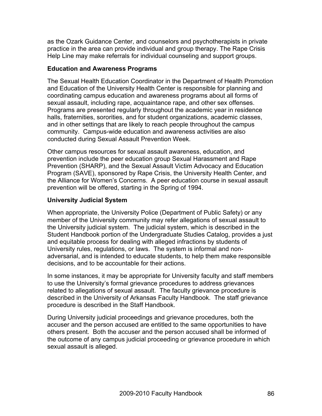as the Ozark Guidance Center, and counselors and psychotherapists in private practice in the area can provide individual and group therapy. The Rape Crisis Help Line may make referrals for individual counseling and support groups.

#### **Education and Awareness Programs**

The Sexual Health Education Coordinator in the Department of Health Promotion and Education of the University Health Center is responsible for planning and coordinating campus education and awareness programs about all forms of sexual assault, including rape, acquaintance rape, and other sex offenses. Programs are presented regularly throughout the academic year in residence halls, fraternities, sororities, and for student organizations, academic classes, and in other settings that are likely to reach people throughout the campus community. Campus-wide education and awareness activities are also conducted during Sexual Assault Prevention Week.

Other campus resources for sexual assault awareness, education, and prevention include the peer education group Sexual Harassment and Rape Prevention (SHARP), and the Sexual Assault Victim Advocacy and Education Program (SAVE), sponsored by Rape Crisis, the University Health Center, and the Alliance for Women's Concerns. A peer education course in sexual assault prevention will be offered, starting in the Spring of 1994.

#### **University Judicial System**

When appropriate, the University Police (Department of Public Safety) or any member of the University community may refer allegations of sexual assault to the University judicial system. The judicial system, which is described in the Student Handbook portion of the Undergraduate Studies Catalog, provides a just and equitable process for dealing with alleged infractions by students of University rules, regulations, or laws. The system is informal and nonadversarial, and is intended to educate students, to help them make responsible decisions, and to be accountable for their actions.

In some instances, it may be appropriate for University faculty and staff members to use the University's formal grievance procedures to address grievances related to allegations of sexual assault. The faculty grievance procedure is described in the University of Arkansas Faculty Handbook. The staff grievance procedure is described in the Staff Handbook.

During University judicial proceedings and grievance procedures, both the accuser and the person accused are entitled to the same opportunities to have others present. Both the accuser and the person accused shall be informed of the outcome of any campus judicial proceeding or grievance procedure in which sexual assault is alleged.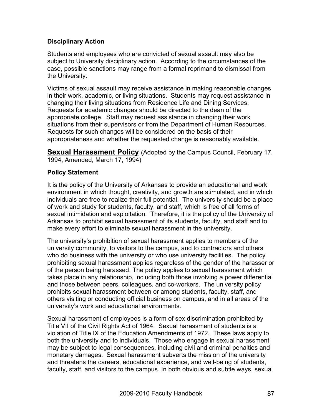## **Disciplinary Action**

Students and employees who are convicted of sexual assault may also be subject to University disciplinary action. According to the circumstances of the case, possible sanctions may range from a formal reprimand to dismissal from the University.

Victims of sexual assault may receive assistance in making reasonable changes in their work, academic, or living situations. Students may request assistance in changing their living situations from Residence Life and Dining Services. Requests for academic changes should be directed to the dean of the appropriate college. Staff may request assistance in changing their work situations from their supervisors or from the Department of Human Resources. Requests for such changes will be considered on the basis of their appropriateness and whether the requested change is reasonably available.

**Sexual Harassment Policy** (Adopted by the Campus Council, February 17, 1994, Amended, March 17, 1994)

#### **Policy Statement**

It is the policy of the University of Arkansas to provide an educational and work environment in which thought, creativity, and growth are stimulated, and in which individuals are free to realize their full potential. The university should be a place of work and study for students, faculty, and staff, which is free of all forms of sexual intimidation and exploitation. Therefore, it is the policy of the University of Arkansas to prohibit sexual harassment of its students, faculty, and staff and to make every effort to eliminate sexual harassment in the university.

The university's prohibition of sexual harassment applies to members of the university community, to visitors to the campus, and to contractors and others who do business with the university or who use university facilities. The policy prohibiting sexual harassment applies regardless of the gender of the harasser or of the person being harassed. The policy applies to sexual harassment which takes place in any relationship, including both those involving a power differential and those between peers, colleagues, and co-workers. The university policy prohibits sexual harassment between or among students, faculty, staff, and others visiting or conducting official business on campus, and in all areas of the university's work and educational environments.

Sexual harassment of employees is a form of sex discrimination prohibited by Title VII of the Civil Rights Act of 1964. Sexual harassment of students is a violation of Title IX of the Education Amendments of 1972. These laws apply to both the university and to individuals. Those who engage in sexual harassment may be subject to legal consequences, including civil and criminal penalties and monetary damages. Sexual harassment subverts the mission of the university and threatens the careers, educational experience, and well-being of students, faculty, staff, and visitors to the campus. In both obvious and subtle ways, sexual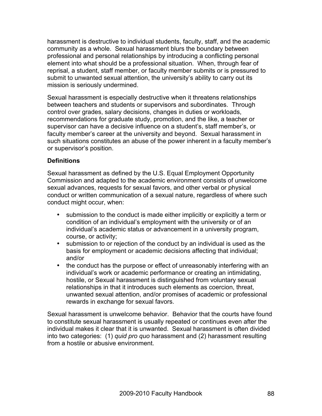harassment is destructive to individual students, faculty, staff, and the academic community as a whole. Sexual harassment blurs the boundary between professional and personal relationships by introducing a conflicting personal element into what should be a professional situation. When, through fear of reprisal, a student, staff member, or faculty member submits or is pressured to submit to unwanted sexual attention, the university's ability to carry out its mission is seriously undermined.

Sexual harassment is especially destructive when it threatens relationships between teachers and students or supervisors and subordinates. Through control over grades, salary decisions, changes in duties or workloads, recommendations for graduate study, promotion, and the like, a teacher or supervisor can have a decisive influence on a student's, staff member's, or faculty member's career at the university and beyond. Sexual harassment in such situations constitutes an abuse of the power inherent in a faculty member's or supervisor's position.

#### **Definitions**

Sexual harassment as defined by the U.S. Equal Employment Opportunity Commission and adapted to the academic environment consists of unwelcome sexual advances, requests for sexual favors, and other verbal or physical conduct or written communication of a sexual nature, regardless of where such conduct might occur, when:

- submission to the conduct is made either implicitly or explicitly a term or condition of an individual's employment with the university or of an individual's academic status or advancement in a university program, course, or activity;
- submission to or rejection of the conduct by an individual is used as the basis for employment or academic decisions affecting that individual; and/or
- the conduct has the purpose or effect of unreasonably interfering with an individual's work or academic performance or creating an intimidating, hostile, or Sexual harassment is distinguished from voluntary sexual relationships in that it introduces such elements as coercion, threat, unwanted sexual attention, and/or promises of academic or professional rewards in exchange for sexual favors.

Sexual harassment is unwelcome behavior. Behavior that the courts have found to constitute sexual harassment is usually repeated or continues even after the individual makes it clear that it is unwanted. Sexual harassment is often divided into two categories: (1) *quid pro quo* harassment and (2) harassment resulting from a hostile or abusive environment.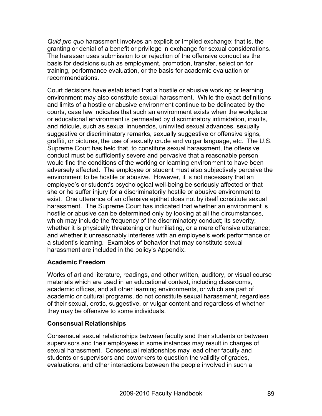*Quid pro quo* harassment involves an explicit or implied exchange; that is, the granting or denial of a benefit or privilege in exchange for sexual considerations. The harasser uses submission to or rejection of the offensive conduct as the basis for decisions such as employment, promotion, transfer, selection for training, performance evaluation, or the basis for academic evaluation or recommendations.

Court decisions have established that a hostile or abusive working or learning environment may also constitute sexual harassment. While the exact definitions and limits of a hostile or abusive environment continue to be delineated by the courts, case law indicates that such an environment exists when the workplace or educational environment is permeated by discriminatory intimidation, insults, and ridicule, such as sexual innuendos, uninvited sexual advances, sexually suggestive or discriminatory remarks, sexually suggestive or offensive signs, graffiti, or pictures, the use of sexually crude and vulgar language, etc. The U.S. Supreme Court has held that, to constitute sexual harassment, the offensive conduct must be sufficiently severe and pervasive that a reasonable person would find the conditions of the working or learning environment to have been adversely affected. The employee or student must also subjectively perceive the environment to be hostile or abusive. However, it is not necessary that an employee's or student's psychological well-being be seriously affected or that she or he suffer injury for a discriminatorily hostile or abusive environment to exist. One utterance of an offensive epithet does not by itself constitute sexual harassment. The Supreme Court has indicated that whether an environment is hostile or abusive can be determined only by looking at all the circumstances, which may include the frequency of the discriminatory conduct; its severity; whether it is physically threatening or humiliating, or a mere offensive utterance; and whether it unreasonably interferes with an employee's work performance or a student's learning. Examples of behavior that may constitute sexual harassment are included in the policy's Appendix.

## **Academic Freedom**

Works of art and literature, readings, and other written, auditory, or visual course materials which are used in an educational context, including classrooms, academic offices, and all other learning environments, or which are part of academic or cultural programs, do not constitute sexual harassment, regardless of their sexual, erotic, suggestive, or vulgar content and regardless of whether they may be offensive to some individuals.

## **Consensual Relationships**

Consensual sexual relationships between faculty and their students or between supervisors and their employees in some instances may result in charges of sexual harassment. Consensual relationships may lead other faculty and students or supervisors and coworkers to question the validity of grades, evaluations, and other interactions between the people involved in such a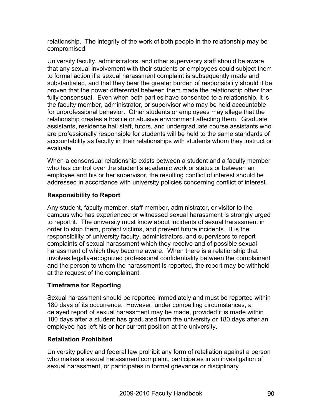relationship. The integrity of the work of both people in the relationship may be compromised.

University faculty, administrators, and other supervisory staff should be aware that any sexual involvement with their students or employees could subject them to formal action if a sexual harassment complaint is subsequently made and substantiated, and that they bear the greater burden of responsibility should it be proven that the power differential between them made the relationship other than fully consensual. Even when both parties have consented to a relationship, it is the faculty member, administrator, or supervisor who may be held accountable for unprofessional behavior. Other students or employees may allege that the relationship creates a hostile or abusive environment affecting them. Graduate assistants, residence hall staff, tutors, and undergraduate course assistants who are professionally responsible for students will be held to the same standards of accountability as faculty in their relationships with students whom they instruct or evaluate.

When a consensual relationship exists between a student and a faculty member who has control over the student's academic work or status or between an employee and his or her supervisor, the resulting conflict of interest should be addressed in accordance with university policies concerning conflict of interest.

## **Responsibility to Report**

Any student, faculty member, staff member, administrator, or visitor to the campus who has experienced or witnessed sexual harassment is strongly urged to report it. The university must know about incidents of sexual harassment in order to stop them, protect victims, and prevent future incidents. It is the responsibility of university faculty, administrators, and supervisors to report complaints of sexual harassment which they receive and of possible sexual harassment of which they become aware. When there is a relationship that involves legally-recognized professional confidentiality between the complainant and the person to whom the harassment is reported, the report may be withheld at the request of the complainant.

## **Timeframe for Reporting**

Sexual harassment should be reported immediately and must be reported within 180 days of its occurrence. However, under compelling circumstances, a delayed report of sexual harassment may be made, provided it is made within 180 days after a student has graduated from the university or 180 days after an employee has left his or her current position at the university.

## **Retaliation Prohibited**

University policy and federal law prohibit any form of retaliation against a person who makes a sexual harassment complaint, participates in an investigation of sexual harassment, or participates in formal grievance or disciplinary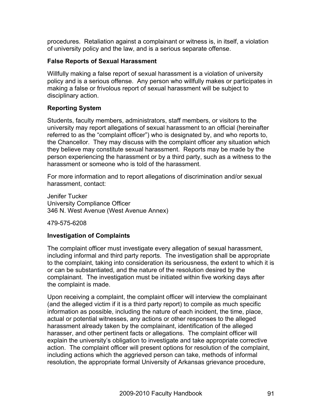procedures. Retaliation against a complainant or witness is, in itself, a violation of university policy and the law, and is a serious separate offense.

#### **False Reports of Sexual Harassment**

Willfully making a false report of sexual harassment is a violation of university policy and is a serious offense. Any person who willfully makes or participates in making a false or frivolous report of sexual harassment will be subject to disciplinary action.

## **Reporting System**

Students, faculty members, administrators, staff members, or visitors to the university may report allegations of sexual harassment to an official (hereinafter referred to as the "complaint officer") who is designated by, and who reports to, the Chancellor. They may discuss with the complaint officer any situation which they believe may constitute sexual harassment. Reports may be made by the person experiencing the harassment or by a third party, such as a witness to the harassment or someone who is told of the harassment.

For more information and to report allegations of discrimination and/or sexual harassment, contact:

Jenifer Tucker University Compliance Officer 346 N. West Avenue (West Avenue Annex)

479-575-6208

## **Investigation of Complaints**

The complaint officer must investigate every allegation of sexual harassment, including informal and third party reports. The investigation shall be appropriate to the complaint, taking into consideration its seriousness, the extent to which it is or can be substantiated, and the nature of the resolution desired by the complainant. The investigation must be initiated within five working days after the complaint is made.

Upon receiving a complaint, the complaint officer will interview the complainant (and the alleged victim if it is a third party report) to compile as much specific information as possible, including the nature of each incident, the time, place, actual or potential witnesses, any actions or other responses to the alleged harassment already taken by the complainant, identification of the alleged harasser, and other pertinent facts or allegations. The complaint officer will explain the university's obligation to investigate and take appropriate corrective action. The complaint officer will present options for resolution of the complaint, including actions which the aggrieved person can take, methods of informal resolution, the appropriate formal University of Arkansas grievance procedure,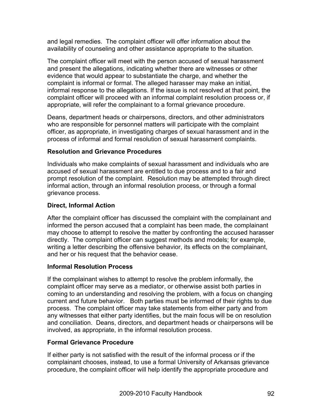and legal remedies. The complaint officer will offer information about the availability of counseling and other assistance appropriate to the situation.

The complaint officer will meet with the person accused of sexual harassment and present the allegations, indicating whether there are witnesses or other evidence that would appear to substantiate the charge, and whether the complaint is informal or formal. The alleged harasser may make an initial, informal response to the allegations. If the issue is not resolved at that point, the complaint officer will proceed with an informal complaint resolution process or, if appropriate, will refer the complainant to a formal grievance procedure.

Deans, department heads or chairpersons, directors, and other administrators who are responsible for personnel matters will participate with the complaint officer, as appropriate, in investigating charges of sexual harassment and in the process of informal and formal resolution of sexual harassment complaints.

#### **Resolution and Grievance Procedures**

Individuals who make complaints of sexual harassment and individuals who are accused of sexual harassment are entitled to due process and to a fair and prompt resolution of the complaint. Resolution may be attempted through direct informal action, through an informal resolution process, or through a formal grievance process.

#### **Direct, Informal Action**

After the complaint officer has discussed the complaint with the complainant and informed the person accused that a complaint has been made, the complainant may choose to attempt to resolve the matter by confronting the accused harasser directly. The complaint officer can suggest methods and models; for example, writing a letter describing the offensive behavior, its effects on the complainant, and her or his request that the behavior cease.

#### **Informal Resolution Process**

If the complainant wishes to attempt to resolve the problem informally, the complaint officer may serve as a mediator, or otherwise assist both parties in coming to an understanding and resolving the problem, with a focus on changing current and future behavior. Both parties must be informed of their rights to due process. The complaint officer may take statements from either party and from any witnesses that either party identifies, but the main focus will be on resolution and conciliation. Deans, directors, and department heads or chairpersons will be involved, as appropriate, in the informal resolution process.

## **Formal Grievance Procedure**

If either party is not satisfied with the result of the informal process or if the complainant chooses, instead, to use a formal University of Arkansas grievance procedure, the complaint officer will help identify the appropriate procedure and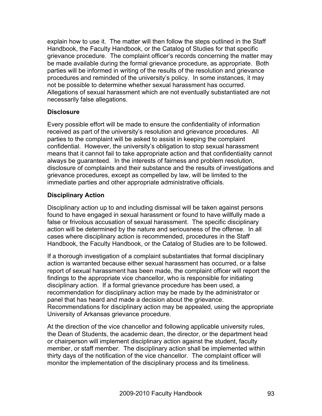explain how to use it. The matter will then follow the steps outlined in the Staff Handbook, the Faculty Handbook, or the Catalog of Studies for that specific grievance procedure. The complaint officer's records concerning the matter may be made available during the formal grievance procedure, as appropriate. Both parties will be informed in writing of the results of the resolution and grievance procedures and reminded of the university's policy. In some instances, it may not be possible to determine whether sexual harassment has occurred. Allegations of sexual harassment which are not eventually substantiated are not necessarily false allegations.

#### **Disclosure**

Every possible effort will be made to ensure the confidentiality of information received as part of the university's resolution and grievance procedures. All parties to the complaint will be asked to assist in keeping the complaint confidential. However, the university's obligation to stop sexual harassment means that it cannot fail to take appropriate action and that confidentiality cannot always be guaranteed. In the interests of fairness and problem resolution, disclosure of complaints and their substance and the results of investigations and grievance procedures, except as compelled by law, will be limited to the immediate parties and other appropriate administrative officials.

## **Disciplinary Action**

Disciplinary action up to and including dismissal will be taken against persons found to have engaged in sexual harassment or found to have willfully made a false or frivolous accusation of sexual harassment. The specific disciplinary action will be determined by the nature and seriousness of the offense. In all cases where disciplinary action is recommended, procedures in the Staff Handbook, the Faculty Handbook, or the Catalog of Studies are to be followed.

If a thorough investigation of a complaint substantiates that formal disciplinary action is warranted because either sexual harassment has occurred, or a false report of sexual harassment has been made, the complaint officer will report the findings to the appropriate vice chancellor, who is responsible for initiating disciplinary action. If a formal grievance procedure has been used, a recommendation for disciplinary action may be made by the administrator or panel that has heard and made a decision about the grievance. Recommendations for disciplinary action may be appealed, using the appropriate University of Arkansas grievance procedure.

At the direction of the vice chancellor and following applicable university rules, the Dean of Students, the academic dean, the director, or the department head or chairperson will implement disciplinary action against the student, faculty member, or staff member. The disciplinary action shall be implemented within thirty days of the notification of the vice chancellor. The complaint officer will monitor the implementation of the disciplinary process and its timeliness.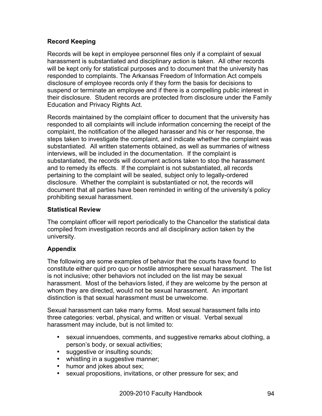## **Record Keeping**

Records will be kept in employee personnel files only if a complaint of sexual harassment is substantiated and disciplinary action is taken. All other records will be kept only for statistical purposes and to document that the university has responded to complaints. The Arkansas Freedom of Information Act compels disclosure of employee records only if they form the basis for decisions to suspend or terminate an employee and if there is a compelling public interest in their disclosure. Student records are protected from disclosure under the Family Education and Privacy Rights Act.

Records maintained by the complaint officer to document that the university has responded to all complaints will include information concerning the receipt of the complaint, the notification of the alleged harasser and his or her response, the steps taken to investigate the complaint, and indicate whether the complaint was substantiated. All written statements obtained, as well as summaries of witness interviews, will be included in the documentation. If the complaint is substantiated, the records will document actions taken to stop the harassment and to remedy its effects. If the complaint is not substantiated, all records pertaining to the complaint will be sealed, subject only to legally-ordered disclosure. Whether the complaint is substantiated or not, the records will document that all parties have been reminded in writing of the university's policy prohibiting sexual harassment.

## **Statistical Review**

The complaint officer will report periodically to the Chancellor the statistical data compiled from investigation records and all disciplinary action taken by the university.

## **Appendix**

The following are some examples of behavior that the courts have found to constitute either quid pro quo or hostile atmosphere sexual harassment. The list is not inclusive; other behaviors not included on the list may be sexual harassment. Most of the behaviors listed, if they are welcome by the person at whom they are directed, would not be sexual harassment. An important distinction is that sexual harassment must be unwelcome.

Sexual harassment can take many forms. Most sexual harassment falls into three categories: verbal, physical, and written or visual. Verbal sexual harassment may include, but is not limited to:

- sexual innuendoes, comments, and suggestive remarks about clothing, a person's body, or sexual activities;
- suggestive or insulting sounds;
- whistling in a suggestive manner;
- humor and jokes about sex;
- sexual propositions, invitations, or other pressure for sex; and